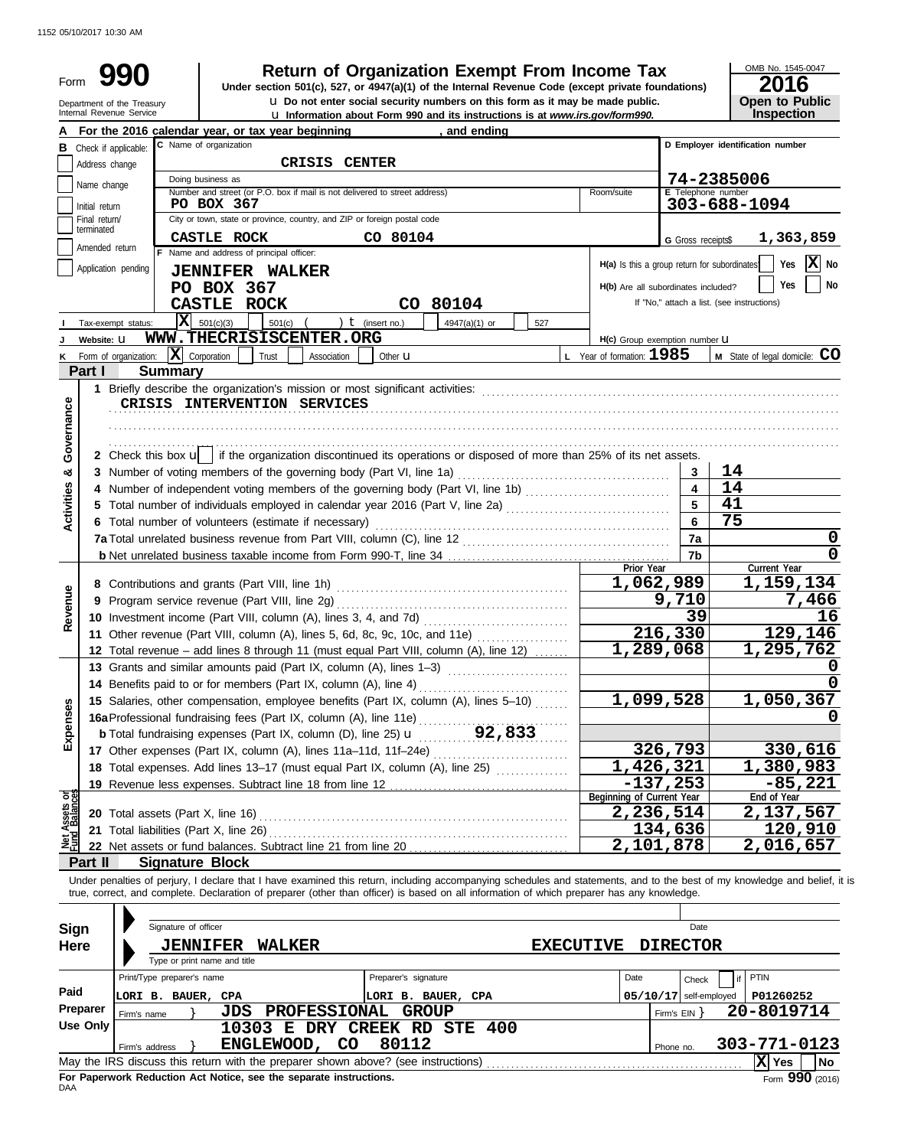| Inspection<br>D Employer identification number<br>74-2385006<br>303-688-1094<br>1,363,859<br>$ \mathbf{X} $ No<br>Yes<br>Yes<br>No<br>If "No," attach a list. (see instructions)<br>M State of legal domicile: CO |
|-------------------------------------------------------------------------------------------------------------------------------------------------------------------------------------------------------------------|
|                                                                                                                                                                                                                   |
|                                                                                                                                                                                                                   |
|                                                                                                                                                                                                                   |
|                                                                                                                                                                                                                   |
|                                                                                                                                                                                                                   |
|                                                                                                                                                                                                                   |
|                                                                                                                                                                                                                   |
|                                                                                                                                                                                                                   |
|                                                                                                                                                                                                                   |
|                                                                                                                                                                                                                   |
|                                                                                                                                                                                                                   |
|                                                                                                                                                                                                                   |
|                                                                                                                                                                                                                   |
|                                                                                                                                                                                                                   |
|                                                                                                                                                                                                                   |
|                                                                                                                                                                                                                   |
|                                                                                                                                                                                                                   |
|                                                                                                                                                                                                                   |
|                                                                                                                                                                                                                   |
|                                                                                                                                                                                                                   |
|                                                                                                                                                                                                                   |
|                                                                                                                                                                                                                   |
| Current Year                                                                                                                                                                                                      |
| 1,159,134                                                                                                                                                                                                         |
| 7,466                                                                                                                                                                                                             |
| 16                                                                                                                                                                                                                |
| 129,146                                                                                                                                                                                                           |
| 1,295,762                                                                                                                                                                                                         |
|                                                                                                                                                                                                                   |
|                                                                                                                                                                                                                   |
| 1,050,367                                                                                                                                                                                                         |
|                                                                                                                                                                                                                   |
|                                                                                                                                                                                                                   |
| 330,616                                                                                                                                                                                                           |
| 1,380,983                                                                                                                                                                                                         |
|                                                                                                                                                                                                                   |
| $-85,221$                                                                                                                                                                                                         |
| End of Year                                                                                                                                                                                                       |
| 2,137,567                                                                                                                                                                                                         |
| 120,910<br>2,016,657                                                                                                                                                                                              |
|                                                                                                                                                                                                                   |

| Use Only |                                                                                   | 10303 E DRY CREEK RD STE 400 |  |       |  |           |              |                   |           |
|----------|-----------------------------------------------------------------------------------|------------------------------|--|-------|--|-----------|--------------|-------------------|-----------|
|          | Firm's address                                                                    | ENGLEWOOD, CO                |  | 80112 |  | Phone no. | 303-771-0123 |                   |           |
|          | May the IRS discuss this return with the preparer shown above? (see instructions) |                              |  |       |  |           |              | Yes.              | <b>No</b> |
| DAA      | For Paperwork Reduction Act Notice, see the separate instructions.                |                              |  |       |  |           |              | Form $990$ (2016) |           |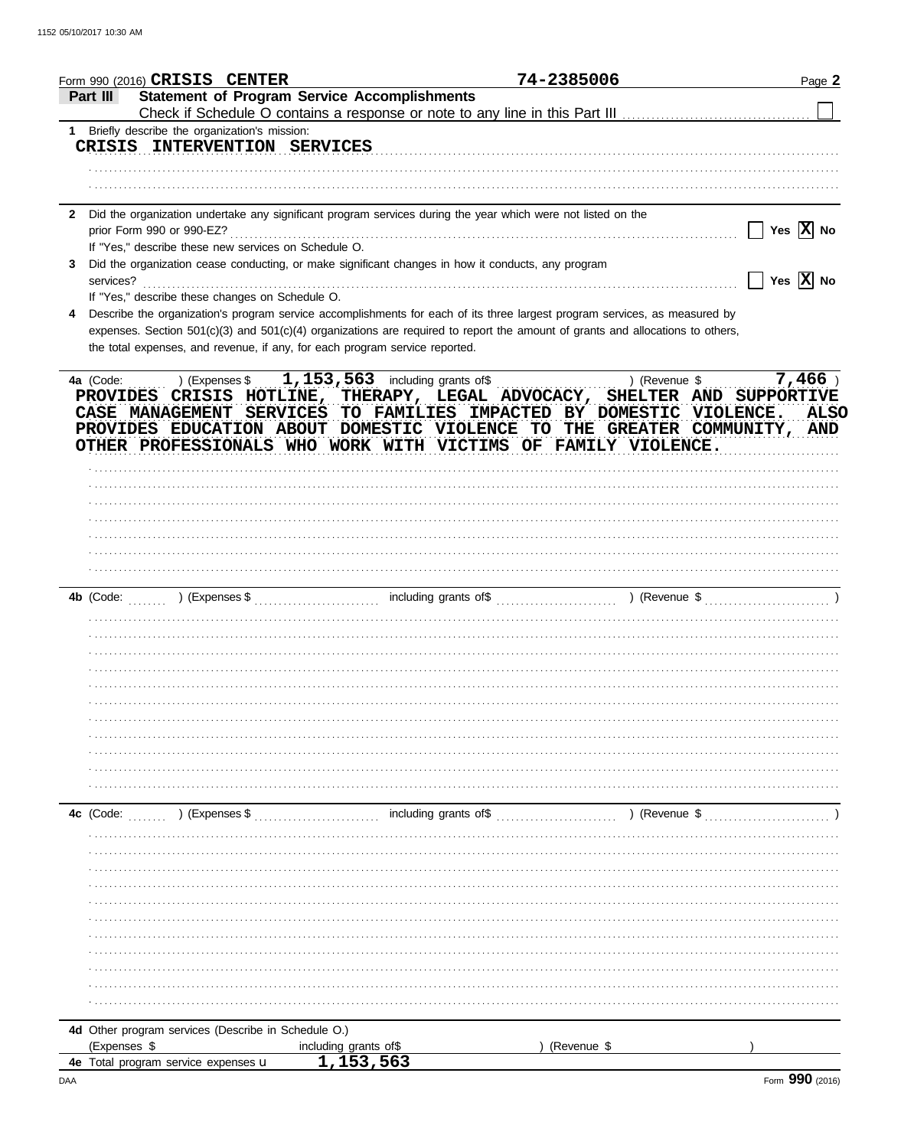|                | Form 990 (2016) CRISIS CENTER                                                |                                                                                                              |                       | 74-2385006                                                                                                                     | Page 2                                                                   |
|----------------|------------------------------------------------------------------------------|--------------------------------------------------------------------------------------------------------------|-----------------------|--------------------------------------------------------------------------------------------------------------------------------|--------------------------------------------------------------------------|
| Part III       |                                                                              | <b>Statement of Program Service Accomplishments</b>                                                          |                       |                                                                                                                                |                                                                          |
|                |                                                                              |                                                                                                              |                       |                                                                                                                                |                                                                          |
| 1              | Briefly describe the organization's mission:<br>CRISIS INTERVENTION SERVICES |                                                                                                              |                       |                                                                                                                                |                                                                          |
|                |                                                                              |                                                                                                              |                       |                                                                                                                                |                                                                          |
|                |                                                                              |                                                                                                              |                       |                                                                                                                                |                                                                          |
|                |                                                                              |                                                                                                              |                       |                                                                                                                                |                                                                          |
| $\mathbf{2}$   |                                                                              | Did the organization undertake any significant program services during the year which were not listed on the |                       |                                                                                                                                |                                                                          |
|                |                                                                              |                                                                                                              |                       |                                                                                                                                | Yes $\overline{X}$ No                                                    |
|                | If "Yes," describe these new services on Schedule O.                         |                                                                                                              |                       |                                                                                                                                |                                                                          |
| 3<br>services? |                                                                              | Did the organization cease conducting, or make significant changes in how it conducts, any program           |                       |                                                                                                                                | $\Box$ Yes $\boxed{\text{X}}$ No                                         |
|                | If "Yes," describe these changes on Schedule O.                              |                                                                                                              |                       |                                                                                                                                |                                                                          |
| 4              |                                                                              |                                                                                                              |                       | Describe the organization's program service accomplishments for each of its three largest program services, as measured by     |                                                                          |
|                |                                                                              |                                                                                                              |                       | expenses. Section 501(c)(3) and 501(c)(4) organizations are required to report the amount of grants and allocations to others, |                                                                          |
|                |                                                                              | the total expenses, and revenue, if any, for each program service reported.                                  |                       |                                                                                                                                |                                                                          |
|                |                                                                              |                                                                                                              |                       |                                                                                                                                |                                                                          |
| 4a (Code:      |                                                                              | (Expenses $\frac{1}{1}, \frac{153}{563}$ including grants of \$                                              |                       |                                                                                                                                | $7,466$ )<br>) (Revenue \$                                               |
|                |                                                                              |                                                                                                              |                       |                                                                                                                                | PROVIDES CRISIS HOTLINE, THERAPY, LEGAL ADVOCACY, SHELTER AND SUPPORTIVE |
|                |                                                                              |                                                                                                              |                       | CASE MANAGEMENT SERVICES TO FAMILIES IMPACTED BY DOMESTIC VIOLENCE.                                                            | <b>ALSO</b>                                                              |
|                |                                                                              |                                                                                                              |                       | OTHER PROFESSIONALS WHO WORK WITH VICTIMS OF FAMILY VIOLENCE.                                                                  | PROVIDES EDUCATION ABOUT DOMESTIC VIOLENCE TO THE GREATER COMMUNITY, AND |
|                |                                                                              |                                                                                                              |                       |                                                                                                                                |                                                                          |
|                |                                                                              |                                                                                                              |                       |                                                                                                                                |                                                                          |
|                |                                                                              |                                                                                                              |                       |                                                                                                                                |                                                                          |
|                |                                                                              |                                                                                                              |                       |                                                                                                                                |                                                                          |
|                |                                                                              |                                                                                                              |                       |                                                                                                                                |                                                                          |
|                |                                                                              |                                                                                                              |                       |                                                                                                                                |                                                                          |
|                |                                                                              |                                                                                                              |                       |                                                                                                                                |                                                                          |
|                |                                                                              |                                                                                                              |                       |                                                                                                                                |                                                                          |
|                |                                                                              |                                                                                                              |                       |                                                                                                                                |                                                                          |
|                |                                                                              |                                                                                                              |                       |                                                                                                                                |                                                                          |
|                |                                                                              |                                                                                                              |                       |                                                                                                                                |                                                                          |
|                |                                                                              |                                                                                                              |                       |                                                                                                                                |                                                                          |
|                |                                                                              |                                                                                                              |                       |                                                                                                                                |                                                                          |
|                |                                                                              |                                                                                                              |                       |                                                                                                                                |                                                                          |
|                |                                                                              |                                                                                                              |                       |                                                                                                                                |                                                                          |
|                |                                                                              |                                                                                                              |                       |                                                                                                                                |                                                                          |
|                |                                                                              |                                                                                                              |                       |                                                                                                                                |                                                                          |
|                |                                                                              |                                                                                                              |                       |                                                                                                                                |                                                                          |
|                |                                                                              |                                                                                                              |                       |                                                                                                                                |                                                                          |
|                |                                                                              |                                                                                                              |                       |                                                                                                                                |                                                                          |
| 4c (Code:      | ) (Expenses \$                                                               |                                                                                                              | including grants of\$ |                                                                                                                                | ) (Revenue \$                                                            |
|                |                                                                              |                                                                                                              |                       |                                                                                                                                |                                                                          |
|                |                                                                              |                                                                                                              |                       |                                                                                                                                |                                                                          |
|                |                                                                              |                                                                                                              |                       |                                                                                                                                |                                                                          |
|                |                                                                              |                                                                                                              |                       |                                                                                                                                |                                                                          |
|                |                                                                              |                                                                                                              |                       |                                                                                                                                |                                                                          |
|                |                                                                              |                                                                                                              |                       |                                                                                                                                |                                                                          |
|                |                                                                              |                                                                                                              |                       |                                                                                                                                |                                                                          |
|                |                                                                              |                                                                                                              |                       |                                                                                                                                |                                                                          |
|                |                                                                              |                                                                                                              |                       |                                                                                                                                |                                                                          |
|                |                                                                              |                                                                                                              |                       |                                                                                                                                |                                                                          |
|                |                                                                              |                                                                                                              |                       |                                                                                                                                |                                                                          |
| (Expenses \$   | 4d Other program services (Describe in Schedule O.)                          | including grants of\$                                                                                        |                       | (Revenue \$                                                                                                                    |                                                                          |
|                | 4e Total program service expenses u                                          | 1,153,563                                                                                                    |                       |                                                                                                                                |                                                                          |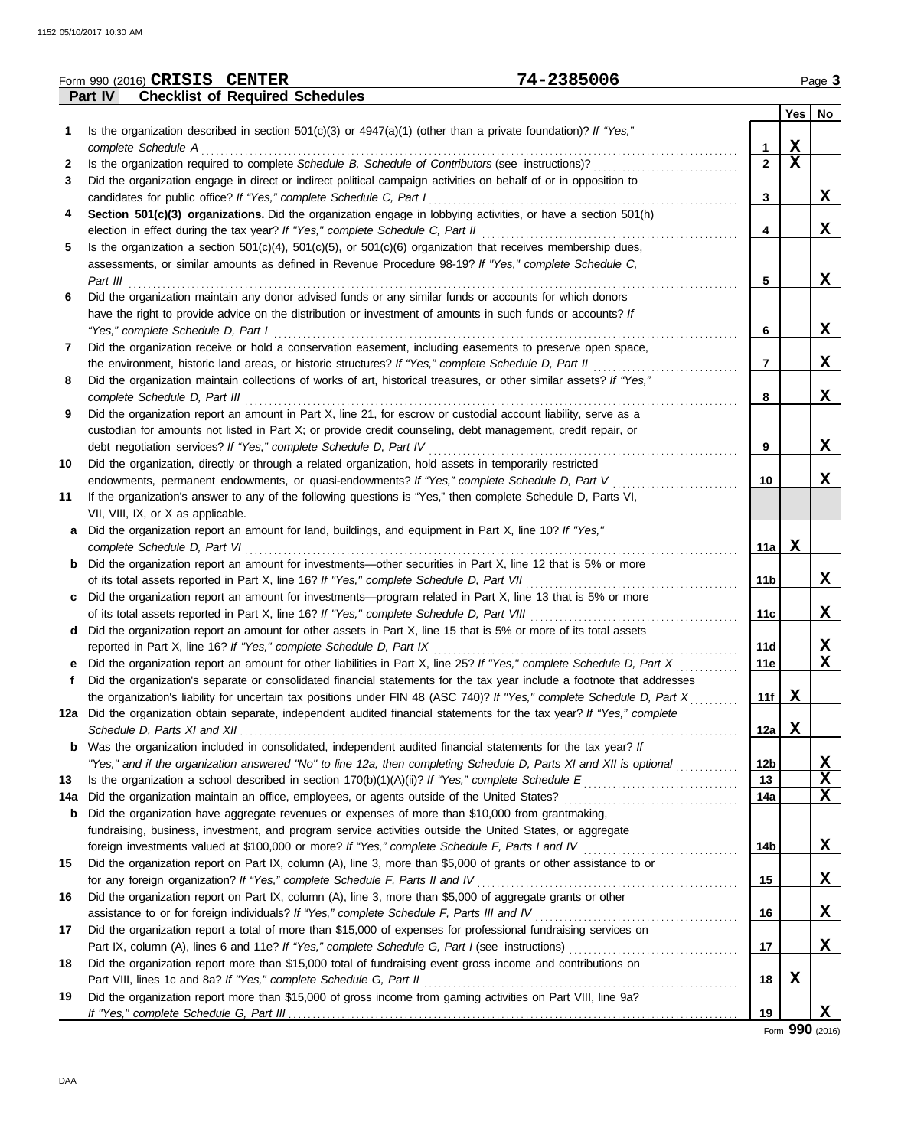|              | 74-2385006<br>Form 990 (2016) CRISIS CENTER                                                                                                     |                 |             | Page 3      |
|--------------|-------------------------------------------------------------------------------------------------------------------------------------------------|-----------------|-------------|-------------|
|              | <b>Checklist of Required Schedules</b><br>Part IV                                                                                               |                 |             |             |
|              |                                                                                                                                                 |                 | Yes         | No          |
| 1.           | Is the organization described in section $501(c)(3)$ or $4947(a)(1)$ (other than a private foundation)? If "Yes,"                               |                 |             |             |
|              | complete Schedule A                                                                                                                             | 1               | X           |             |
| $\mathbf{2}$ | Is the organization required to complete Schedule B, Schedule of Contributors (see instructions)?                                               | $\overline{2}$  | $\mathbf X$ |             |
| 3            | Did the organization engage in direct or indirect political campaign activities on behalf of or in opposition to                                |                 |             |             |
|              | candidates for public office? If "Yes," complete Schedule C, Part I                                                                             | 3               |             | X           |
| 4            | Section 501(c)(3) organizations. Did the organization engage in lobbying activities, or have a section 501(h)                                   |                 |             |             |
|              | election in effect during the tax year? If "Yes," complete Schedule C, Part II                                                                  | 4               |             | X           |
| 5            | Is the organization a section $501(c)(4)$ , $501(c)(5)$ , or $501(c)(6)$ organization that receives membership dues,                            |                 |             |             |
|              | assessments, or similar amounts as defined in Revenue Procedure 98-19? If "Yes," complete Schedule C,                                           |                 |             |             |
|              | Part III                                                                                                                                        | 5               |             | X           |
| 6            | Did the organization maintain any donor advised funds or any similar funds or accounts for which donors                                         |                 |             |             |
|              | have the right to provide advice on the distribution or investment of amounts in such funds or accounts? If                                     |                 |             | X           |
| 7            | "Yes," complete Schedule D, Part I<br>Did the organization receive or hold a conservation easement, including easements to preserve open space, | 6               |             |             |
|              | the environment, historic land areas, or historic structures? If "Yes," complete Schedule D, Part II                                            | 7               |             | X           |
| 8            | Did the organization maintain collections of works of art, historical treasures, or other similar assets? If "Yes,"                             |                 |             |             |
|              | complete Schedule D, Part III                                                                                                                   | 8               |             | X           |
| 9            | Did the organization report an amount in Part X, line 21, for escrow or custodial account liability, serve as a                                 |                 |             |             |
|              | custodian for amounts not listed in Part X; or provide credit counseling, debt management, credit repair, or                                    |                 |             |             |
|              | debt negotiation services? If "Yes," complete Schedule D, Part IV                                                                               | 9               |             | X           |
| 10           | Did the organization, directly or through a related organization, hold assets in temporarily restricted                                         |                 |             |             |
|              | endowments, permanent endowments, or quasi-endowments? If "Yes," complete Schedule D, Part V                                                    | 10              |             | X           |
| 11           | If the organization's answer to any of the following questions is "Yes," then complete Schedule D, Parts VI,                                    |                 |             |             |
|              | VII, VIII, IX, or X as applicable.                                                                                                              |                 |             |             |
| a            | Did the organization report an amount for land, buildings, and equipment in Part X, line 10? If "Yes,"                                          |                 |             |             |
|              | complete Schedule D, Part VI                                                                                                                    | 11a             | X           |             |
| b            | Did the organization report an amount for investments—other securities in Part X, line 12 that is 5% or more                                    |                 |             |             |
|              | of its total assets reported in Part X, line 16? If "Yes," complete Schedule D, Part VII                                                        | 11 <sub>b</sub> |             | X           |
| c            | Did the organization report an amount for investments—program related in Part X, line 13 that is 5% or more                                     |                 |             |             |
|              |                                                                                                                                                 | 11c             |             | X           |
| d            | Did the organization report an amount for other assets in Part X, line 15 that is 5% or more of its total assets                                |                 |             |             |
|              | reported in Part X, line 16? If "Yes," complete Schedule D, Part IX                                                                             | 11d             |             | <u>x</u>    |
|              | Did the organization report an amount for other liabilities in Part X, line 25? If "Yes," complete Schedule D, Part X                           | <b>11e</b>      |             | X           |
|              | Did the organization's separate or consolidated financial statements for the tax year include a footnote that addresses                         |                 |             |             |
|              | the organization's liability for uncertain tax positions under FIN 48 (ASC 740)? If "Yes," complete Schedule D, Part X                          | 11f             | X           |             |
|              | 12a Did the organization obtain separate, independent audited financial statements for the tax year? If "Yes," complete                         |                 |             |             |
|              |                                                                                                                                                 | 12a             | X           |             |
|              | Was the organization included in consolidated, independent audited financial statements for the tax year? If                                    |                 |             |             |
|              | "Yes," and if the organization answered "No" to line 12a, then completing Schedule D, Parts XI and XII is optional                              | 12b             |             | <u>x</u>    |
| 13           |                                                                                                                                                 | 13              |             | X           |
| 14a          | Did the organization maintain an office, employees, or agents outside of the United States?                                                     | 14a             |             | X           |
| b            | Did the organization have aggregate revenues or expenses of more than \$10,000 from grantmaking,                                                |                 |             |             |
|              | fundraising, business, investment, and program service activities outside the United States, or aggregate                                       |                 |             |             |
|              | foreign investments valued at \$100,000 or more? If "Yes," complete Schedule F, Parts I and IV                                                  | 14b             |             | <u>x</u>    |
| 15           | Did the organization report on Part IX, column (A), line 3, more than \$5,000 of grants or other assistance to or                               |                 |             |             |
|              | for any foreign organization? If "Yes," complete Schedule F, Parts II and IV                                                                    | 15              |             | <u>x</u>    |
| 16           | Did the organization report on Part IX, column (A), line 3, more than \$5,000 of aggregate grants or other                                      |                 |             |             |
|              | assistance to or for foreign individuals? If "Yes," complete Schedule F, Parts III and IV                                                       | 16              |             | X           |
| 17           | Did the organization report a total of more than \$15,000 of expenses for professional fundraising services on                                  |                 |             |             |
|              |                                                                                                                                                 | 17              |             | $\mathbf x$ |
| 18           | Did the organization report more than \$15,000 total of fundraising event gross income and contributions on                                     |                 |             |             |
|              | Part VIII, lines 1c and 8a? If "Yes," complete Schedule G, Part II                                                                              | 18              | X           |             |
| 19           | Did the organization report more than \$15,000 of gross income from gaming activities on Part VIII, line 9a?                                    | 19              |             | X,          |
|              |                                                                                                                                                 |                 |             |             |

Form **990** (2016)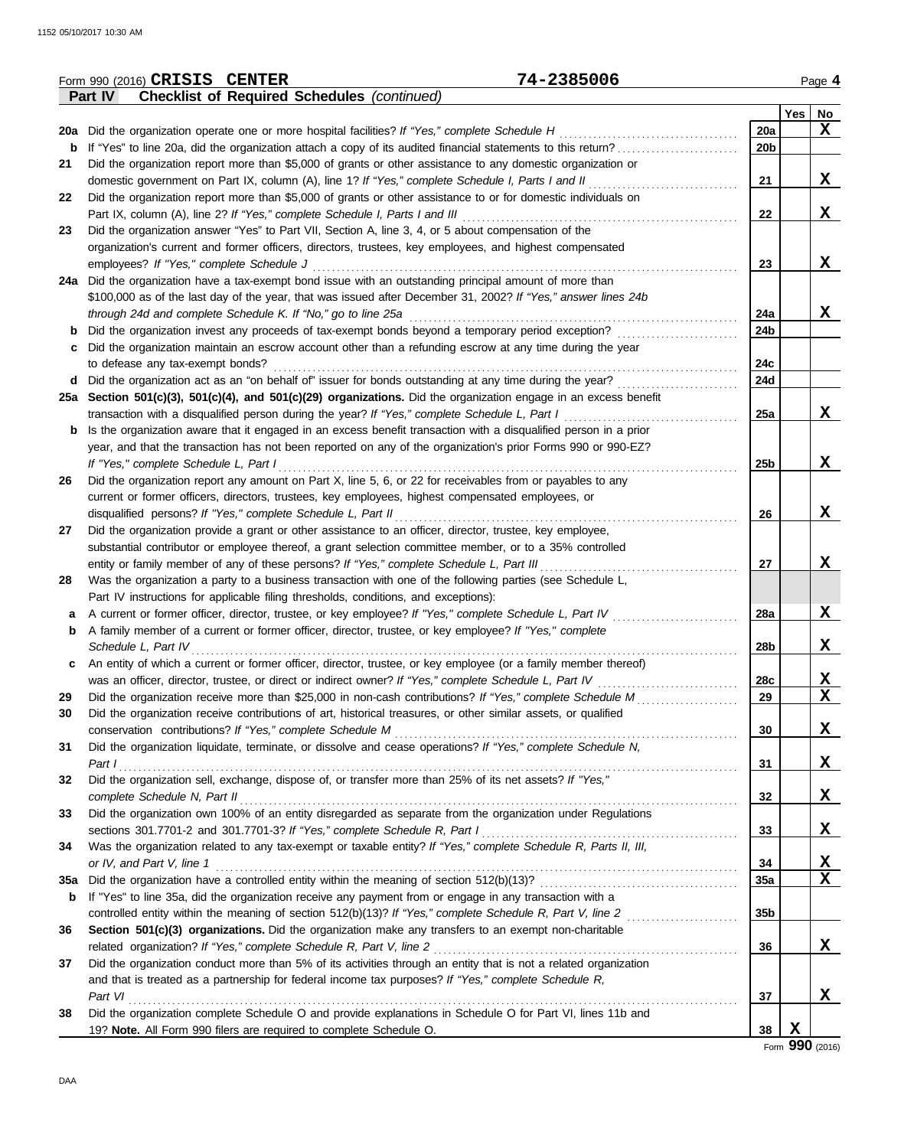|            | 74-2385006<br>Form 990 (2016) CRISIS CENTER                                                                           |                 |   | Page 4                  |
|------------|-----------------------------------------------------------------------------------------------------------------------|-----------------|---|-------------------------|
|            | <b>Checklist of Required Schedules (continued)</b><br><b>Part IV</b>                                                  |                 |   |                         |
|            |                                                                                                                       |                 |   | $Yes \mid No$           |
|            | 20a Did the organization operate one or more hospital facilities? If "Yes," complete Schedule H                       | 20a             |   | X                       |
|            | <b>b</b> If "Yes" to line 20a, did the organization attach a copy of its audited financial statements to this return? | 20 <sub>b</sub> |   |                         |
| 21         | Did the organization report more than \$5,000 of grants or other assistance to any domestic organization or           |                 |   |                         |
|            | domestic government on Part IX, column (A), line 1? If "Yes," complete Schedule I, Parts I and II                     | 21              |   | X                       |
| 22         | Did the organization report more than \$5,000 of grants or other assistance to or for domestic individuals on         |                 |   |                         |
|            |                                                                                                                       | 22              |   | X                       |
| 23         | Did the organization answer "Yes" to Part VII, Section A, line 3, 4, or 5 about compensation of the                   |                 |   |                         |
|            | organization's current and former officers, directors, trustees, key employees, and highest compensated               |                 |   |                         |
|            | employees? If "Yes," complete Schedule J                                                                              | 23              |   | X                       |
|            | 24a Did the organization have a tax-exempt bond issue with an outstanding principal amount of more than               |                 |   |                         |
|            | \$100,000 as of the last day of the year, that was issued after December 31, 2002? If "Yes," answer lines 24b         |                 |   |                         |
|            | through 24d and complete Schedule K. If "No," go to line 25a                                                          | 24a             |   | X                       |
|            | Did the organization invest any proceeds of tax-exempt bonds beyond a temporary period exception?                     | 24b             |   |                         |
| c          | Did the organization maintain an escrow account other than a refunding escrow at any time during the year             |                 |   |                         |
|            | to defease any tax-exempt bonds?                                                                                      | 24c             |   |                         |
|            | d Did the organization act as an "on behalf of" issuer for bonds outstanding at any time during the year?             | 24d             |   |                         |
|            | 25a Section 501(c)(3), 501(c)(4), and 501(c)(29) organizations. Did the organization engage in an excess benefit      |                 |   |                         |
|            | transaction with a disqualified person during the year? If "Yes," complete Schedule L, Part I                         | 25a             |   | X                       |
| b          | Is the organization aware that it engaged in an excess benefit transaction with a disqualified person in a prior      |                 |   |                         |
|            | year, and that the transaction has not been reported on any of the organization's prior Forms 990 or 990-EZ?          |                 |   |                         |
|            | If "Yes," complete Schedule L, Part I                                                                                 | 25 <sub>b</sub> |   | X                       |
| 26         | Did the organization report any amount on Part X, line 5, 6, or 22 for receivables from or payables to any            |                 |   |                         |
|            | current or former officers, directors, trustees, key employees, highest compensated employees, or                     |                 |   |                         |
|            | disqualified persons? If "Yes," complete Schedule L, Part II                                                          | 26              |   | X                       |
| 27         | Did the organization provide a grant or other assistance to an officer, director, trustee, key employee,              |                 |   |                         |
|            | substantial contributor or employee thereof, a grant selection committee member, or to a 35% controlled               |                 |   |                         |
|            | entity or family member of any of these persons? If "Yes," complete Schedule L, Part III                              | 27              |   | X                       |
| 28         | Was the organization a party to a business transaction with one of the following parties (see Schedule L,             |                 |   |                         |
|            | Part IV instructions for applicable filing thresholds, conditions, and exceptions):                                   |                 |   |                         |
|            | A current or former officer, director, trustee, or key employee? If "Yes," complete Schedule L, Part IV               | 28a             |   | X                       |
| b          | A family member of a current or former officer, director, trustee, or key employee? If "Yes," complete                |                 |   |                         |
|            | Schedule L, Part IV                                                                                                   | 28b             |   | X                       |
| c          | An entity of which a current or former officer, director, trustee, or key employee (or a family member thereof)       |                 |   |                         |
|            | was an officer, director, trustee, or direct or indirect owner? If "Yes," complete Schedule L, Part IV                | 28c             |   | <u>x</u>                |
| 29         |                                                                                                                       | 29              |   | $\overline{\mathbf{x}}$ |
| 30         | Did the organization receive contributions of art, historical treasures, or other similar assets, or qualified        |                 |   |                         |
|            | conservation contributions? If "Yes," complete Schedule M                                                             | 30              |   | X                       |
| 31         | Did the organization liquidate, terminate, or dissolve and cease operations? If "Yes," complete Schedule N,           |                 |   |                         |
|            | Part I                                                                                                                | 31              |   | X                       |
| 32         | Part I<br>Did the organization sell, exchange, dispose of, or transfer more than 25% of its net assets? If "Yes,"     |                 |   |                         |
|            | complete Schedule N, Part II                                                                                          | 32              |   | X                       |
| 33         | Did the organization own 100% of an entity disregarded as separate from the organization under Regulations            |                 |   |                         |
|            | sections 301.7701-2 and 301.7701-3? If "Yes," complete Schedule R, Part I                                             | 33              |   | X                       |
| 34         | Was the organization related to any tax-exempt or taxable entity? If "Yes," complete Schedule R, Parts II, III,       |                 |   |                         |
|            | or IV, and Part V, line 1                                                                                             | 34              |   | $\frac{X}{X}$           |
| <b>35a</b> |                                                                                                                       | 35a             |   |                         |
| b          | If "Yes" to line 35a, did the organization receive any payment from or engage in any transaction with a               |                 |   |                         |
|            |                                                                                                                       | 35 <sub>b</sub> |   |                         |
| 36         | Section 501(c)(3) organizations. Did the organization make any transfers to an exempt non-charitable                  |                 |   |                         |
|            | related organization? If "Yes," complete Schedule R, Part V, line 2                                                   | 36              |   | X                       |
| 37         | Did the organization conduct more than 5% of its activities through an entity that is not a related organization      |                 |   |                         |
|            | and that is treated as a partnership for federal income tax purposes? If "Yes," complete Schedule R,                  |                 |   |                         |
|            | Part VI                                                                                                               | 37              |   | X,                      |
| 38         | Did the organization complete Schedule O and provide explanations in Schedule O for Part VI, lines 11b and            |                 |   |                         |
|            | 19? Note. All Form 990 filers are required to complete Schedule O.                                                    | 38              | X |                         |

Form **990** (2016)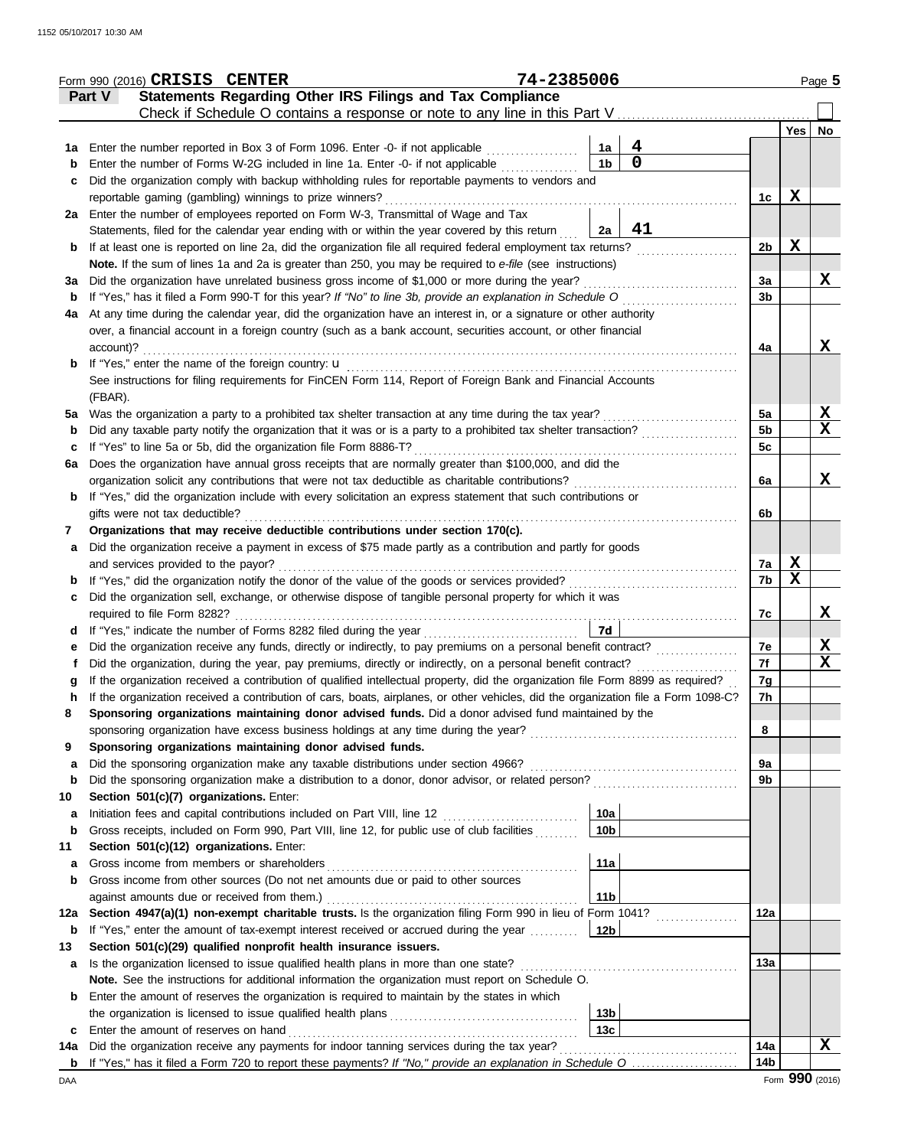|         | Form 990 (2016) CRISIS CENTER                                                                                                                                                                                                                    | 74-2385006 |                 |             |                      |             | Page 5           |
|---------|--------------------------------------------------------------------------------------------------------------------------------------------------------------------------------------------------------------------------------------------------|------------|-----------------|-------------|----------------------|-------------|------------------|
|         | Statements Regarding Other IRS Filings and Tax Compliance<br>Part V                                                                                                                                                                              |            |                 |             |                      |             |                  |
|         |                                                                                                                                                                                                                                                  |            |                 |             |                      |             |                  |
|         | 1a Enter the number reported in Box 3 of Form 1096. Enter -0- if not applicable <i>mimimimimim</i>                                                                                                                                               |            | 1a              | 4           |                      | Yes         | No               |
| b       | Enter the number of Forms W-2G included in line 1a. Enter -0- if not applicable                                                                                                                                                                  |            | 1 <sub>b</sub>  | $\mathbf 0$ |                      |             |                  |
| c       | Did the organization comply with backup withholding rules for reportable payments to vendors and                                                                                                                                                 |            |                 |             |                      |             |                  |
|         | reportable gaming (gambling) winnings to prize winners?                                                                                                                                                                                          |            |                 |             | 1c                   | X           |                  |
|         | 2a Enter the number of employees reported on Form W-3, Transmittal of Wage and Tax                                                                                                                                                               |            |                 |             |                      |             |                  |
|         | Statements, filed for the calendar year ending with or within the year covered by this return 2a                                                                                                                                                 |            |                 | 41          |                      |             |                  |
| b       | If at least one is reported on line 2a, did the organization file all required federal employment tax returns?                                                                                                                                   |            |                 |             | 2 <sub>b</sub>       | $\mathbf X$ |                  |
|         | Note. If the sum of lines 1a and 2a is greater than 250, you may be required to e-file (see instructions)                                                                                                                                        |            |                 |             |                      |             |                  |
| За      |                                                                                                                                                                                                                                                  |            |                 |             | 3a                   |             | X                |
| b       | If "Yes," has it filed a Form 990-T for this year? If "No" to line 3b, provide an explanation in Schedule O                                                                                                                                      |            |                 |             | 3 <sub>b</sub>       |             |                  |
| 4a      | At any time during the calendar year, did the organization have an interest in, or a signature or other authority                                                                                                                                |            |                 |             |                      |             |                  |
|         | over, a financial account in a foreign country (such as a bank account, securities account, or other financial                                                                                                                                   |            |                 |             |                      |             |                  |
|         | account)?                                                                                                                                                                                                                                        |            |                 |             | 4a                   |             | X                |
|         |                                                                                                                                                                                                                                                  |            |                 |             |                      |             |                  |
|         | See instructions for filing requirements for FinCEN Form 114, Report of Foreign Bank and Financial Accounts                                                                                                                                      |            |                 |             |                      |             |                  |
|         | (FBAR).                                                                                                                                                                                                                                          |            |                 |             |                      |             |                  |
|         | 5a Was the organization a party to a prohibited tax shelter transaction at any time during the tax year?<br>Did any taxable party notify the organization that it was or is a party to a prohibited tax shelter transaction?                     |            |                 |             | 5a<br>5 <sub>b</sub> |             | X<br>X           |
| b<br>c  | If "Yes" to line 5a or 5b, did the organization file Form 8886-T?                                                                                                                                                                                |            |                 |             | 5c                   |             |                  |
| 6a      | Does the organization have annual gross receipts that are normally greater than \$100,000, and did the                                                                                                                                           |            |                 |             |                      |             |                  |
|         |                                                                                                                                                                                                                                                  |            |                 |             | 6a                   |             | X                |
| b       | If "Yes," did the organization include with every solicitation an express statement that such contributions or                                                                                                                                   |            |                 |             |                      |             |                  |
|         | gifts were not tax deductible?                                                                                                                                                                                                                   |            |                 |             | 6b                   |             |                  |
| 7       | Organizations that may receive deductible contributions under section 170(c).                                                                                                                                                                    |            |                 |             |                      |             |                  |
| a       | Did the organization receive a payment in excess of \$75 made partly as a contribution and partly for goods                                                                                                                                      |            |                 |             |                      |             |                  |
|         |                                                                                                                                                                                                                                                  |            |                 |             | 7a                   | X           |                  |
| b       |                                                                                                                                                                                                                                                  |            |                 |             | 7b                   | X           |                  |
| c       | Did the organization sell, exchange, or otherwise dispose of tangible personal property for which it was                                                                                                                                         |            |                 |             |                      |             |                  |
|         |                                                                                                                                                                                                                                                  |            |                 |             | 7c                   |             | X                |
| d       |                                                                                                                                                                                                                                                  |            | 7d              |             |                      |             |                  |
| е       |                                                                                                                                                                                                                                                  |            |                 |             | 7e                   |             | X<br>$\mathbf X$ |
|         | Did the organization, during the year, pay premiums, directly or indirectly, on a personal benefit contract?<br>If the organization received a contribution of qualified intellectual property, did the organization file Form 8899 as required? |            |                 |             | 7f                   |             |                  |
| g       | If the organization received a contribution of cars, boats, airplanes, or other vehicles, did the organization file a Form 1098-C?                                                                                                               |            |                 |             | 7g<br>7h             |             |                  |
| h<br>8  | Sponsoring organizations maintaining donor advised funds. Did a donor advised fund maintained by the                                                                                                                                             |            |                 |             |                      |             |                  |
|         |                                                                                                                                                                                                                                                  |            |                 |             | 8                    |             |                  |
| 9       | Sponsoring organizations maintaining donor advised funds.                                                                                                                                                                                        |            |                 |             |                      |             |                  |
| a       | Did the sponsoring organization make any taxable distributions under section 4966?                                                                                                                                                               |            |                 |             | 9a                   |             |                  |
| b       |                                                                                                                                                                                                                                                  |            |                 |             | 9b                   |             |                  |
| 10      | Section 501(c)(7) organizations. Enter:                                                                                                                                                                                                          |            |                 |             |                      |             |                  |
| a       | Initiation fees and capital contributions included on Part VIII, line 12 [11][11][11][11][11][11][11][11][11]                                                                                                                                    |            | 10a             |             |                      |             |                  |
| b       | Gross receipts, included on Form 990, Part VIII, line 12, for public use of club facilities                                                                                                                                                      |            | 10 <sub>b</sub> |             |                      |             |                  |
| 11      | Section 501(c)(12) organizations. Enter:                                                                                                                                                                                                         |            |                 |             |                      |             |                  |
| a       |                                                                                                                                                                                                                                                  |            | 11a             |             |                      |             |                  |
| b       | Gross income from other sources (Do not net amounts due or paid to other sources                                                                                                                                                                 |            |                 |             |                      |             |                  |
|         |                                                                                                                                                                                                                                                  |            | 11 <sub>b</sub> |             |                      |             |                  |
| 12a     | Section 4947(a)(1) non-exempt charitable trusts. Is the organization filing Form 990 in lieu of Form 1041?                                                                                                                                       |            |                 |             | 12a                  |             |                  |
| b<br>13 | If "Yes," enter the amount of tax-exempt interest received or accrued during the year<br>Section 501(c)(29) qualified nonprofit health insurance issuers.                                                                                        |            | 12 <sub>b</sub> |             |                      |             |                  |
| a       |                                                                                                                                                                                                                                                  |            |                 |             | 13а                  |             |                  |
|         | Note. See the instructions for additional information the organization must report on Schedule O.                                                                                                                                                |            |                 |             |                      |             |                  |
| b       | Enter the amount of reserves the organization is required to maintain by the states in which                                                                                                                                                     |            |                 |             |                      |             |                  |
|         |                                                                                                                                                                                                                                                  |            | 13 <sub>b</sub> |             |                      |             |                  |
| c       | Enter the amount of reserves on hand                                                                                                                                                                                                             |            | 13 <sub>c</sub> |             |                      |             |                  |
| 14a     |                                                                                                                                                                                                                                                  |            |                 |             | 14a                  |             | X                |
| b       | If "Yes," has it filed a Form 720 to report these payments? If "No," provide an explanation in Schedule O                                                                                                                                        |            |                 |             | 14 <sub>b</sub>      |             |                  |
| DAA     |                                                                                                                                                                                                                                                  |            |                 |             |                      |             | Form 990 (2016)  |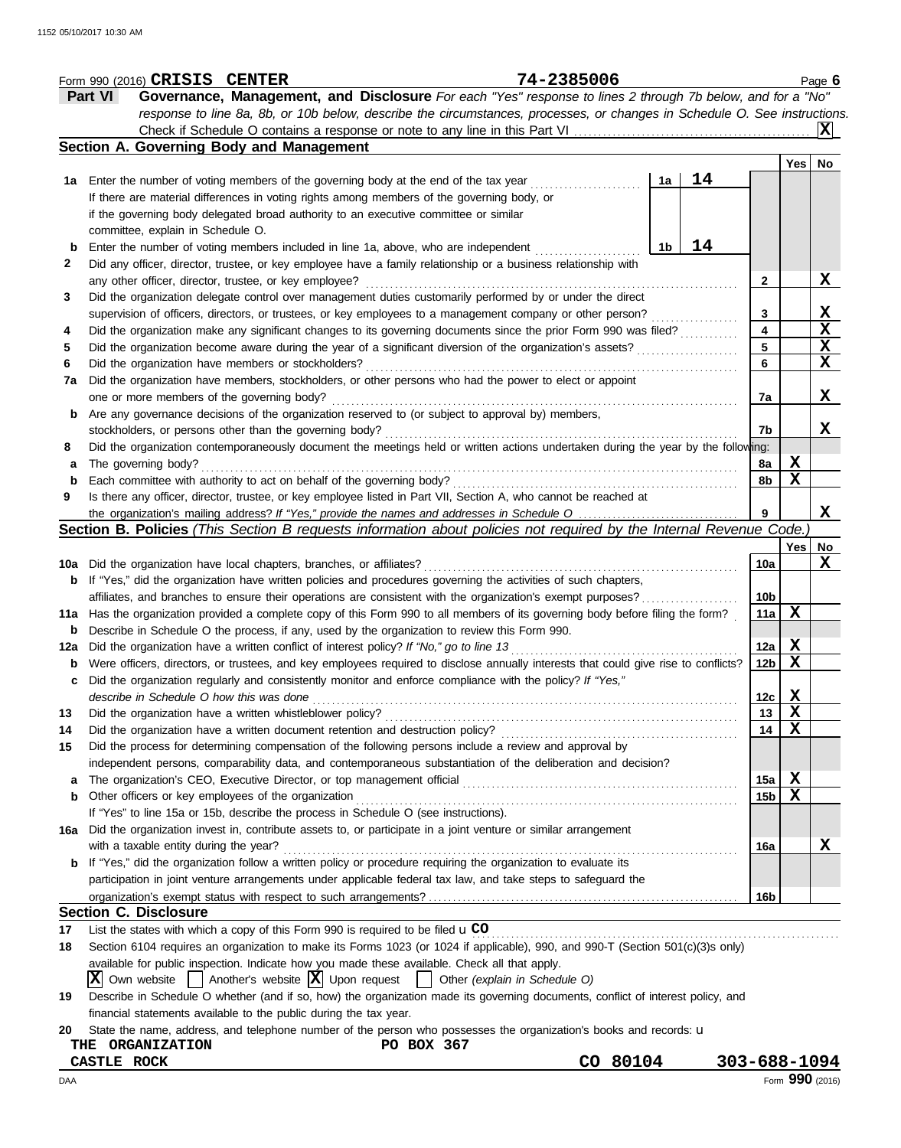|     | Form 990 (2016) CRISIS CENTER                                      |                                                                                                                                     | 74-2385006                    |    |              |                 |             | Page $6$        |
|-----|--------------------------------------------------------------------|-------------------------------------------------------------------------------------------------------------------------------------|-------------------------------|----|--------------|-----------------|-------------|-----------------|
|     | <b>Part VI</b>                                                     | Governance, Management, and Disclosure For each "Yes" response to lines 2 through 7b below, and for a "No"                          |                               |    |              |                 |             |                 |
|     |                                                                    | response to line 8a, 8b, or 10b below, describe the circumstances, processes, or changes in Schedule O. See instructions.           |                               |    |              |                 |             |                 |
|     |                                                                    | Check if Schedule O contains a response or note to any line in this Part VI                                                         |                               |    |              |                 |             | IXI             |
|     | Section A. Governing Body and Management                           |                                                                                                                                     |                               |    |              |                 |             |                 |
|     |                                                                    |                                                                                                                                     |                               |    |              |                 | Yes         | No              |
|     |                                                                    | 1a Enter the number of voting members of the governing body at the end of the tax year                                              |                               | 1a | 14           |                 |             |                 |
|     |                                                                    | If there are material differences in voting rights among members of the governing body, or                                          |                               |    |              |                 |             |                 |
|     |                                                                    | if the governing body delegated broad authority to an executive committee or similar                                                |                               |    |              |                 |             |                 |
|     | committee, explain in Schedule O.                                  |                                                                                                                                     |                               |    |              |                 |             |                 |
| b   |                                                                    | Enter the number of voting members included in line 1a, above, who are independent                                                  |                               | 1b | 14           |                 |             |                 |
| 2   |                                                                    | Did any officer, director, trustee, or key employee have a family relationship or a business relationship with                      |                               |    |              |                 |             |                 |
|     | any other officer, director, trustee, or key employee?             |                                                                                                                                     |                               |    |              | 2               |             | X               |
| 3   |                                                                    | Did the organization delegate control over management duties customarily performed by or under the direct                           |                               |    |              |                 |             |                 |
|     |                                                                    | supervision of officers, directors, or trustees, or key employees to a management company or other person?                          |                               |    |              | 3               |             | <u>x</u>        |
|     |                                                                    | Did the organization make any significant changes to its governing documents since the prior Form 990 was filed?                    |                               |    |              | 4               |             | X               |
| 4   |                                                                    |                                                                                                                                     |                               |    |              | 5               |             | $\mathbf{x}$    |
| 5   |                                                                    | Did the organization become aware during the year of a significant diversion of the organization's assets?                          |                               |    |              | 6               |             | X               |
| 6   | Did the organization have members or stockholders?                 |                                                                                                                                     |                               |    |              |                 |             |                 |
| 7a  |                                                                    | Did the organization have members, stockholders, or other persons who had the power to elect or appoint                             |                               |    |              |                 |             |                 |
|     | one or more members of the governing body?                         |                                                                                                                                     |                               |    |              | 7a              |             | X               |
| b   |                                                                    | Are any governance decisions of the organization reserved to (or subject to approval by) members,                                   |                               |    |              |                 |             |                 |
|     | stockholders, or persons other than the governing body?            |                                                                                                                                     |                               |    |              | 7b              |             | X               |
| 8   |                                                                    | Did the organization contemporaneously document the meetings held or written actions undertaken during the year by the following:   |                               |    |              |                 |             |                 |
| а   | The governing body?                                                |                                                                                                                                     |                               |    |              | 8a              | X           |                 |
| b   |                                                                    | Each committee with authority to act on behalf of the governing body?                                                               |                               |    |              | 8b              | X           |                 |
| 9   |                                                                    | Is there any officer, director, trustee, or key employee listed in Part VII, Section A, who cannot be reached at                    |                               |    |              |                 |             |                 |
|     |                                                                    | the organization's mailing address? If "Yes," provide the names and addresses in Schedule O                                         |                               |    |              | 9               |             | X               |
|     |                                                                    | Section B. Policies (This Section B requests information about policies not required by the Internal Revenue Code.)                 |                               |    |              |                 |             |                 |
|     |                                                                    |                                                                                                                                     |                               |    |              |                 | Yes         | No              |
| 10a | Did the organization have local chapters, branches, or affiliates? |                                                                                                                                     |                               |    |              | 10a             |             | X               |
| b   |                                                                    | If "Yes," did the organization have written policies and procedures governing the activities of such chapters,                      |                               |    |              |                 |             |                 |
|     |                                                                    | affiliates, and branches to ensure their operations are consistent with the organization's exempt purposes?                         |                               |    |              | 10b             |             |                 |
| 11a |                                                                    | Has the organization provided a complete copy of this Form 990 to all members of its governing body before filing the form?         |                               |    |              | 11a             | X           |                 |
| b   |                                                                    | Describe in Schedule O the process, if any, used by the organization to review this Form 990.                                       |                               |    |              |                 |             |                 |
| 12a |                                                                    | Did the organization have a written conflict of interest policy? If "No," go to line 13                                             |                               |    |              | 12a             | $\mathbf x$ |                 |
| b   |                                                                    | Were officers, directors, or trustees, and key employees required to disclose annually interests that could give rise to conflicts? |                               |    |              | 12b             | X           |                 |
|     |                                                                    | Did the organization regularly and consistently monitor and enforce compliance with the policy? If "Yes,"                           |                               |    |              |                 |             |                 |
|     | describe in Schedule O how this was done                           |                                                                                                                                     |                               |    |              | 12c             | X           |                 |
| 13  | Did the organization have a written whistleblower policy?          |                                                                                                                                     |                               |    |              | 13              | X           |                 |
| 14  |                                                                    | Did the organization have a written document retention and destruction policy?                                                      |                               |    |              | 14              | X           |                 |
| 15  |                                                                    | Did the process for determining compensation of the following persons include a review and approval by                              |                               |    |              |                 |             |                 |
|     |                                                                    | independent persons, comparability data, and contemporaneous substantiation of the deliberation and decision?                       |                               |    |              |                 |             |                 |
| a   |                                                                    | The organization's CEO, Executive Director, or top management official                                                              |                               |    |              | 15a             | X           |                 |
| b   | Other officers or key employees of the organization                |                                                                                                                                     |                               |    |              | 15 <sub>b</sub> | X           |                 |
|     |                                                                    | If "Yes" to line 15a or 15b, describe the process in Schedule O (see instructions).                                                 |                               |    |              |                 |             |                 |
| 16a |                                                                    | Did the organization invest in, contribute assets to, or participate in a joint venture or similar arrangement                      |                               |    |              |                 |             |                 |
|     | with a taxable entity during the year?                             |                                                                                                                                     |                               |    |              | 16a             |             | X               |
| b   |                                                                    | If "Yes," did the organization follow a written policy or procedure requiring the organization to evaluate its                      |                               |    |              |                 |             |                 |
|     |                                                                    | participation in joint venture arrangements under applicable federal tax law, and take steps to safeguard the                       |                               |    |              |                 |             |                 |
|     |                                                                    |                                                                                                                                     |                               |    |              | 16b             |             |                 |
|     | <b>Section C. Disclosure</b>                                       |                                                                                                                                     |                               |    |              |                 |             |                 |
| 17  |                                                                    | List the states with which a copy of this Form 990 is required to be filed $\mathbf{u}$ CO                                          |                               |    |              |                 |             |                 |
| 18  |                                                                    | Section 6104 requires an organization to make its Forms 1023 (or 1024 if applicable), 990, and 990-T (Section 501(c)(3)s only)      |                               |    |              |                 |             |                 |
|     |                                                                    | available for public inspection. Indicate how you made these available. Check all that apply.                                       |                               |    |              |                 |             |                 |
|     |                                                                    |                                                                                                                                     |                               |    |              |                 |             |                 |
|     | Own website $\vert$ Another's website $\vert X \vert$ Upon request |                                                                                                                                     | Other (explain in Schedule O) |    |              |                 |             |                 |
| 19  |                                                                    | Describe in Schedule O whether (and if so, how) the organization made its governing documents, conflict of interest policy, and     |                               |    |              |                 |             |                 |
|     | financial statements available to the public during the tax year.  |                                                                                                                                     |                               |    |              |                 |             |                 |
| 20  |                                                                    | State the name, address, and telephone number of the person who possesses the organization's books and records: u                   |                               |    |              |                 |             |                 |
|     | THE<br><b>ORGANIZATION</b>                                         | PO BOX 367                                                                                                                          |                               |    |              |                 |             |                 |
|     | <b>CASTLE ROCK</b>                                                 |                                                                                                                                     | CO 80104                      |    | 303-688-1094 |                 |             |                 |
| DAA |                                                                    |                                                                                                                                     |                               |    |              |                 |             | Form 990 (2016) |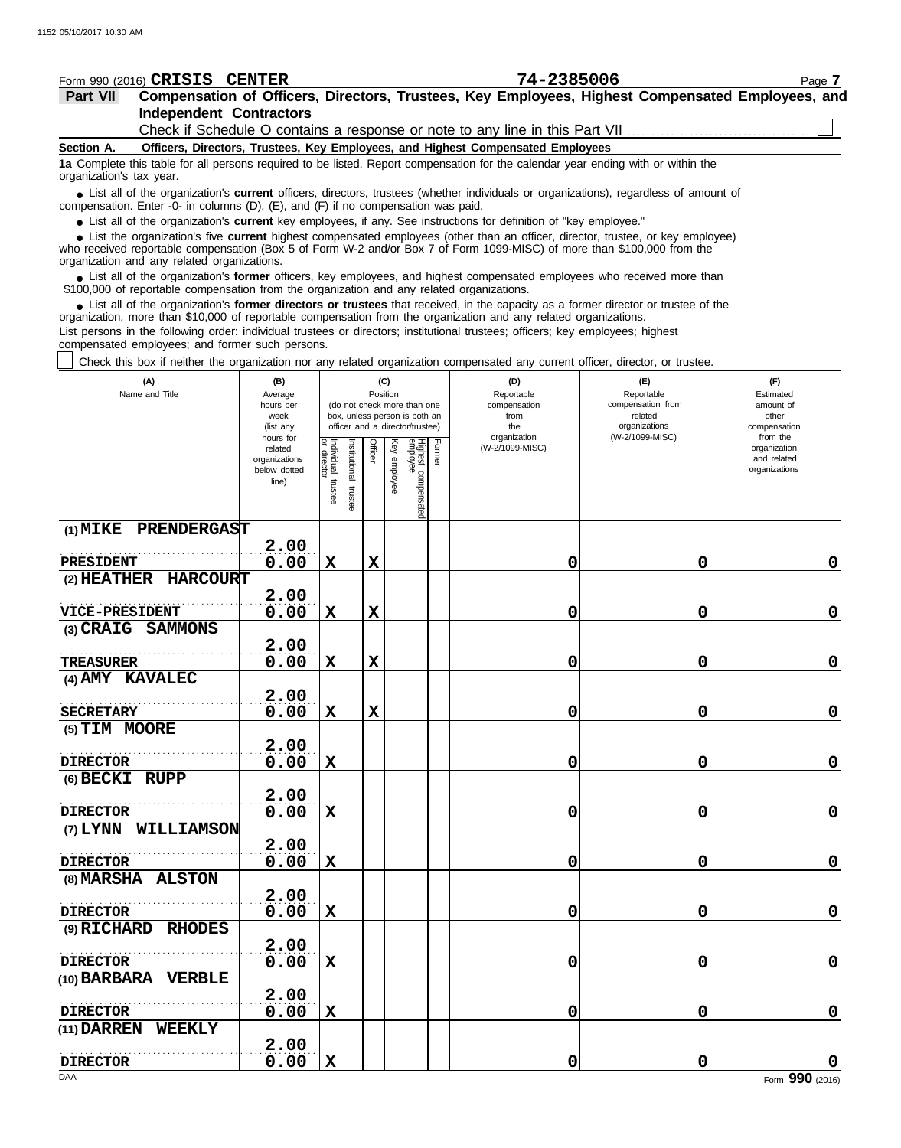| Form 990 (2016) CRISIS CENTER                                                                                                                                                                                                                       |                               |                                   |               |                |                 |                                                              |        | 74-2385006                                                                      |                                                                                                  | Page 7                       |
|-----------------------------------------------------------------------------------------------------------------------------------------------------------------------------------------------------------------------------------------------------|-------------------------------|-----------------------------------|---------------|----------------|-----------------|--------------------------------------------------------------|--------|---------------------------------------------------------------------------------|--------------------------------------------------------------------------------------------------|------------------------------|
| Part VII                                                                                                                                                                                                                                            |                               |                                   |               |                |                 |                                                              |        |                                                                                 | Compensation of Officers, Directors, Trustees, Key Employees, Highest Compensated Employees, and |                              |
| <b>Independent Contractors</b>                                                                                                                                                                                                                      |                               |                                   |               |                |                 |                                                              |        |                                                                                 |                                                                                                  |                              |
|                                                                                                                                                                                                                                                     |                               |                                   |               |                |                 |                                                              |        |                                                                                 |                                                                                                  |                              |
| Section A.                                                                                                                                                                                                                                          |                               |                                   |               |                |                 |                                                              |        | Officers, Directors, Trustees, Key Employees, and Highest Compensated Employees |                                                                                                  |                              |
| 1a Complete this table for all persons required to be listed. Report compensation for the calendar year ending with or within the<br>organization's tax year.                                                                                       |                               |                                   |               |                |                 |                                                              |        |                                                                                 |                                                                                                  |                              |
| • List all of the organization's current officers, directors, trustees (whether individuals or organizations), regardless of amount of                                                                                                              |                               |                                   |               |                |                 |                                                              |        |                                                                                 |                                                                                                  |                              |
| compensation. Enter -0- in columns (D), (E), and (F) if no compensation was paid.<br>• List all of the organization's current key employees, if any. See instructions for definition of "key employee."                                             |                               |                                   |               |                |                 |                                                              |        |                                                                                 |                                                                                                  |                              |
| • List the organization's five current highest compensated employees (other than an officer, director, trustee, or key employee)                                                                                                                    |                               |                                   |               |                |                 |                                                              |        |                                                                                 |                                                                                                  |                              |
| who received reportable compensation (Box 5 of Form W-2 and/or Box 7 of Form 1099-MISC) of more than \$100,000 from the<br>organization and any related organizations.                                                                              |                               |                                   |               |                |                 |                                                              |        |                                                                                 |                                                                                                  |                              |
| • List all of the organization's former officers, key employees, and highest compensated employees who received more than<br>\$100,000 of reportable compensation from the organization and any related organizations.                              |                               |                                   |               |                |                 |                                                              |        |                                                                                 |                                                                                                  |                              |
| • List all of the organization's former directors or trustees that received, in the capacity as a former director or trustee of the                                                                                                                 |                               |                                   |               |                |                 |                                                              |        |                                                                                 |                                                                                                  |                              |
| organization, more than \$10,000 of reportable compensation from the organization and any related organizations.<br>List persons in the following order: individual trustees or directors; institutional trustees; officers; key employees; highest |                               |                                   |               |                |                 |                                                              |        |                                                                                 |                                                                                                  |                              |
| compensated employees; and former such persons.<br>Check this box if neither the organization nor any related organization compensated any current officer, director, or trustee.                                                                   |                               |                                   |               |                |                 |                                                              |        |                                                                                 |                                                                                                  |                              |
|                                                                                                                                                                                                                                                     |                               |                                   |               |                |                 |                                                              |        |                                                                                 |                                                                                                  |                              |
| (A)<br>Name and Title                                                                                                                                                                                                                               | (B)<br>Average                |                                   |               |                | (C)<br>Position |                                                              |        | (D)<br>Reportable                                                               | (E)<br>Reportable                                                                                | (F)<br>Estimated             |
|                                                                                                                                                                                                                                                     | hours per                     |                                   |               |                |                 | (do not check more than one<br>box, unless person is both an |        | compensation<br>from                                                            | compensation from<br>related                                                                     | amount of<br>other           |
|                                                                                                                                                                                                                                                     | week<br>(list any             |                                   |               |                |                 | officer and a director/trustee)                              |        | the                                                                             | organizations                                                                                    | compensation                 |
|                                                                                                                                                                                                                                                     | hours for<br>related          |                                   |               | <b>Officer</b> |                 |                                                              | Former | organization<br>(W-2/1099-MISC)                                                 | (W-2/1099-MISC)                                                                                  | from the<br>organization     |
|                                                                                                                                                                                                                                                     | organizations<br>below dotted | Individual trustee<br>or director | Institutional |                | Key employee    |                                                              |        |                                                                                 |                                                                                                  | and related<br>organizations |
|                                                                                                                                                                                                                                                     | line)                         |                                   |               |                |                 |                                                              |        |                                                                                 |                                                                                                  |                              |
|                                                                                                                                                                                                                                                     |                               |                                   | trustee       |                |                 | Highest compensated<br>employee                              |        |                                                                                 |                                                                                                  |                              |
|                                                                                                                                                                                                                                                     |                               |                                   |               |                |                 |                                                              |        |                                                                                 |                                                                                                  |                              |
| PRENDERGAST<br>$(1)$ MIKE                                                                                                                                                                                                                           |                               |                                   |               |                |                 |                                                              |        |                                                                                 |                                                                                                  |                              |
|                                                                                                                                                                                                                                                     | 2.00                          |                                   |               |                |                 |                                                              |        |                                                                                 |                                                                                                  |                              |
| PRESIDENT<br>(2) HEATHER<br><b>HARCOURT</b>                                                                                                                                                                                                         | 0.00                          | $\mathbf x$                       |               | X              |                 |                                                              |        | 0                                                                               | 0                                                                                                | 0                            |
|                                                                                                                                                                                                                                                     | 2.00                          |                                   |               |                |                 |                                                              |        |                                                                                 |                                                                                                  |                              |
| <b>VICE-PRESIDENT</b>                                                                                                                                                                                                                               | 0.00                          | $\mathbf x$                       |               | X              |                 |                                                              |        | 0                                                                               | 0                                                                                                | 0                            |
| (3) CRAIG SAMMONS                                                                                                                                                                                                                                   |                               |                                   |               |                |                 |                                                              |        |                                                                                 |                                                                                                  |                              |
|                                                                                                                                                                                                                                                     | 2.00                          |                                   |               |                |                 |                                                              |        |                                                                                 |                                                                                                  |                              |
| <b>TREASURER</b>                                                                                                                                                                                                                                    | 0.00                          | $\mathbf x$                       |               | X              |                 |                                                              |        | 0                                                                               | 0                                                                                                | $\mathbf 0$                  |
| (4) AMY KAVALEC                                                                                                                                                                                                                                     |                               |                                   |               |                |                 |                                                              |        |                                                                                 |                                                                                                  |                              |
|                                                                                                                                                                                                                                                     | 2.00                          |                                   |               |                |                 |                                                              |        |                                                                                 |                                                                                                  |                              |
| <b>SECRETARY</b>                                                                                                                                                                                                                                    | 0.00                          | X                                 |               | X              |                 |                                                              |        | 0                                                                               | 0                                                                                                | $\mathbf 0$                  |
| (5) TIM MOORE                                                                                                                                                                                                                                       |                               |                                   |               |                |                 |                                                              |        |                                                                                 |                                                                                                  |                              |
| <b>DIRECTOR</b>                                                                                                                                                                                                                                     | 2.00<br>0.00                  | $\mathbf X$                       |               |                |                 |                                                              |        | 0                                                                               | 0                                                                                                | $\mathbf 0$                  |
| (6) BECKI RUPP                                                                                                                                                                                                                                      |                               |                                   |               |                |                 |                                                              |        |                                                                                 |                                                                                                  |                              |
|                                                                                                                                                                                                                                                     | 2.00                          |                                   |               |                |                 |                                                              |        |                                                                                 |                                                                                                  |                              |
| <b>DIRECTOR</b>                                                                                                                                                                                                                                     | 0.00                          | $\mathbf X$                       |               |                |                 |                                                              |        | 0                                                                               | 0                                                                                                | $\mathbf 0$                  |
| (7) LYNN WILLIAMSON                                                                                                                                                                                                                                 |                               |                                   |               |                |                 |                                                              |        |                                                                                 |                                                                                                  |                              |
|                                                                                                                                                                                                                                                     | 2.00                          |                                   |               |                |                 |                                                              |        |                                                                                 |                                                                                                  |                              |
| <b>DIRECTOR</b>                                                                                                                                                                                                                                     | 0.00                          | $\mathbf X$                       |               |                |                 |                                                              |        | 0                                                                               | 0                                                                                                | $\mathbf 0$                  |
| (8) MARSHA ALSTON                                                                                                                                                                                                                                   |                               |                                   |               |                |                 |                                                              |        |                                                                                 |                                                                                                  |                              |
|                                                                                                                                                                                                                                                     | 2.00                          |                                   |               |                |                 |                                                              |        |                                                                                 |                                                                                                  |                              |
| <b>DIRECTOR</b>                                                                                                                                                                                                                                     | 0.00                          | $\mathbf x$                       |               |                |                 |                                                              |        | 0                                                                               | 0                                                                                                | $\mathbf 0$                  |
| (9) RICHARD RHODES                                                                                                                                                                                                                                  |                               |                                   |               |                |                 |                                                              |        |                                                                                 |                                                                                                  |                              |
| <b>DIRECTOR</b>                                                                                                                                                                                                                                     | 2.00<br>0.00                  | $\mathbf X$                       |               |                |                 |                                                              |        | 0                                                                               | 0                                                                                                | $\mathbf 0$                  |
| (10) BARBARA VERBLE                                                                                                                                                                                                                                 |                               |                                   |               |                |                 |                                                              |        |                                                                                 |                                                                                                  |                              |
|                                                                                                                                                                                                                                                     | 2.00                          |                                   |               |                |                 |                                                              |        |                                                                                 |                                                                                                  |                              |
| <b>DIRECTOR</b>                                                                                                                                                                                                                                     | 0.00                          | $\mathbf X$                       |               |                |                 |                                                              |        | 0                                                                               | 0                                                                                                | $\mathbf 0$                  |
| (11) DARREN WEEKLY                                                                                                                                                                                                                                  |                               |                                   |               |                |                 |                                                              |        |                                                                                 |                                                                                                  |                              |
|                                                                                                                                                                                                                                                     | 2.00                          |                                   |               |                |                 |                                                              |        |                                                                                 |                                                                                                  |                              |
| <b>DIRECTOR</b>                                                                                                                                                                                                                                     | 0.00                          | X                                 |               |                |                 |                                                              |        | 0                                                                               | 0                                                                                                | 0                            |
| <b>DAA</b>                                                                                                                                                                                                                                          |                               |                                   |               |                |                 |                                                              |        |                                                                                 |                                                                                                  | Form 990 (2016)              |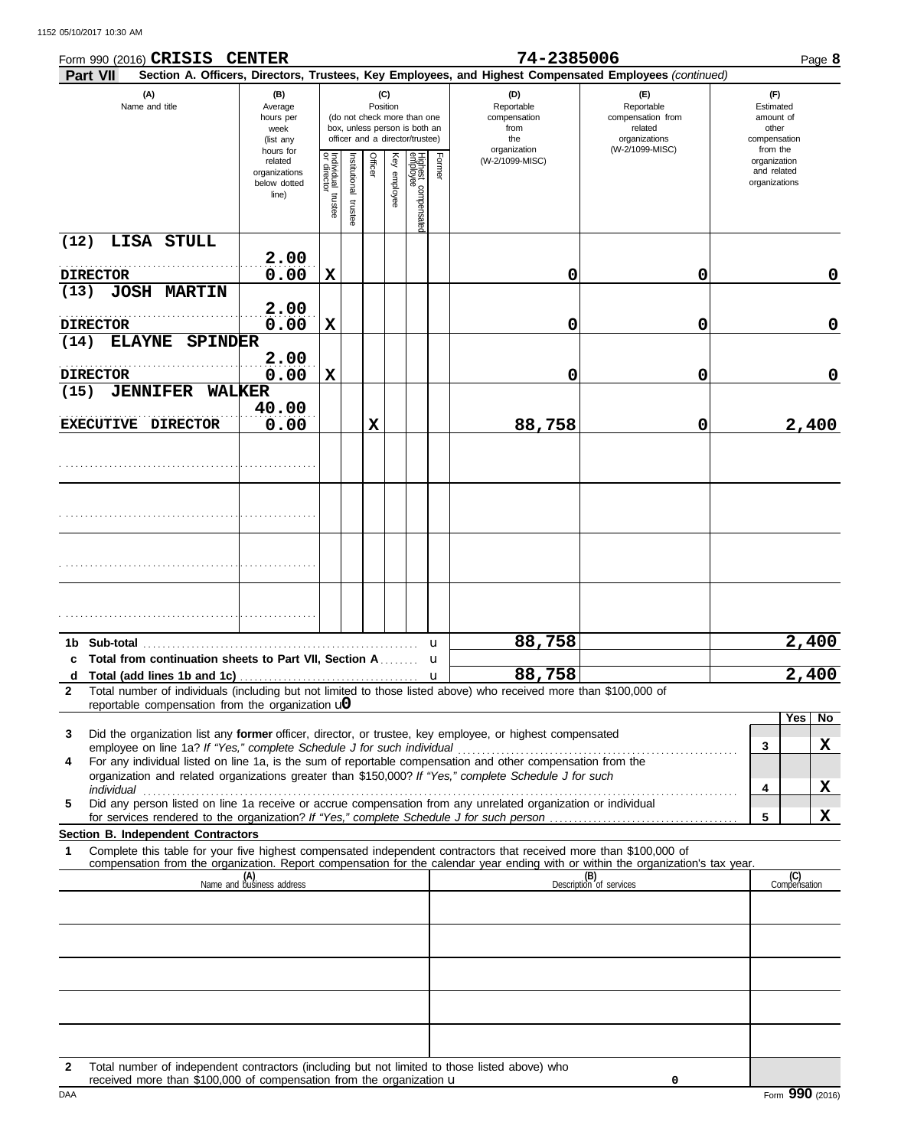|                  | Form 990 (2016) CRISIS CENTER                                                          |                                                   |                                   |                          |             |                 |                                                                                                 |                  | 74-2385006                                                                                                                                                                                                           |                                                                                                                                                                                                                                     |                                                          | Page 8                    |
|------------------|----------------------------------------------------------------------------------------|---------------------------------------------------|-----------------------------------|--------------------------|-------------|-----------------|-------------------------------------------------------------------------------------------------|------------------|----------------------------------------------------------------------------------------------------------------------------------------------------------------------------------------------------------------------|-------------------------------------------------------------------------------------------------------------------------------------------------------------------------------------------------------------------------------------|----------------------------------------------------------|---------------------------|
| Part VII         | (A)<br>(B)<br>Name and title<br>Average<br>hours per<br>week<br>(list any<br>hours for |                                                   |                                   |                          |             | (C)<br>Position | (do not check more than one<br>box, unless person is both an<br>officer and a director/trustee) |                  | Section A. Officers, Directors, Trustees, Key Employees, and Highest Compensated Employees (continued)<br>(D)<br>Reportable<br>compensation<br>from<br>the                                                           | (F)<br>Estimated<br>amount of<br>other<br>compensation                                                                                                                                                                              |                                                          |                           |
|                  |                                                                                        | related<br>organizations<br>below dotted<br>line) | Individual trustee<br>or director | Institutional<br>trustee | Officer     | Key employee    | Highest compensatec<br>employee                                                                 | Former           | organization<br>(W-2/1099-MISC)                                                                                                                                                                                      | (W-2/1099-MISC)                                                                                                                                                                                                                     | from the<br>organization<br>and related<br>organizations |                           |
| (12)             | LISA STULL                                                                             |                                                   |                                   |                          |             |                 |                                                                                                 |                  |                                                                                                                                                                                                                      |                                                                                                                                                                                                                                     |                                                          |                           |
| <b>DIRECTOR</b>  |                                                                                        | 2.00<br>0.00                                      | $\mathbf x$                       |                          |             |                 |                                                                                                 |                  | 0                                                                                                                                                                                                                    | 0                                                                                                                                                                                                                                   |                                                          | 0                         |
| (13)             | <b>JOSH MARTIN</b>                                                                     | 2.00                                              |                                   |                          |             |                 |                                                                                                 |                  |                                                                                                                                                                                                                      |                                                                                                                                                                                                                                     |                                                          |                           |
| <b>DIRECTOR</b>  |                                                                                        | 0.00                                              | $\mathbf x$                       |                          |             |                 |                                                                                                 |                  | 0                                                                                                                                                                                                                    | 0                                                                                                                                                                                                                                   |                                                          | 0                         |
| (14)             | <b>ELAYNE</b><br><b>SPINDER</b>                                                        |                                                   |                                   |                          |             |                 |                                                                                                 |                  |                                                                                                                                                                                                                      |                                                                                                                                                                                                                                     |                                                          |                           |
| <b>DIRECTOR</b>  |                                                                                        | 2.00<br>0.00                                      | $\mathbf x$                       |                          |             |                 |                                                                                                 |                  | 0                                                                                                                                                                                                                    | 0                                                                                                                                                                                                                                   |                                                          | 0                         |
| (15)             | <b>JENNIFER</b><br><b>WALKER</b>                                                       | 40.00                                             |                                   |                          |             |                 |                                                                                                 |                  |                                                                                                                                                                                                                      |                                                                                                                                                                                                                                     |                                                          |                           |
|                  | EXECUTIVE DIRECTOR                                                                     | 0.00                                              |                                   |                          | $\mathbf x$ |                 |                                                                                                 |                  | 88,758                                                                                                                                                                                                               | 0                                                                                                                                                                                                                                   |                                                          | 2,400                     |
|                  |                                                                                        |                                                   |                                   |                          |             |                 |                                                                                                 |                  |                                                                                                                                                                                                                      |                                                                                                                                                                                                                                     |                                                          |                           |
|                  |                                                                                        |                                                   |                                   |                          |             |                 |                                                                                                 |                  |                                                                                                                                                                                                                      |                                                                                                                                                                                                                                     |                                                          |                           |
|                  |                                                                                        |                                                   |                                   |                          |             |                 |                                                                                                 |                  |                                                                                                                                                                                                                      |                                                                                                                                                                                                                                     |                                                          |                           |
|                  |                                                                                        |                                                   |                                   |                          |             |                 |                                                                                                 |                  |                                                                                                                                                                                                                      |                                                                                                                                                                                                                                     |                                                          |                           |
| Sub-total<br>1b. |                                                                                        |                                                   |                                   |                          |             |                 |                                                                                                 | u                | 88,758                                                                                                                                                                                                               |                                                                                                                                                                                                                                     |                                                          | 2,400                     |
| d                | c Total from continuation sheets to Part VII, Section A                                |                                                   |                                   |                          |             |                 |                                                                                                 | u<br>$\mathbf u$ | 88,758                                                                                                                                                                                                               |                                                                                                                                                                                                                                     |                                                          | 2,400                     |
| $\mathbf{2}$     | reportable compensation from the organization $\mathbf{u}$                             |                                                   |                                   |                          |             |                 |                                                                                                 |                  | Total number of individuals (including but not limited to those listed above) who received more than \$100,000 of                                                                                                    |                                                                                                                                                                                                                                     |                                                          |                           |
|                  |                                                                                        |                                                   |                                   |                          |             |                 |                                                                                                 |                  |                                                                                                                                                                                                                      |                                                                                                                                                                                                                                     |                                                          | $\overline{Y}$ es  <br>No |
| 3                |                                                                                        |                                                   |                                   |                          |             |                 |                                                                                                 |                  | Did the organization list any former officer, director, or trustee, key employee, or highest compensated                                                                                                             |                                                                                                                                                                                                                                     | 3                                                        | X                         |
| 4                |                                                                                        |                                                   |                                   |                          |             |                 |                                                                                                 |                  | For any individual listed on line 1a, is the sum of reportable compensation and other compensation from the<br>organization and related organizations greater than \$150,000? If "Yes," complete Schedule J for such |                                                                                                                                                                                                                                     |                                                          |                           |
|                  |                                                                                        |                                                   |                                   |                          |             |                 |                                                                                                 |                  | Did any person listed on line 1a receive or accrue compensation from any unrelated organization or individual                                                                                                        | individual <b>construction of the construction of the construction</b> of the construction of the construction of the construction of the construction of the construction of the construction of the construction of the construct | 4                                                        | X                         |
| 5                |                                                                                        |                                                   |                                   |                          |             |                 |                                                                                                 |                  |                                                                                                                                                                                                                      |                                                                                                                                                                                                                                     | 5                                                        | X                         |
| 1                | <b>Section B. Independent Contractors</b>                                              |                                                   |                                   |                          |             |                 |                                                                                                 |                  | Complete this table for your five highest compensated independent contractors that received more than \$100,000 of                                                                                                   |                                                                                                                                                                                                                                     |                                                          |                           |
|                  |                                                                                        |                                                   |                                   |                          |             |                 |                                                                                                 |                  |                                                                                                                                                                                                                      | compensation from the organization. Report compensation for the calendar year ending with or within the organization's tax year.                                                                                                    |                                                          | (C)                       |
|                  |                                                                                        | (A)<br>Name and business address                  |                                   |                          |             |                 |                                                                                                 |                  |                                                                                                                                                                                                                      | (B)<br>Description of services                                                                                                                                                                                                      |                                                          | Compensation              |
|                  |                                                                                        |                                                   |                                   |                          |             |                 |                                                                                                 |                  |                                                                                                                                                                                                                      |                                                                                                                                                                                                                                     |                                                          |                           |
|                  |                                                                                        |                                                   |                                   |                          |             |                 |                                                                                                 |                  |                                                                                                                                                                                                                      |                                                                                                                                                                                                                                     |                                                          |                           |
|                  |                                                                                        |                                                   |                                   |                          |             |                 |                                                                                                 |                  |                                                                                                                                                                                                                      |                                                                                                                                                                                                                                     |                                                          |                           |
|                  |                                                                                        |                                                   |                                   |                          |             |                 |                                                                                                 |                  |                                                                                                                                                                                                                      |                                                                                                                                                                                                                                     |                                                          |                           |
|                  |                                                                                        |                                                   |                                   |                          |             |                 |                                                                                                 |                  |                                                                                                                                                                                                                      |                                                                                                                                                                                                                                     |                                                          |                           |
|                  |                                                                                        |                                                   |                                   |                          |             |                 |                                                                                                 |                  |                                                                                                                                                                                                                      |                                                                                                                                                                                                                                     |                                                          |                           |
|                  |                                                                                        |                                                   |                                   |                          |             |                 |                                                                                                 |                  |                                                                                                                                                                                                                      |                                                                                                                                                                                                                                     |                                                          |                           |

**2** Total number of independent contractors (including but not limited to those listed above) who received more than \$100,000 of compensation from the organization u

**0**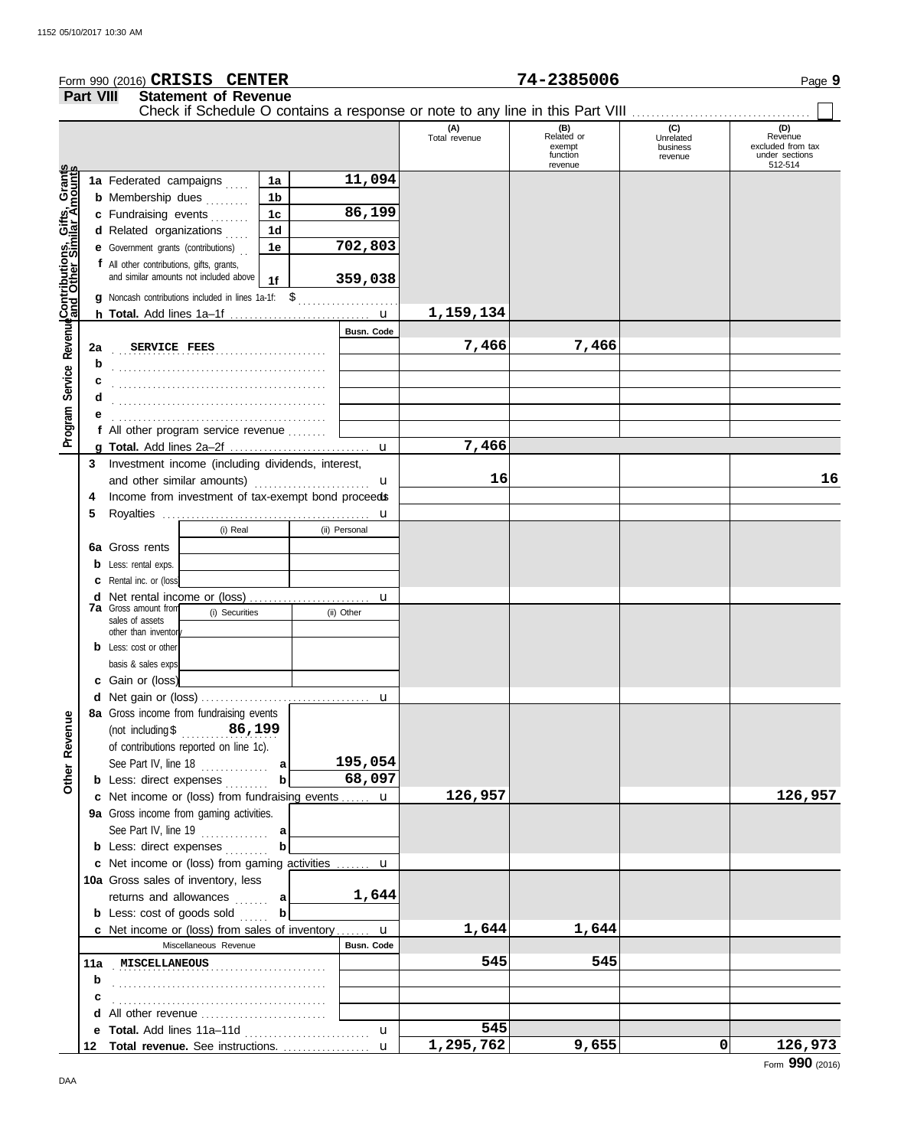|                                              |                  | Form 990 (2016) CRISIS CENTER                                    |          |                |   |                   |                      | 74-2385006                                                                    |                                         | Page 9                                                           |
|----------------------------------------------|------------------|------------------------------------------------------------------|----------|----------------|---|-------------------|----------------------|-------------------------------------------------------------------------------|-----------------------------------------|------------------------------------------------------------------|
|                                              | <b>Part VIII</b> | <b>Statement of Revenue</b>                                      |          |                |   |                   |                      |                                                                               |                                         |                                                                  |
|                                              |                  |                                                                  |          |                |   |                   |                      | Check if Schedule O contains a response or note to any line in this Part VIII |                                         |                                                                  |
|                                              |                  |                                                                  |          |                |   |                   | (A)<br>Total revenue | (B)<br>Related or<br>exempt<br>function<br>revenue                            | (C)<br>Unrelated<br>business<br>revenue | (D)<br>Revenue<br>excluded from tax<br>under sections<br>512-514 |
| Service Revenue Contributions, Gifts, Grants |                  | 1a Federated campaigns                                           |          | 1a             |   | 11,094            |                      |                                                                               |                                         |                                                                  |
|                                              |                  | <b>b</b> Membership dues                                         |          | 1b             |   |                   |                      |                                                                               |                                         |                                                                  |
|                                              |                  | c Fundraising events                                             |          | 1 <sup>c</sup> |   | 86,199            |                      |                                                                               |                                         |                                                                  |
|                                              |                  | d Related organizations                                          |          | 1d             |   |                   |                      |                                                                               |                                         |                                                                  |
|                                              |                  | <b>e</b> Government grants (contributions)                       |          | 1e             |   | 702,803           |                      |                                                                               |                                         |                                                                  |
|                                              |                  | f All other contributions, gifts, grants,                        |          |                |   |                   |                      |                                                                               |                                         |                                                                  |
|                                              |                  | and similar amounts not included above                           |          | 1f             |   | 359,038           |                      |                                                                               |                                         |                                                                  |
|                                              |                  | g Noncash contributions included in lines 1a-1f: \$              |          |                |   |                   |                      |                                                                               |                                         |                                                                  |
|                                              |                  |                                                                  |          |                |   |                   | 1,159,134            |                                                                               |                                         |                                                                  |
|                                              |                  |                                                                  |          |                |   | <b>Busn. Code</b> |                      |                                                                               |                                         |                                                                  |
|                                              | 2a               | SERVICE FEES                                                     |          |                |   |                   | 7,466                | 7,466                                                                         |                                         |                                                                  |
|                                              | b                |                                                                  |          |                |   |                   |                      |                                                                               |                                         |                                                                  |
|                                              | с                |                                                                  |          |                |   |                   |                      |                                                                               |                                         |                                                                  |
|                                              | d                |                                                                  |          |                |   |                   |                      |                                                                               |                                         |                                                                  |
|                                              |                  | f All other program service revenue                              |          |                |   |                   |                      |                                                                               |                                         |                                                                  |
| Program                                      |                  |                                                                  |          |                |   |                   | 7,466                |                                                                               |                                         |                                                                  |
|                                              | 3                | Investment income (including dividends, interest,                |          |                |   |                   |                      |                                                                               |                                         |                                                                  |
|                                              |                  | and other similar amounts)                                       |          |                |   | u                 | 16                   |                                                                               |                                         | 16                                                               |
|                                              | 4                | Income from investment of tax-exempt bond proceeds               |          |                |   |                   |                      |                                                                               |                                         |                                                                  |
|                                              | 5                |                                                                  |          |                |   | u                 |                      |                                                                               |                                         |                                                                  |
|                                              |                  |                                                                  | (i) Real |                |   | (ii) Personal     |                      |                                                                               |                                         |                                                                  |
|                                              | 6a               | Gross rents                                                      |          |                |   |                   |                      |                                                                               |                                         |                                                                  |
|                                              |                  | Less: rental exps.                                               |          |                |   |                   |                      |                                                                               |                                         |                                                                  |
|                                              |                  | Rental inc. or (loss)                                            |          |                |   |                   |                      |                                                                               |                                         |                                                                  |
|                                              | d                |                                                                  |          |                | u |                   |                      |                                                                               |                                         |                                                                  |
|                                              |                  | <b>7a</b> Gross amount from<br>(i) Securities<br>sales of assets |          |                |   | (ii) Other        |                      |                                                                               |                                         |                                                                  |
|                                              |                  | other than inventor                                              |          |                |   |                   |                      |                                                                               |                                         |                                                                  |
|                                              |                  | Less: cost or other                                              |          |                |   |                   |                      |                                                                               |                                         |                                                                  |
|                                              |                  | basis & sales exps                                               |          |                |   |                   |                      |                                                                               |                                         |                                                                  |
|                                              |                  | c Gain or (loss)                                                 |          |                |   |                   |                      |                                                                               |                                         |                                                                  |
|                                              |                  |                                                                  |          |                |   |                   |                      |                                                                               |                                         |                                                                  |
|                                              |                  | 8a Gross income from fundraising events                          |          |                |   |                   |                      |                                                                               |                                         |                                                                  |
|                                              |                  | (not including $$$ 86, 199                                       |          |                |   |                   |                      |                                                                               |                                         |                                                                  |
| Other Revenue                                |                  | of contributions reported on line 1c).                           |          |                |   |                   |                      |                                                                               |                                         |                                                                  |
|                                              |                  | See Part IV, line 18 $\ldots$                                    |          | a              |   | 195,054           |                      |                                                                               |                                         |                                                                  |
|                                              |                  | <b>b</b> Less: direct expenses                                   |          | b              |   | 68,097            |                      |                                                                               |                                         |                                                                  |
|                                              |                  | c Net income or (loss) from fundraising events  u                |          |                |   |                   | 126,957              |                                                                               |                                         | 126,957                                                          |
|                                              |                  | 9a Gross income from gaming activities.                          |          |                |   |                   |                      |                                                                               |                                         |                                                                  |
|                                              |                  | <b>b</b> Less: direct expenses                                   |          |                |   |                   |                      |                                                                               |                                         |                                                                  |
|                                              |                  | c Net income or (loss) from gaming activities  u                 |          |                |   |                   |                      |                                                                               |                                         |                                                                  |
|                                              |                  | 10a Gross sales of inventory, less                               |          |                |   |                   |                      |                                                                               |                                         |                                                                  |
|                                              |                  | returns and allowances  a                                        |          |                |   | 1,644             |                      |                                                                               |                                         |                                                                  |
|                                              |                  | <b>b</b> Less: cost of goods sold                                |          | b              |   |                   |                      |                                                                               |                                         |                                                                  |
|                                              |                  | c Net income or (loss) from sales of inventory  u                |          |                |   |                   | 1,644                | 1,644                                                                         |                                         |                                                                  |
|                                              |                  | Miscellaneous Revenue                                            |          |                |   | <b>Busn. Code</b> |                      |                                                                               |                                         |                                                                  |
|                                              |                  | 11a MISCELLANEOUS                                                |          |                |   |                   | 545                  | 545                                                                           |                                         |                                                                  |
|                                              | b                |                                                                  |          |                |   |                   |                      |                                                                               |                                         |                                                                  |
|                                              | с                |                                                                  |          |                |   |                   |                      |                                                                               |                                         |                                                                  |
|                                              |                  | d All other revenue                                              |          |                |   |                   |                      |                                                                               |                                         |                                                                  |
|                                              |                  |                                                                  |          |                |   | $\mathbf{u}$      | 545                  |                                                                               |                                         |                                                                  |
|                                              |                  |                                                                  |          |                |   |                   | 1,295,762            | 9,655                                                                         | 0                                       | 126,973                                                          |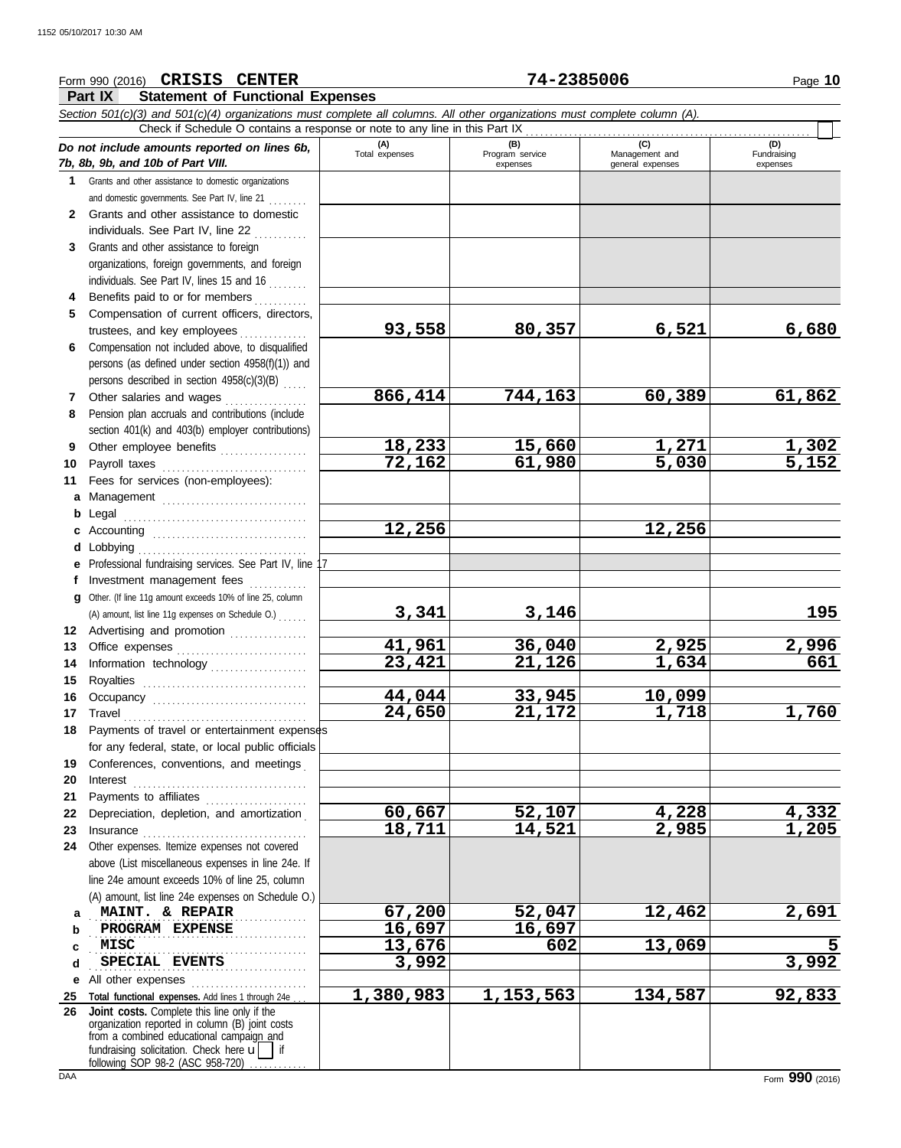## **Part IX Statement of Functional Expenses** Form 990 (2016) Page **10 CRISIS CENTER 74-2385006** *Section 501(c)(3) and 501(c)(4) organizations must complete all columns. All other organizations must complete column (A). Do not include amounts reported on lines 6b, 7b, 8b, 9b, and 10b of Part VIII.* **1 2 3 4** Benefits paid to or for members **........**.. **5 6** Compensation not included above, to disqualified **7** Other salaries and wages **. . . . . . . . . . . .** . . **8 9 10** Payroll taxes ............................... **11 a** Management .............................. **b** Legal **c** Accounting . . . . . . . . . . . . . . . . . . . . . . . . . . . . . . . . **d** Lobbying . . . . . . . . . . . . . . . . . . . . . . . . . . . . . . . . . . . **e** Professional fundraising services. See Part IV, line 17 **f g 12** Advertising and promotion ............... **13** Office expenses **.......................**... **14 15 16** Occupancy . . . . . . . . . . . . . . . . . . . . . . . . . . . . . . . . **17** Travel . . . . . . . . . . . . . . . . . . . . . . . . . . . . . . . . . . . . . . **18** Payments of travel or entertainment expenses **19** Conferences, conventions, and meetings . **20** Interest . . . . . . . . . . . . . . . . . . . . . . . . . . . . . . . . . . . . **21 22** Depreciation, depletion, and amortization . **23** Insurance . . . . . . . . . . . . . . . . . . . . . . . . . . . . . . . . . . **24** Other expenses. Itemize expenses not covered **a** . . . . . . . . . . . . . . . . . . . . . . . . . . . . . . . . . . . . . . . . . . . . . **MAINT. & REPAIR 67,200 52,047 12,462 2,691 b** PROGRAM EXPENSE **16,697 16,697 c** Grants and other assistance to domestic organizations and domestic governments. See Part IV, line 21 . . . . . . . . Grants and other assistance to domestic individuals. See Part IV, line 22 Grants and other assistance to foreign organizations, foreign governments, and foreign individuals. See Part IV, lines 15 and 16 Compensation of current officers, directors, trustees, and key employees ............... persons (as defined under section 4958(f)(1)) and persons described in section 4958(c)(3)(B) . . . . . Pension plan accruals and contributions (include section 401(k) and 403(b) employer contributions) Other employee benefits .................. Fees for services (non-employees): . . . . . . . . . . . . . . . . . . . . . . . . . . . . . . . . . . . . . . Investment management fees Other. (If line 11g amount exceeds 10% of line 25, column Information technology . . . . . . . . . . . . . . . . . . . . Royalties . . . . . . . . . . . . . . . . . . . . . . . . . . . . . . . . . . for any federal, state, or local public officials Payments to affiliates ....................... above (List miscellaneous expenses in line 24e. If line 24e amount exceeds 10% of line 25, column (A) amount, list line 24e expenses on Schedule O.) **(A) (B) (C) C**<br>Total expenses **a Program service Manageme** Total expenses<br>
expenses Program service<br>
Program service<br>  $\frac{1}{2}$ <br>  $\frac{1}{2}$ <br>  $\frac{1}{2}$ <br>  $\frac{1}{2}$ <br>  $\frac{1}{2}$ <br>  $\frac{1}{2}$ <br>  $\frac{1}{2}$ <br>  $\frac{1}{2}$ <br>  $\frac{1}{2}$ <br>  $\frac{1}{2}$ <br>  $\frac{1}{2}$ <br>  $\frac{1}{2}$ <br>  $\frac{1}{2}$ <br>  $\frac{1}{2}$ <br>  $\frac{1}{2}$ expenses general expenses (D)<br>Fundraising expenses . . . . . . . . . . . . . . . . . . . . . . . . . . . . . . . . . . . . . . . . . . . . . Check if Schedule O contains a response or note to any line in this Part IX (A) amount, list line 11g expenses on Schedule O.) . . . . . . **93,558 80,357 6,521 6,680 866,414 744,163 60,389 61,862 18,233 15,660 1,271 1,302 72,162 61,980 5,030 5,152 12,256 12,256 3,341 3,146 195 41,961 36,040 2,925 2,996 23,421 21,126 1,634 661 44,044 33,945 10,099 24,650 21,172 1,718 1,760 60,667 52,107 4,228 4,332 18,711 14,521 2,985 1,205 MISC 13,676 602 13,069 5**

. . . . . . . . . . . . . . . . . . . . . . . . . . . . . . . . . . . . . . . . . . . . . **SPECIAL EVENTS 3,992 3,992**

**e** All other expenses . . . . . . . . . . . . . . . . . . . . . . . . **25 Total functional expenses.** Add lines 1 through 24e . . . fundraising solicitation. Check here  $\mathbf{u}$  | if organization reported in column (B) joint costs from a combined educational campaign and following SOP 98-2 (ASC 958-720) **Joint costs.** Complete this line only if the **1,380,983 1,153,563 134,587 92,833**

**26**

**d**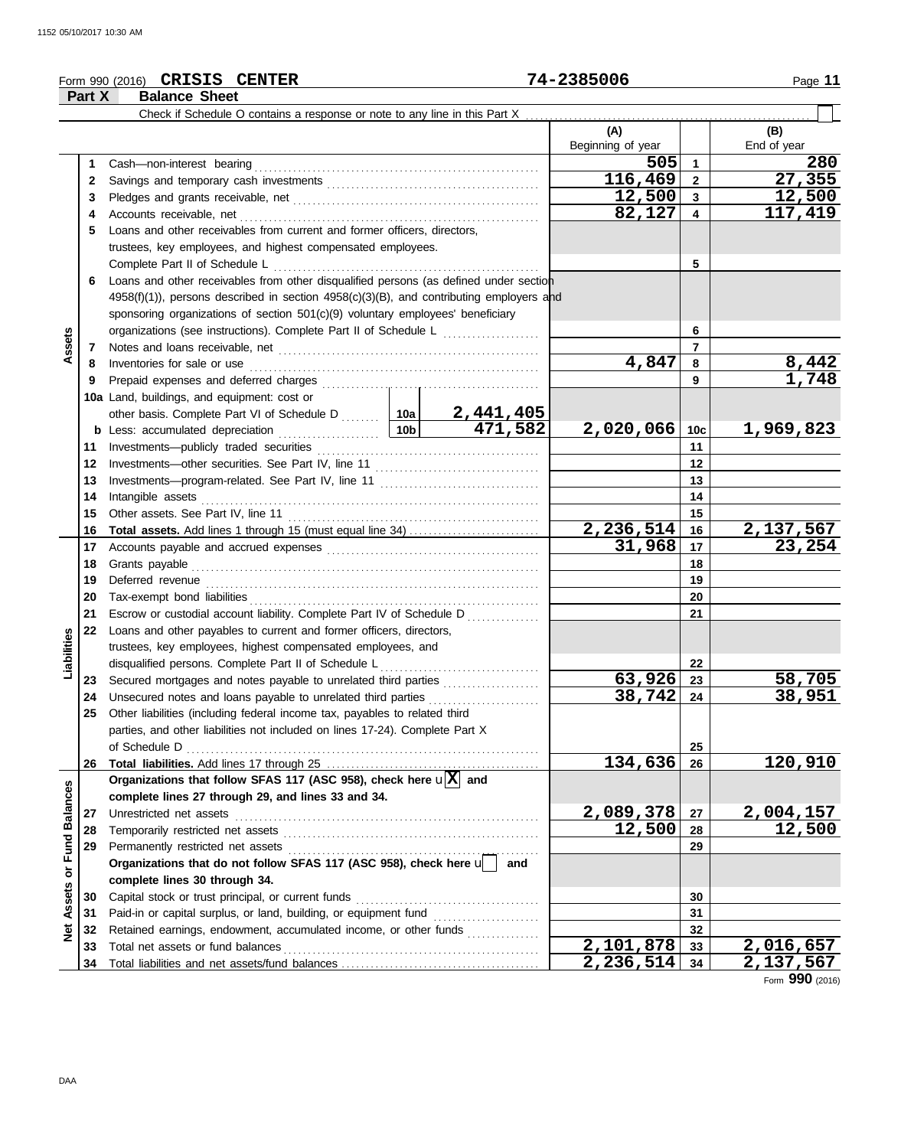## Form 990 (2016) Page **11 CRISIS CENTER 74-2385006**

|                   | Part X   | <b>Balance Sheet</b>                                                                                                |  |     |                   |                         |                     |
|-------------------|----------|---------------------------------------------------------------------------------------------------------------------|--|-----|-------------------|-------------------------|---------------------|
|                   |          | Check if Schedule O contains a response or note to any line in this Part X                                          |  |     |                   |                         |                     |
|                   |          |                                                                                                                     |  |     | (A)               |                         | (B)                 |
|                   |          |                                                                                                                     |  |     | Beginning of year |                         | End of year         |
|                   | 1        | Cash-non-interest bearing                                                                                           |  |     | 505               | 1                       | 280                 |
|                   | 2        |                                                                                                                     |  |     | 116,469           | $\mathbf 2$             | 27,355              |
|                   | 3        |                                                                                                                     |  |     | 12,500            | $\overline{\mathbf{3}}$ | 12,500              |
|                   | 4        |                                                                                                                     |  |     | 82,127            | 4                       | 117,419             |
|                   | 5        | Loans and other receivables from current and former officers, directors,                                            |  |     |                   |                         |                     |
|                   |          | trustees, key employees, and highest compensated employees.                                                         |  |     |                   |                         |                     |
|                   |          | Complete Part II of Schedule L                                                                                      |  |     |                   | 5                       |                     |
|                   | 6        | Loans and other receivables from other disqualified persons (as defined under section                               |  |     |                   |                         |                     |
|                   |          | 4958(f)(1)), persons described in section 4958(c)(3)(B), and contributing employers and                             |  |     |                   |                         |                     |
|                   |          | sponsoring organizations of section 501(c)(9) voluntary employees' beneficiary                                      |  |     |                   |                         |                     |
|                   |          | organizations (see instructions). Complete Part II of Schedule L                                                    |  |     |                   | 6                       |                     |
| Assets            | 7        |                                                                                                                     |  |     |                   | $\overline{ }$          |                     |
|                   | 8        | Inventories for sale or use                                                                                         |  |     | 4,847             | 8                       | 8,442               |
|                   | 9        |                                                                                                                     |  |     |                   | 9                       | 1,748               |
|                   |          | 10a Land, buildings, and equipment: cost or                                                                         |  |     |                   |                         |                     |
|                   |          |                                                                                                                     |  |     |                   |                         |                     |
|                   |          | other basis. Complete Part VI of Schedule D  10a 2,441,405<br><u>10b</u><br><b>b</b> Less: accumulated depreciation |  |     | 2,020,066         | 10c                     | 1,969,823           |
|                   | 11       | Investments-publicly traded securities                                                                              |  |     |                   | 11                      |                     |
|                   | 12       |                                                                                                                     |  |     |                   | 12                      |                     |
|                   | 13       |                                                                                                                     |  |     |                   | 13                      |                     |
|                   | 14       | Intangible assets                                                                                                   |  | 14  |                   |                         |                     |
|                   | 15       | Other assets. See Part IV, line 11                                                                                  |  |     |                   | 15                      |                     |
|                   | 16       |                                                                                                                     |  |     | 2,236,514         | 16                      | 2,137,567           |
|                   | 17       |                                                                                                                     |  |     | 31,968            | 17                      | 23,254              |
|                   | 18       |                                                                                                                     |  |     | 18                |                         |                     |
|                   | 19       |                                                                                                                     |  |     | 19                |                         |                     |
|                   | 20       |                                                                                                                     |  |     | 20                |                         |                     |
|                   | 21       | Escrow or custodial account liability. Complete Part IV of Schedule D                                               |  |     |                   | 21                      |                     |
|                   | 22       | Loans and other payables to current and former officers, directors,                                                 |  |     |                   |                         |                     |
|                   |          | trustees, key employees, highest compensated employees, and                                                         |  |     |                   |                         |                     |
| Liabilities       |          | disqualified persons. Complete Part II of Schedule L                                                                |  |     |                   | 22                      |                     |
|                   | 23       | Secured mortgages and notes payable to unrelated third parties                                                      |  |     | 63,926            | 23                      | 58,705              |
|                   | 24       | Unsecured notes and loans payable to unrelated third parties                                                        |  |     | 38,742            | 24                      | 38,951              |
|                   | 25       | Other liabilities (including federal income tax, payables to related third                                          |  |     |                   |                         |                     |
|                   |          | parties, and other liabilities not included on lines 17-24). Complete Part X                                        |  |     |                   |                         |                     |
|                   |          | of Schedule D                                                                                                       |  |     |                   | 25                      |                     |
|                   | 26       |                                                                                                                     |  |     | 134,636           | 26                      | 120,910             |
|                   |          | Organizations that follow SFAS 117 (ASC 958), check here $\mathbf{u}[\overline{X}]$ and                             |  |     |                   |                         |                     |
|                   |          | complete lines 27 through 29, and lines 33 and 34.                                                                  |  |     |                   |                         |                     |
| or Fund Balances  | 27       | Unrestricted net assets                                                                                             |  |     | 2,089,378         | 27                      | 2,004,157<br>12,500 |
|                   | 28       |                                                                                                                     |  |     | 12,500            | 28<br>29                |                     |
|                   | 29       | Permanently restricted net assets<br>Organizations that do not follow SFAS 117 (ASC 958), check here u              |  | and |                   |                         |                     |
|                   |          |                                                                                                                     |  |     |                   |                         |                     |
|                   |          | complete lines 30 through 34.                                                                                       |  |     |                   |                         |                     |
|                   | 30       | Capital stock or trust principal, or current funds                                                                  |  |     |                   | 30<br>31                |                     |
| <b>Net Assets</b> | 31       | Retained earnings, endowment, accumulated income, or other funds                                                    |  |     |                   | 32                      |                     |
|                   | 32<br>33 | Total net assets or fund balances                                                                                   |  |     | 2,101,878         | 33                      | 2,016,657           |
|                   | 34       |                                                                                                                     |  |     | 2,236,514         | 34                      | <u>2,137,567</u>    |
|                   |          |                                                                                                                     |  |     |                   |                         |                     |

Form **990** (2016)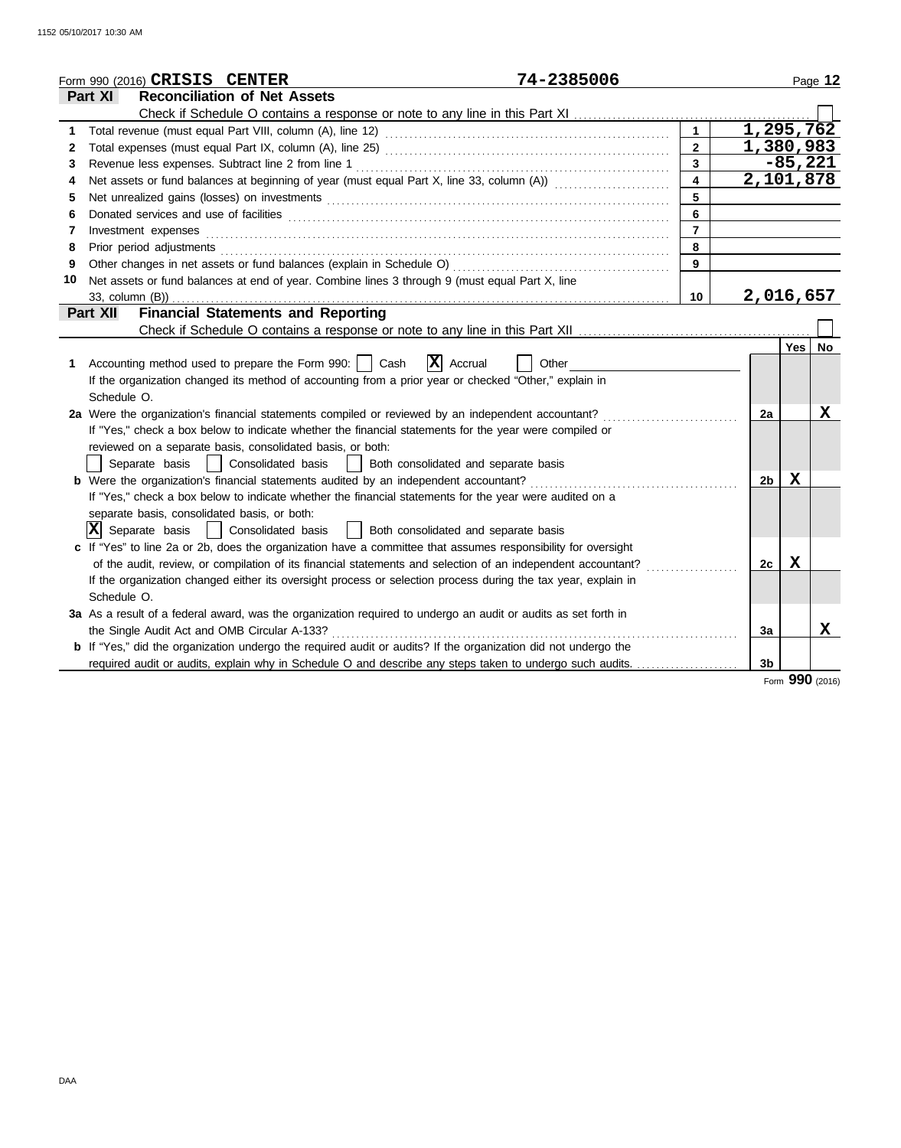|    | 74-2385006<br>Form 990 (2016) CRISIS CENTER                                                                           |                         |                |            | Page 12         |
|----|-----------------------------------------------------------------------------------------------------------------------|-------------------------|----------------|------------|-----------------|
|    | <b>Reconciliation of Net Assets</b><br><b>Part XI</b>                                                                 |                         |                |            |                 |
|    |                                                                                                                       |                         |                |            |                 |
| 1  |                                                                                                                       | $\mathbf{1}$            | 1,295,762      |            |                 |
| 2  |                                                                                                                       | $\overline{2}$          | 1,380,983      |            |                 |
| 3  |                                                                                                                       | $\overline{3}$          |                | $-85,221$  |                 |
| 4  | Net assets or fund balances at beginning of year (must equal Part X, line 33, column (A)) [[[[[[[[[[[[[[[[[[[         | $\overline{\mathbf{4}}$ | 2,101,878      |            |                 |
| 5  |                                                                                                                       | 5                       |                |            |                 |
| 6  |                                                                                                                       | 6                       |                |            |                 |
| 7  | Investment expenses                                                                                                   | $\overline{7}$          |                |            |                 |
| 8  |                                                                                                                       | 8                       |                |            |                 |
| 9  |                                                                                                                       | 9                       |                |            |                 |
| 10 | Net assets or fund balances at end of year. Combine lines 3 through 9 (must equal Part X, line                        |                         |                |            |                 |
|    | 33, column (B))                                                                                                       | 10                      | 2,016,657      |            |                 |
|    | <b>Financial Statements and Reporting</b><br><b>Part XII</b>                                                          |                         |                |            |                 |
|    |                                                                                                                       |                         |                |            |                 |
|    |                                                                                                                       |                         |                | <b>Yes</b> | <b>No</b>       |
| 1. | $\mathbf{X}$ Accrual<br>Accounting method used to prepare the Form 990:     Cash<br>Other                             |                         |                |            |                 |
|    | If the organization changed its method of accounting from a prior year or checked "Other," explain in                 |                         |                |            |                 |
|    | Schedule O.                                                                                                           |                         |                |            |                 |
|    | 2a Were the organization's financial statements compiled or reviewed by an independent accountant?                    |                         | 2a             |            | х               |
|    | If "Yes," check a box below to indicate whether the financial statements for the year were compiled or                |                         |                |            |                 |
|    | reviewed on a separate basis, consolidated basis, or both:                                                            |                         |                |            |                 |
|    | Separate basis<br>Consolidated basis<br>Both consolidated and separate basis                                          |                         |                |            |                 |
|    | b Were the organization's financial statements audited by an independent accountant?                                  |                         | 2 <sub>b</sub> | X          |                 |
|    | If "Yes," check a box below to indicate whether the financial statements for the year were audited on a               |                         |                |            |                 |
|    | separate basis, consolidated basis, or both:                                                                          |                         |                |            |                 |
|    | $ \mathbf{X} $ Separate basis<br>Both consolidated and separate basis<br>Consolidated basis                           |                         |                |            |                 |
|    | c If "Yes" to line 2a or 2b, does the organization have a committee that assumes responsibility for oversight         |                         |                |            |                 |
|    | of the audit, review, or compilation of its financial statements and selection of an independent accountant?          |                         | 2c             | Х          |                 |
|    | If the organization changed either its oversight process or selection process during the tax year, explain in         |                         |                |            |                 |
|    | Schedule O.                                                                                                           |                         |                |            |                 |
|    | 3a As a result of a federal award, was the organization required to undergo an audit or audits as set forth in        |                         |                |            |                 |
|    | the Single Audit Act and OMB Circular A-133?                                                                          |                         | 3a             |            | x               |
|    | <b>b</b> If "Yes," did the organization undergo the required audit or audits? If the organization did not undergo the |                         |                |            |                 |
|    |                                                                                                                       |                         | 3 <sub>b</sub> |            |                 |
|    |                                                                                                                       |                         |                |            | Form 990 (2016) |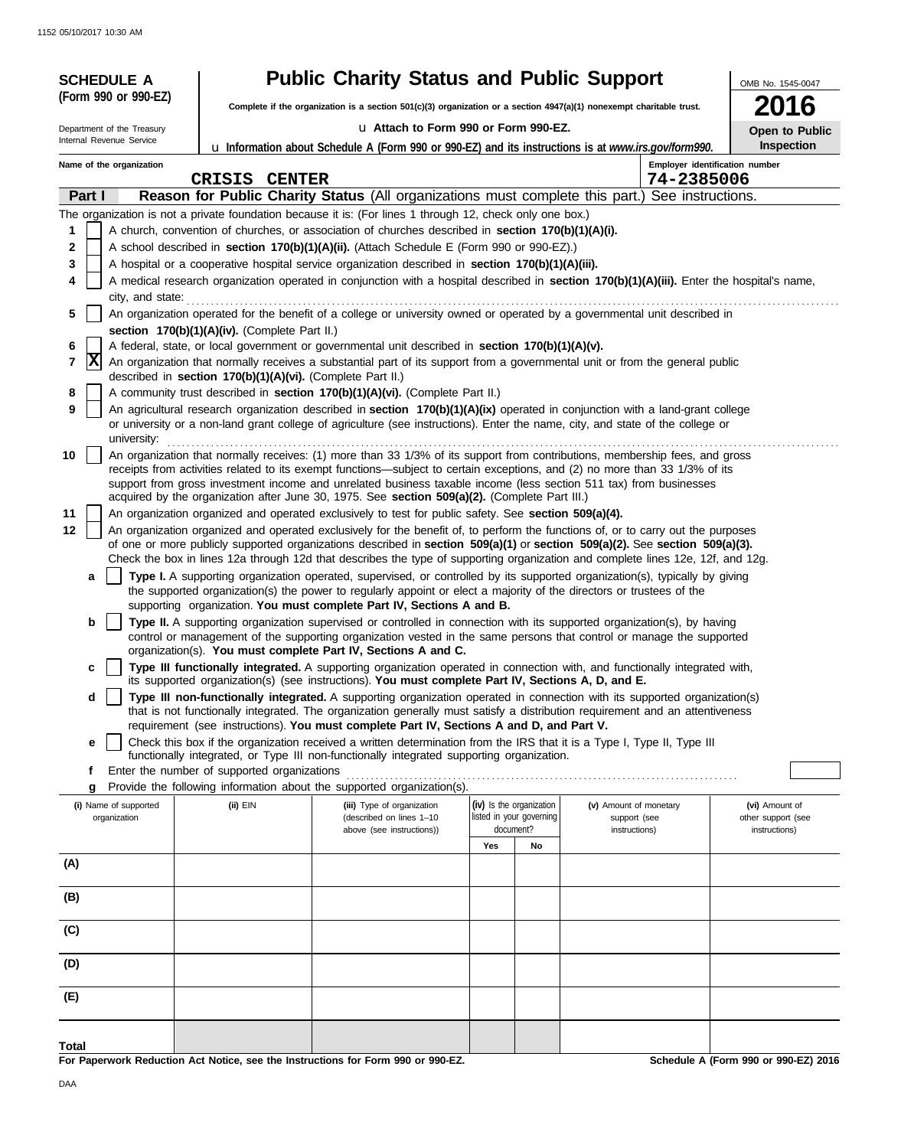| <b>SCHEDULE A</b>                                                                                           |                                                                                                             | <b>Public Charity Status and Public Support</b>                                                                                                                                                                                                                                                                                                                                                                                                                                                                                                                                                                                                                                                                                                                                                                                                                                                                                                                                                                                                                                                                                                                                                                                                                                                                                                                                                                                                                                                                                                                                                                                                                                                                                                                                                                                                                                                                                                                                         |                                                                   |    |                                                         |                                |                                                       |
|-------------------------------------------------------------------------------------------------------------|-------------------------------------------------------------------------------------------------------------|-----------------------------------------------------------------------------------------------------------------------------------------------------------------------------------------------------------------------------------------------------------------------------------------------------------------------------------------------------------------------------------------------------------------------------------------------------------------------------------------------------------------------------------------------------------------------------------------------------------------------------------------------------------------------------------------------------------------------------------------------------------------------------------------------------------------------------------------------------------------------------------------------------------------------------------------------------------------------------------------------------------------------------------------------------------------------------------------------------------------------------------------------------------------------------------------------------------------------------------------------------------------------------------------------------------------------------------------------------------------------------------------------------------------------------------------------------------------------------------------------------------------------------------------------------------------------------------------------------------------------------------------------------------------------------------------------------------------------------------------------------------------------------------------------------------------------------------------------------------------------------------------------------------------------------------------------------------------------------------------|-------------------------------------------------------------------|----|---------------------------------------------------------|--------------------------------|-------------------------------------------------------|
| (Form 990 or 990-EZ)                                                                                        |                                                                                                             | Complete if the organization is a section 501(c)(3) organization or a section $4947(a)(1)$ nonexempt charitable trust.                                                                                                                                                                                                                                                                                                                                                                                                                                                                                                                                                                                                                                                                                                                                                                                                                                                                                                                                                                                                                                                                                                                                                                                                                                                                                                                                                                                                                                                                                                                                                                                                                                                                                                                                                                                                                                                                  |                                                                   |    |                                                         |                                | OMB No. 1545-0047<br><b>2016</b>                      |
| Department of the Treasury                                                                                  |                                                                                                             | La Attach to Form 990 or Form 990-EZ.                                                                                                                                                                                                                                                                                                                                                                                                                                                                                                                                                                                                                                                                                                                                                                                                                                                                                                                                                                                                                                                                                                                                                                                                                                                                                                                                                                                                                                                                                                                                                                                                                                                                                                                                                                                                                                                                                                                                                   |                                                                   |    |                                                         |                                | Open to Public                                        |
| Internal Revenue Service                                                                                    |                                                                                                             | <b>u</b> Information about Schedule A (Form 990 or 990-EZ) and its instructions is at www.irs.gov/form990.                                                                                                                                                                                                                                                                                                                                                                                                                                                                                                                                                                                                                                                                                                                                                                                                                                                                                                                                                                                                                                                                                                                                                                                                                                                                                                                                                                                                                                                                                                                                                                                                                                                                                                                                                                                                                                                                              |                                                                   |    |                                                         |                                | <b>Inspection</b>                                     |
| Name of the organization                                                                                    |                                                                                                             |                                                                                                                                                                                                                                                                                                                                                                                                                                                                                                                                                                                                                                                                                                                                                                                                                                                                                                                                                                                                                                                                                                                                                                                                                                                                                                                                                                                                                                                                                                                                                                                                                                                                                                                                                                                                                                                                                                                                                                                         |                                                                   |    |                                                         | Employer identification number |                                                       |
|                                                                                                             | <b>CRISIS</b><br><b>CENTER</b>                                                                              |                                                                                                                                                                                                                                                                                                                                                                                                                                                                                                                                                                                                                                                                                                                                                                                                                                                                                                                                                                                                                                                                                                                                                                                                                                                                                                                                                                                                                                                                                                                                                                                                                                                                                                                                                                                                                                                                                                                                                                                         |                                                                   |    |                                                         | 74-2385006                     |                                                       |
| Part I<br>1<br>2<br>3<br>4<br>city, and state:<br>5<br>6<br>$ {\bf x} $<br>7<br>8<br>9<br>university:<br>10 | section 170(b)(1)(A)(iv). (Complete Part II.)<br>described in section 170(b)(1)(A)(vi). (Complete Part II.) | <b>Reason for Public Charity Status</b> (All organizations must complete this part.) See instructions.<br>The organization is not a private foundation because it is: (For lines 1 through 12, check only one box.)<br>A church, convention of churches, or association of churches described in section 170(b)(1)(A)(i).<br>A school described in section 170(b)(1)(A)(ii). (Attach Schedule E (Form 990 or 990-EZ).)<br>A hospital or a cooperative hospital service organization described in section 170(b)(1)(A)(iii).<br>A medical research organization operated in conjunction with a hospital described in section 170(b)(1)(A)(iii). Enter the hospital's name,<br>An organization operated for the benefit of a college or university owned or operated by a governmental unit described in<br>A federal, state, or local government or governmental unit described in section 170(b)(1)(A)(v).<br>An organization that normally receives a substantial part of its support from a governmental unit or from the general public<br>A community trust described in section 170(b)(1)(A)(vi). (Complete Part II.)<br>An agricultural research organization described in section 170(b)(1)(A)(ix) operated in conjunction with a land-grant college<br>or university or a non-land grant college of agriculture (see instructions). Enter the name, city, and state of the college or<br>An organization that normally receives: (1) more than 33 1/3% of its support from contributions, membership fees, and gross<br>receipts from activities related to its exempt functions—subject to certain exceptions, and (2) no more than 33 1/3% of its<br>support from gross investment income and unrelated business taxable income (less section 511 tax) from businesses                                                                                                                                                                                                        |                                                                   |    |                                                         |                                |                                                       |
| 11<br>12<br>a<br>b<br>d<br>е                                                                                |                                                                                                             | acquired by the organization after June 30, 1975. See section 509(a)(2). (Complete Part III.)<br>An organization organized and operated exclusively to test for public safety. See section 509(a)(4).<br>An organization organized and operated exclusively for the benefit of, to perform the functions of, or to carry out the purposes<br>of one or more publicly supported organizations described in section 509(a)(1) or section 509(a)(2). See section 509(a)(3).<br>Check the box in lines 12a through 12d that describes the type of supporting organization and complete lines 12e, 12f, and 12g.<br>Type I. A supporting organization operated, supervised, or controlled by its supported organization(s), typically by giving<br>the supported organization(s) the power to regularly appoint or elect a majority of the directors or trustees of the<br>supporting organization. You must complete Part IV, Sections A and B.<br>Type II. A supporting organization supervised or controlled in connection with its supported organization(s), by having<br>control or management of the supporting organization vested in the same persons that control or manage the supported<br>organization(s). You must complete Part IV, Sections A and C.<br>Type III functionally integrated. A supporting organization operated in connection with, and functionally integrated with,<br>its supported organization(s) (see instructions). You must complete Part IV, Sections A, D, and E.<br>Type III non-functionally integrated. A supporting organization operated in connection with its supported organization(s)<br>that is not functionally integrated. The organization generally must satisfy a distribution requirement and an attentiveness<br>requirement (see instructions). You must complete Part IV, Sections A and D, and Part V.<br>Check this box if the organization received a written determination from the IRS that it is a Type I, Type II, Type III |                                                                   |    |                                                         |                                |                                                       |
| f<br>g                                                                                                      | Enter the number of supported organizations                                                                 | functionally integrated, or Type III non-functionally integrated supporting organization.<br>Provide the following information about the supported organization(s).                                                                                                                                                                                                                                                                                                                                                                                                                                                                                                                                                                                                                                                                                                                                                                                                                                                                                                                                                                                                                                                                                                                                                                                                                                                                                                                                                                                                                                                                                                                                                                                                                                                                                                                                                                                                                     |                                                                   |    |                                                         |                                |                                                       |
| (i) Name of supported<br>organization                                                                       | $(ii)$ EIN                                                                                                  | (iii) Type of organization<br>(described on lines 1-10<br>above (see instructions))                                                                                                                                                                                                                                                                                                                                                                                                                                                                                                                                                                                                                                                                                                                                                                                                                                                                                                                                                                                                                                                                                                                                                                                                                                                                                                                                                                                                                                                                                                                                                                                                                                                                                                                                                                                                                                                                                                     | (iv) Is the organization<br>listed in your governing<br>document? |    | (v) Amount of monetary<br>support (see<br>instructions) |                                | (vi) Amount of<br>other support (see<br>instructions) |
| (A)                                                                                                         |                                                                                                             |                                                                                                                                                                                                                                                                                                                                                                                                                                                                                                                                                                                                                                                                                                                                                                                                                                                                                                                                                                                                                                                                                                                                                                                                                                                                                                                                                                                                                                                                                                                                                                                                                                                                                                                                                                                                                                                                                                                                                                                         | Yes                                                               | No |                                                         |                                |                                                       |
| (B)                                                                                                         |                                                                                                             |                                                                                                                                                                                                                                                                                                                                                                                                                                                                                                                                                                                                                                                                                                                                                                                                                                                                                                                                                                                                                                                                                                                                                                                                                                                                                                                                                                                                                                                                                                                                                                                                                                                                                                                                                                                                                                                                                                                                                                                         |                                                                   |    |                                                         |                                |                                                       |
| (C)                                                                                                         |                                                                                                             |                                                                                                                                                                                                                                                                                                                                                                                                                                                                                                                                                                                                                                                                                                                                                                                                                                                                                                                                                                                                                                                                                                                                                                                                                                                                                                                                                                                                                                                                                                                                                                                                                                                                                                                                                                                                                                                                                                                                                                                         |                                                                   |    |                                                         |                                |                                                       |
| (D)                                                                                                         |                                                                                                             |                                                                                                                                                                                                                                                                                                                                                                                                                                                                                                                                                                                                                                                                                                                                                                                                                                                                                                                                                                                                                                                                                                                                                                                                                                                                                                                                                                                                                                                                                                                                                                                                                                                                                                                                                                                                                                                                                                                                                                                         |                                                                   |    |                                                         |                                |                                                       |
| (E)                                                                                                         |                                                                                                             |                                                                                                                                                                                                                                                                                                                                                                                                                                                                                                                                                                                                                                                                                                                                                                                                                                                                                                                                                                                                                                                                                                                                                                                                                                                                                                                                                                                                                                                                                                                                                                                                                                                                                                                                                                                                                                                                                                                                                                                         |                                                                   |    |                                                         |                                |                                                       |
| Total                                                                                                       |                                                                                                             |                                                                                                                                                                                                                                                                                                                                                                                                                                                                                                                                                                                                                                                                                                                                                                                                                                                                                                                                                                                                                                                                                                                                                                                                                                                                                                                                                                                                                                                                                                                                                                                                                                                                                                                                                                                                                                                                                                                                                                                         |                                                                   |    |                                                         |                                |                                                       |

**For Paperwork Reduction Act Notice, see the Instructions for Form 990 or 990-EZ.**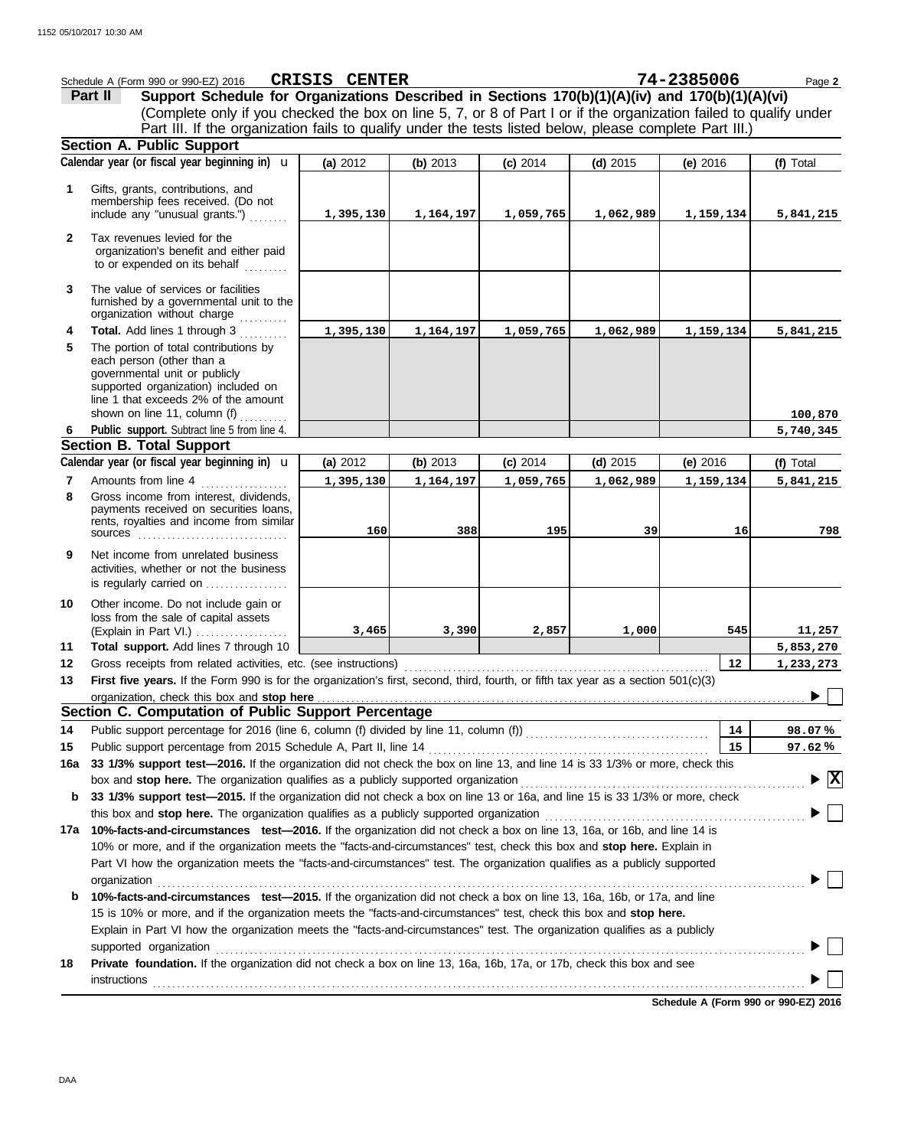|              | Schedule A (Form 990 or 990-EZ) 2016                                                                                                                                                                                           | CRISIS CENTER |           |            |            | 74-2385006 | Page 2         |
|--------------|--------------------------------------------------------------------------------------------------------------------------------------------------------------------------------------------------------------------------------|---------------|-----------|------------|------------|------------|----------------|
|              | Support Schedule for Organizations Described in Sections 170(b)(1)(A)(iv) and 170(b)(1)(A)(vi)<br>Part II                                                                                                                      |               |           |            |            |            |                |
|              | (Complete only if you checked the box on line 5, 7, or 8 of Part I or if the organization failed to qualify under                                                                                                              |               |           |            |            |            |                |
|              | Part III. If the organization fails to qualify under the tests listed below, please complete Part III.)                                                                                                                        |               |           |            |            |            |                |
|              | <b>Section A. Public Support</b>                                                                                                                                                                                               |               |           |            |            |            |                |
|              | Calendar year (or fiscal year beginning in) $\mathbf u$                                                                                                                                                                        | (a) 2012      | (b) 2013  | $(c)$ 2014 | $(d)$ 2015 | (e) 2016   | (f) Total      |
|              |                                                                                                                                                                                                                                |               |           |            |            |            |                |
| 1            | Gifts, grants, contributions, and                                                                                                                                                                                              |               |           |            |            |            |                |
|              | membership fees received. (Do not                                                                                                                                                                                              |               |           |            |            |            |                |
|              | include any "unusual grants.")                                                                                                                                                                                                 | 1,395,130     | 1,164,197 | 1,059,765  | 1,062,989  | 1,159,134  | 5,841,215      |
| $\mathbf{2}$ | Tax revenues levied for the                                                                                                                                                                                                    |               |           |            |            |            |                |
|              | organization's benefit and either paid                                                                                                                                                                                         |               |           |            |            |            |                |
|              | to or expended on its behalf                                                                                                                                                                                                   |               |           |            |            |            |                |
| 3            | The value of services or facilities                                                                                                                                                                                            |               |           |            |            |            |                |
|              | furnished by a governmental unit to the                                                                                                                                                                                        |               |           |            |            |            |                |
|              | organization without charge                                                                                                                                                                                                    |               |           |            |            |            |                |
| 4            | Total. Add lines 1 through 3                                                                                                                                                                                                   | 1,395,130     | 1,164,197 | 1,059,765  | 1,062,989  | 1,159,134  | 5,841,215      |
| 5            | The portion of total contributions by                                                                                                                                                                                          |               |           |            |            |            |                |
|              | each person (other than a                                                                                                                                                                                                      |               |           |            |            |            |                |
|              | governmental unit or publicly                                                                                                                                                                                                  |               |           |            |            |            |                |
|              | supported organization) included on<br>line 1 that exceeds 2% of the amount                                                                                                                                                    |               |           |            |            |            |                |
|              | shown on line 11, column (f) $\ldots$                                                                                                                                                                                          |               |           |            |            |            | 100,870        |
| 6            | Public support. Subtract line 5 from line 4.                                                                                                                                                                                   |               |           |            |            |            | 5,740,345      |
|              | <b>Section B. Total Support</b>                                                                                                                                                                                                |               |           |            |            |            |                |
|              | Calendar year (or fiscal year beginning in) <b>u</b>                                                                                                                                                                           | (a) 2012      | (b) 2013  | (c) 2014   | $(d)$ 2015 | (e) $2016$ | (f) Total      |
| 7            | Amounts from line 4                                                                                                                                                                                                            | 1,395,130     | 1,164,197 | 1,059,765  | 1,062,989  | 1,159,134  | 5,841,215      |
| 8            | Gross income from interest, dividends,                                                                                                                                                                                         |               |           |            |            |            |                |
|              | payments received on securities loans,                                                                                                                                                                                         |               |           |            |            |            |                |
|              | rents, royalties and income from similar                                                                                                                                                                                       |               |           |            |            |            |                |
|              | <b>sources</b>                                                                                                                                                                                                                 | 160           | 388       | 195        | 39         | 16         | 798            |
| 9            | Net income from unrelated business                                                                                                                                                                                             |               |           |            |            |            |                |
|              | activities, whether or not the business                                                                                                                                                                                        |               |           |            |            |            |                |
|              | is regularly carried on                                                                                                                                                                                                        |               |           |            |            |            |                |
| 10           | Other income. Do not include gain or                                                                                                                                                                                           |               |           |            |            |            |                |
|              | loss from the sale of capital assets                                                                                                                                                                                           |               |           |            |            |            |                |
|              | (Explain in Part VI.)                                                                                                                                                                                                          | 3,465         | 3,390     | 2,857      | 1,000      | 545        | 11,257         |
| 11           | Total support. Add lines 7 through 10                                                                                                                                                                                          |               |           |            |            |            | 5,853,270      |
| 12           | Gross receipts from related activities, etc. (see instructions)                                                                                                                                                                |               |           |            |            | 12         | 1,233,273      |
| 13           | First five years. If the Form 990 is for the organization's first, second, third, fourth, or fifth tax year as a section 501(c)(3)                                                                                             |               |           |            |            |            |                |
|              | organization, check this box and stop here contained and state and state and state and state and state and stop here contained and stop here are all the state and state and state and state and state and state and state and |               |           |            |            |            |                |
|              | Section C. Computation of Public Support Percentage                                                                                                                                                                            |               |           |            |            |            |                |
| 14           |                                                                                                                                                                                                                                |               |           |            |            | 14         | 98.07%         |
| 15           |                                                                                                                                                                                                                                |               |           |            |            | 15         | 97.62%         |
| 16a          | 33 1/3% support test-2016. If the organization did not check the box on line 13, and line 14 is 33 1/3% or more, check this                                                                                                    |               |           |            |            |            |                |
|              |                                                                                                                                                                                                                                |               |           |            |            |            | $\mathbf{ x }$ |
| b            | 33 1/3% support test-2015. If the organization did not check a box on line 13 or 16a, and line 15 is 33 1/3% or more, check                                                                                                    |               |           |            |            |            |                |
|              | this box and stop here. The organization qualifies as a publicly supported organization [11] content to serve the content of the content of the server with the server with the server with the server with the server with th |               |           |            |            |            |                |
| 17a          | 10%-facts-and-circumstances test-2016. If the organization did not check a box on line 13, 16a, or 16b, and line 14 is                                                                                                         |               |           |            |            |            |                |
|              | 10% or more, and if the organization meets the "facts-and-circumstances" test, check this box and stop here. Explain in                                                                                                        |               |           |            |            |            |                |
|              | Part VI how the organization meets the "facts-and-circumstances" test. The organization qualifies as a publicly supported                                                                                                      |               |           |            |            |            |                |
|              | organization                                                                                                                                                                                                                   |               |           |            |            |            |                |
| b            | 10%-facts-and-circumstances test-2015. If the organization did not check a box on line 13, 16a, 16b, or 17a, and line                                                                                                          |               |           |            |            |            |                |
|              | 15 is 10% or more, and if the organization meets the "facts-and-circumstances" test, check this box and stop here.                                                                                                             |               |           |            |            |            |                |
|              | Explain in Part VI how the organization meets the "facts-and-circumstances" test. The organization qualifies as a publicly                                                                                                     |               |           |            |            |            |                |
|              | supported organization contains and contains a supported organization of the supported organization contains and contains a supported organization contains a supported or support of the support of the support of the suppor |               |           |            |            |            |                |
| 18           | Private foundation. If the organization did not check a box on line 13, 16a, 16b, 17a, or 17b, check this box and see                                                                                                          |               |           |            |            |            |                |
|              |                                                                                                                                                                                                                                |               |           |            |            |            |                |
|              | <b>instructions</b>                                                                                                                                                                                                            |               |           |            |            |            |                |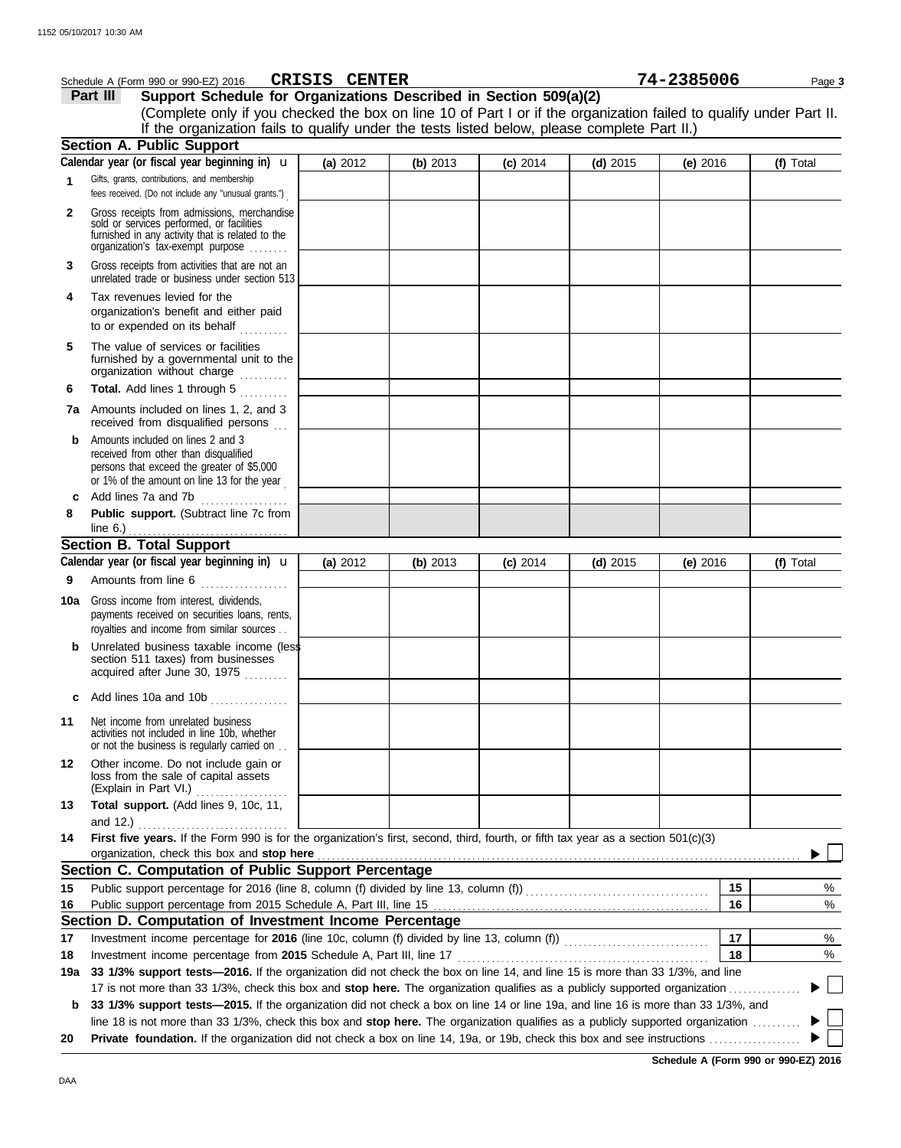|     | Schedule A (Form 990 or 990-EZ) 2016                                                                                                                                              | CRISIS CENTER |          |            |            | 74-2385006 |    | Page 3    |
|-----|-----------------------------------------------------------------------------------------------------------------------------------------------------------------------------------|---------------|----------|------------|------------|------------|----|-----------|
|     | Support Schedule for Organizations Described in Section 509(a)(2)<br>Part III                                                                                                     |               |          |            |            |            |    |           |
|     | (Complete only if you checked the box on line 10 of Part I or if the organization failed to qualify under Part II.                                                                |               |          |            |            |            |    |           |
|     | If the organization fails to qualify under the tests listed below, please complete Part II.)                                                                                      |               |          |            |            |            |    |           |
|     | <b>Section A. Public Support</b>                                                                                                                                                  |               |          |            |            |            |    |           |
|     | Calendar year (or fiscal year beginning in) $\mathbf u$                                                                                                                           | (a) 2012      | (b) 2013 | $(c)$ 2014 | $(d)$ 2015 | (e) $2016$ |    | (f) Total |
| 1   | Gifts, grants, contributions, and membership<br>fees received. (Do not include any "unusual grants.")                                                                             |               |          |            |            |            |    |           |
| 2   | Gross receipts from admissions, merchandise<br>sold or services performed, or facilities<br>furnished in any activity that is related to the<br>organization's fax-exempt purpose |               |          |            |            |            |    |           |
| 3   | Gross receipts from activities that are not an<br>unrelated trade or business under section 513                                                                                   |               |          |            |            |            |    |           |
| 4   | Tax revenues levied for the<br>organization's benefit and either paid<br>to or expended on its behalf                                                                             |               |          |            |            |            |    |           |
| 5   | The value of services or facilities<br>furnished by a governmental unit to the<br>organization without charge                                                                     |               |          |            |            |            |    |           |
| 6   | Total. Add lines 1 through 5                                                                                                                                                      |               |          |            |            |            |    |           |
|     | 7a Amounts included on lines 1, 2, and 3<br>received from disqualified persons                                                                                                    |               |          |            |            |            |    |           |
| b   | Amounts included on lines 2 and 3<br>received from other than disqualified<br>persons that exceed the greater of \$5,000<br>or 1% of the amount on line 13 for the year           |               |          |            |            |            |    |           |
| c   | Add lines 7a and 7b                                                                                                                                                               |               |          |            |            |            |    |           |
| 8   | Public support. (Subtract line 7c from<br>line 6.) $\ldots$ $\ldots$ $\ldots$ $\ldots$ $\ldots$ $\ldots$                                                                          |               |          |            |            |            |    |           |
|     | <b>Section B. Total Support</b>                                                                                                                                                   |               |          |            |            |            |    |           |
|     | Calendar year (or fiscal year beginning in) <b>u</b>                                                                                                                              | (a) 2012      | (b) 2013 | $(c)$ 2014 | $(d)$ 2015 | $(e)$ 2016 |    | (f) Total |
| 9   | Amounts from line 6                                                                                                                                                               |               |          |            |            |            |    |           |
| 10a | Gross income from interest, dividends,<br>payments received on securities loans, rents,<br>royalties and income from similar sources                                              |               |          |            |            |            |    |           |
|     | Unrelated business taxable income (less<br>section 511 taxes) from businesses<br>acquired after June 30, 1975                                                                     |               |          |            |            |            |    |           |
|     | c Add lines 10a and 10b $\ldots$                                                                                                                                                  |               |          |            |            |            |    |           |
| 11  | Net income from unrelated business<br>activities not included in line 10b, whether<br>or not the business is regularly carried on                                                 |               |          |            |            |            |    |           |
| 12  | Other income. Do not include gain or<br>loss from the sale of capital assets<br>(Explain in Part VI.)<br>.                                                                        |               |          |            |            |            |    |           |
| 13  | Total support. (Add lines 9, 10c, 11,<br>and 12.)                                                                                                                                 |               |          |            |            |            |    |           |
| 14  | First five years. If the Form 990 is for the organization's first, second, third, fourth, or fifth tax year as a section 501(c)(3)<br>organization, check this box and stop here  |               |          |            |            |            |    |           |
|     | Section C. Computation of Public Support Percentage                                                                                                                               |               |          |            |            |            |    |           |
| 15  |                                                                                                                                                                                   |               |          |            |            |            | 15 | %         |
| 16  |                                                                                                                                                                                   |               |          |            |            |            | 16 | %         |
|     | Section D. Computation of Investment Income Percentage                                                                                                                            |               |          |            |            |            |    |           |
| 17  |                                                                                                                                                                                   |               |          |            |            |            | 17 | %         |
| 18  |                                                                                                                                                                                   |               |          |            |            |            | 18 | $\%$      |
| 19a | 33 1/3% support tests-2016. If the organization did not check the box on line 14, and line 15 is more than 33 1/3%, and line                                                      |               |          |            |            |            |    |           |
|     | 17 is not more than 33 1/3%, check this box and stop here. The organization qualifies as a publicly supported organization                                                        |               |          |            |            |            |    |           |
| b   | 33 1/3% support tests-2015. If the organization did not check a box on line 14 or line 19a, and line 16 is more than 33 1/3%, and                                                 |               |          |            |            |            |    |           |
|     | line 18 is not more than 33 1/3%, check this box and stop here. The organization qualifies as a publicly supported organization                                                   |               |          |            |            |            |    |           |
| 20  |                                                                                                                                                                                   |               |          |            |            |            |    |           |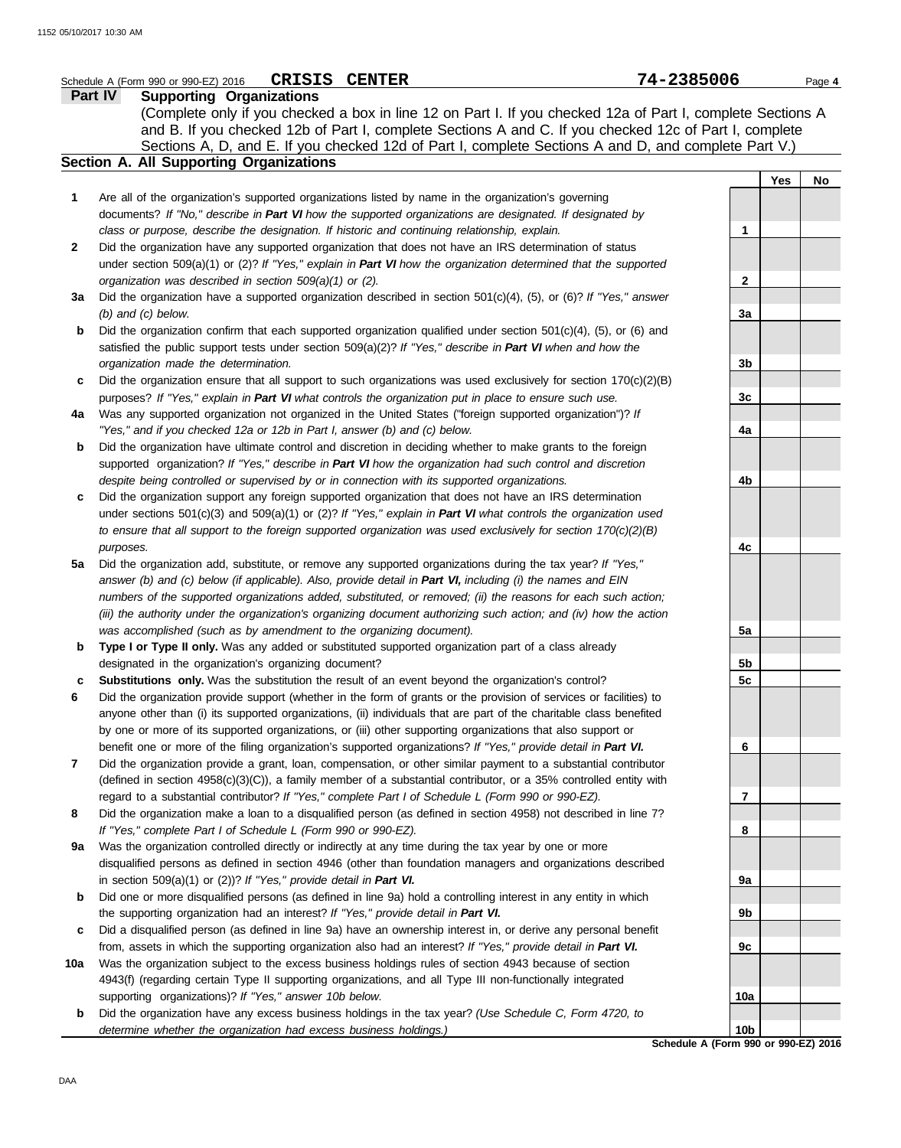|     | CRISIS CENTER<br>Schedule A (Form 990 or 990-EZ) 2016                                                                                                                                                                             | 74-2385006   |     | Page 4 |
|-----|-----------------------------------------------------------------------------------------------------------------------------------------------------------------------------------------------------------------------------------|--------------|-----|--------|
|     | Part IV<br><b>Supporting Organizations</b>                                                                                                                                                                                        |              |     |        |
|     | (Complete only if you checked a box in line 12 on Part I. If you checked 12a of Part I, complete Sections A                                                                                                                       |              |     |        |
|     | and B. If you checked 12b of Part I, complete Sections A and C. If you checked 12c of Part I, complete                                                                                                                            |              |     |        |
|     | Sections A, D, and E. If you checked 12d of Part I, complete Sections A and D, and complete Part V.)                                                                                                                              |              |     |        |
|     | Section A. All Supporting Organizations                                                                                                                                                                                           |              |     |        |
|     |                                                                                                                                                                                                                                   |              | Yes | No     |
| 1   | Are all of the organization's supported organizations listed by name in the organization's governing                                                                                                                              |              |     |        |
|     | documents? If "No," describe in Part VI how the supported organizations are designated. If designated by                                                                                                                          |              |     |        |
|     | class or purpose, describe the designation. If historic and continuing relationship, explain.                                                                                                                                     | 1            |     |        |
| 2   | Did the organization have any supported organization that does not have an IRS determination of status                                                                                                                            |              |     |        |
|     | under section $509(a)(1)$ or (2)? If "Yes," explain in Part VI how the organization determined that the supported                                                                                                                 |              |     |        |
|     | organization was described in section 509(a)(1) or (2).                                                                                                                                                                           | $\mathbf{2}$ |     |        |
| За  | Did the organization have a supported organization described in section $501(c)(4)$ , (5), or (6)? If "Yes," answer                                                                                                               |              |     |        |
|     | $(b)$ and $(c)$ below.                                                                                                                                                                                                            | 3a           |     |        |
| b   | Did the organization confirm that each supported organization qualified under section $501(c)(4)$ , (5), or (6) and                                                                                                               |              |     |        |
|     | satisfied the public support tests under section $509(a)(2)$ ? If "Yes," describe in Part VI when and how the                                                                                                                     |              |     |        |
|     | organization made the determination.                                                                                                                                                                                              | 3b           |     |        |
| c   | Did the organization ensure that all support to such organizations was used exclusively for section $170(c)(2)(B)$                                                                                                                |              |     |        |
|     | purposes? If "Yes," explain in Part VI what controls the organization put in place to ensure such use.                                                                                                                            | 3c           |     |        |
| 4a  | Was any supported organization not organized in the United States ("foreign supported organization")? If                                                                                                                          |              |     |        |
|     | "Yes," and if you checked 12a or 12b in Part I, answer (b) and (c) below.                                                                                                                                                         | 4a           |     |        |
| b   | Did the organization have ultimate control and discretion in deciding whether to make grants to the foreign                                                                                                                       |              |     |        |
|     | supported organization? If "Yes," describe in Part VI how the organization had such control and discretion                                                                                                                        |              |     |        |
|     | despite being controlled or supervised by or in connection with its supported organizations.                                                                                                                                      | 4b           |     |        |
| c   | Did the organization support any foreign supported organization that does not have an IRS determination                                                                                                                           |              |     |        |
|     | under sections $501(c)(3)$ and $509(a)(1)$ or (2)? If "Yes," explain in Part VI what controls the organization used                                                                                                               |              |     |        |
|     | to ensure that all support to the foreign supported organization was used exclusively for section $170(c)(2)(B)$                                                                                                                  |              |     |        |
|     | purposes.                                                                                                                                                                                                                         | 4c           |     |        |
| 5a  | Did the organization add, substitute, or remove any supported organizations during the tax year? If "Yes,"                                                                                                                        |              |     |        |
|     | answer (b) and (c) below (if applicable). Also, provide detail in Part VI, including (i) the names and EIN                                                                                                                        |              |     |        |
|     | numbers of the supported organizations added, substituted, or removed; (ii) the reasons for each such action;                                                                                                                     |              |     |        |
|     | (iii) the authority under the organization's organizing document authorizing such action; and (iv) how the action                                                                                                                 |              |     |        |
|     | was accomplished (such as by amendment to the organizing document).                                                                                                                                                               | 5a           |     |        |
| b   | Type I or Type II only. Was any added or substituted supported organization part of a class already                                                                                                                               |              |     |        |
|     | designated in the organization's organizing document?                                                                                                                                                                             | 5b           |     |        |
| c   | Substitutions only. Was the substitution the result of an event beyond the organization's control?                                                                                                                                | 5c           |     |        |
|     | Did the organization provide support (whether in the form of grants or the provision of services or facilities) to                                                                                                                |              |     |        |
|     | anyone other than (i) its supported organizations, (ii) individuals that are part of the charitable class benefited                                                                                                               |              |     |        |
|     | by one or more of its supported organizations, or (iii) other supporting organizations that also support or                                                                                                                       | 6            |     |        |
| 7   | benefit one or more of the filing organization's supported organizations? If "Yes," provide detail in Part VI.<br>Did the organization provide a grant, loan, compensation, or other similar payment to a substantial contributor |              |     |        |
|     | (defined in section 4958(c)(3)(C)), a family member of a substantial contributor, or a 35% controlled entity with                                                                                                                 |              |     |        |
|     | regard to a substantial contributor? If "Yes," complete Part I of Schedule L (Form 990 or 990-EZ).                                                                                                                                | 7            |     |        |
| 8   | Did the organization make a loan to a disqualified person (as defined in section 4958) not described in line 7?                                                                                                                   |              |     |        |
|     | If "Yes," complete Part I of Schedule L (Form 990 or 990-EZ).                                                                                                                                                                     | 8            |     |        |
| 9а  | Was the organization controlled directly or indirectly at any time during the tax year by one or more                                                                                                                             |              |     |        |
|     | disqualified persons as defined in section 4946 (other than foundation managers and organizations described                                                                                                                       |              |     |        |
|     | in section $509(a)(1)$ or $(2)$ ? If "Yes," provide detail in Part VI.                                                                                                                                                            | 9a           |     |        |
| b   | Did one or more disqualified persons (as defined in line 9a) hold a controlling interest in any entity in which                                                                                                                   |              |     |        |
|     | the supporting organization had an interest? If "Yes," provide detail in Part VI.                                                                                                                                                 | 9b           |     |        |
| c   | Did a disqualified person (as defined in line 9a) have an ownership interest in, or derive any personal benefit                                                                                                                   |              |     |        |
|     | from, assets in which the supporting organization also had an interest? If "Yes," provide detail in Part VI.                                                                                                                      | 9c           |     |        |
| 10a | Was the organization subject to the excess business holdings rules of section 4943 because of section                                                                                                                             |              |     |        |
|     | 4943(f) (regarding certain Type II supporting organizations, and all Type III non-functionally integrated                                                                                                                         |              |     |        |
|     | supporting organizations)? If "Yes," answer 10b below.                                                                                                                                                                            | 10a          |     |        |
| b   | Did the organization have any excess business holdings in the tax year? (Use Schedule C, Form 4720, to                                                                                                                            |              |     |        |
|     | determine whether the organization had excess business holdings.)                                                                                                                                                                 | 10b          |     |        |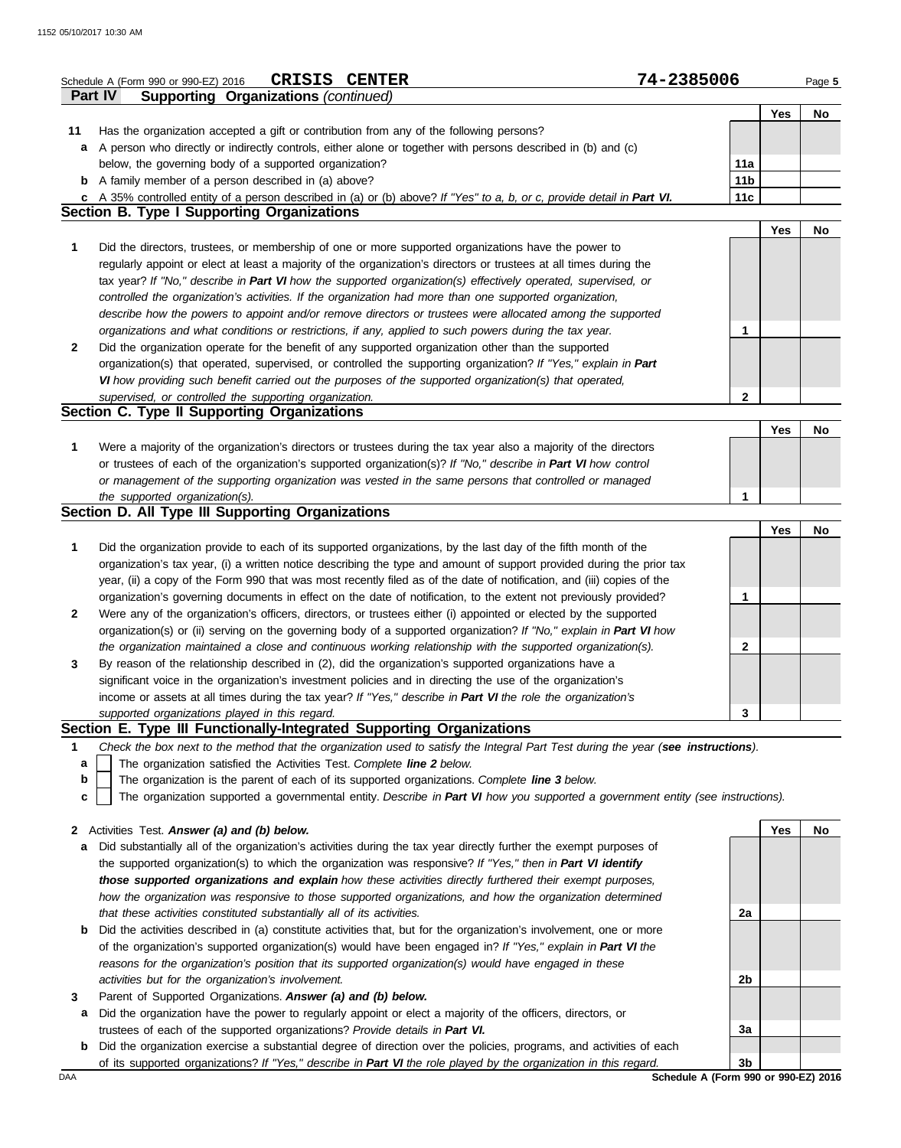|              | <b>CRISIS CENTER</b><br>Schedule A (Form 990 or 990-EZ) 2016                                                                                                                                                | 74-2385006      |            | Page 5 |
|--------------|-------------------------------------------------------------------------------------------------------------------------------------------------------------------------------------------------------------|-----------------|------------|--------|
|              | <b>Supporting Organizations (continued)</b><br>Part IV                                                                                                                                                      |                 |            |        |
|              |                                                                                                                                                                                                             |                 | Yes        | No     |
| 11           | Has the organization accepted a gift or contribution from any of the following persons?                                                                                                                     |                 |            |        |
| a            | A person who directly or indirectly controls, either alone or together with persons described in (b) and (c)                                                                                                |                 |            |        |
|              | below, the governing body of a supported organization?                                                                                                                                                      | 11a             |            |        |
|              | <b>b</b> A family member of a person described in (a) above?                                                                                                                                                | 11 <sub>b</sub> |            |        |
|              | c A 35% controlled entity of a person described in (a) or (b) above? If "Yes" to a, b, or c, provide detail in Part VI.                                                                                     | 11c             |            |        |
|              | <b>Section B. Type I Supporting Organizations</b>                                                                                                                                                           |                 |            |        |
|              |                                                                                                                                                                                                             |                 | <b>Yes</b> | No     |
| 1            | Did the directors, trustees, or membership of one or more supported organizations have the power to                                                                                                         |                 |            |        |
|              | regularly appoint or elect at least a majority of the organization's directors or trustees at all times during the                                                                                          |                 |            |        |
|              | tax year? If "No," describe in Part VI how the supported organization(s) effectively operated, supervised, or                                                                                               |                 |            |        |
|              | controlled the organization's activities. If the organization had more than one supported organization,                                                                                                     |                 |            |        |
|              | describe how the powers to appoint and/or remove directors or trustees were allocated among the supported                                                                                                   |                 |            |        |
|              | organizations and what conditions or restrictions, if any, applied to such powers during the tax year.                                                                                                      | 1               |            |        |
| $\mathbf{2}$ | Did the organization operate for the benefit of any supported organization other than the supported                                                                                                         |                 |            |        |
|              | organization(s) that operated, supervised, or controlled the supporting organization? If "Yes," explain in Part                                                                                             |                 |            |        |
|              | VI how providing such benefit carried out the purposes of the supported organization(s) that operated,                                                                                                      |                 |            |        |
|              | supervised, or controlled the supporting organization.                                                                                                                                                      | $\mathbf{2}$    |            |        |
|              | Section C. Type II Supporting Organizations                                                                                                                                                                 |                 |            |        |
|              |                                                                                                                                                                                                             |                 | <b>Yes</b> | No     |
| 1            | Were a majority of the organization's directors or trustees during the tax year also a majority of the directors                                                                                            |                 |            |        |
|              | or trustees of each of the organization's supported organization(s)? If "No," describe in Part VI how control                                                                                               |                 |            |        |
|              | or management of the supporting organization was vested in the same persons that controlled or managed                                                                                                      |                 |            |        |
|              | the supported organization(s).                                                                                                                                                                              | $\mathbf 1$     |            |        |
|              | Section D. All Type III Supporting Organizations                                                                                                                                                            |                 |            |        |
|              |                                                                                                                                                                                                             |                 | <b>Yes</b> | No     |
| 1            | Did the organization provide to each of its supported organizations, by the last day of the fifth month of the                                                                                              |                 |            |        |
|              | organization's tax year, (i) a written notice describing the type and amount of support provided during the prior tax                                                                                       |                 |            |        |
|              | year, (ii) a copy of the Form 990 that was most recently filed as of the date of notification, and (iii) copies of the                                                                                      |                 |            |        |
|              | organization's governing documents in effect on the date of notification, to the extent not previously provided?                                                                                            | 1               |            |        |
| $\mathbf{2}$ | Were any of the organization's officers, directors, or trustees either (i) appointed or elected by the supported                                                                                            |                 |            |        |
|              | organization(s) or (ii) serving on the governing body of a supported organization? If "No," explain in Part VI how                                                                                          |                 |            |        |
|              | the organization maintained a close and continuous working relationship with the supported organization(s).                                                                                                 | 2               |            |        |
| 3            | By reason of the relationship described in (2), did the organization's supported organizations have a                                                                                                       |                 |            |        |
|              | significant voice in the organization's investment policies and in directing the use of the organization's                                                                                                  |                 |            |        |
|              | income or assets at all times during the tax year? If "Yes," describe in Part VI the role the organization's                                                                                                |                 |            |        |
|              | supported organizations played in this regard.<br>Section E. Type III Functionally-Integrated Supporting Organizations                                                                                      | 3               |            |        |
|              |                                                                                                                                                                                                             |                 |            |        |
| 1            | Check the box next to the method that the organization used to satisfy the Integral Part Test during the year (see instructions).<br>The organization satisfied the Activities Test. Complete line 2 below. |                 |            |        |
| а            | The organization is the parent of each of its supported organizations. Complete line 3 below.                                                                                                               |                 |            |        |
| b            |                                                                                                                                                                                                             |                 |            |        |
| c            | The organization supported a governmental entity. Describe in Part VI how you supported a government entity (see instructions).                                                                             |                 |            |        |
| $\mathbf{2}$ | Activities Test. Answer (a) and (b) below.                                                                                                                                                                  |                 | Yes        | No     |
| a            | Did substantially all of the organization's activities during the tax year directly further the exempt purposes of                                                                                          |                 |            |        |
|              | the supported organization(s) to which the organization was responsive? If "Yes," then in Part VI identify                                                                                                  |                 |            |        |
|              | those supported organizations and explain how these activities directly furthered their exempt purposes,                                                                                                    |                 |            |        |
|              | how the organization was responsive to those supported organizations, and how the organization determined                                                                                                   |                 |            |        |
|              | that these activities constituted substantially all of its activities.                                                                                                                                      | 2a              |            |        |
| b            | Did the activities described in (a) constitute activities that, but for the organization's involvement, one or more                                                                                         |                 |            |        |
|              | of the organization's supported organization(s) would have been engaged in? If "Yes," explain in Part VI the                                                                                                |                 |            |        |
|              | reasons for the organization's position that its supported organization(s) would have engaged in these                                                                                                      |                 |            |        |
|              | activities but for the organization's involvement.                                                                                                                                                          | 2b              |            |        |
|              |                                                                                                                                                                                                             |                 |            |        |

- **3** Parent of Supported Organizations. *Answer (a) and (b) below.*
	- **a** Did the organization have the power to regularly appoint or elect a majority of the officers, directors, or trustees of each of the supported organizations? *Provide details in Part VI.*
	- **b** Did the organization exercise a substantial degree of direction over the policies, programs, and activities of each of its supported organizations? *If "Yes," describe in Part VI the role played by the organization in this regard.* **3b**

**3a**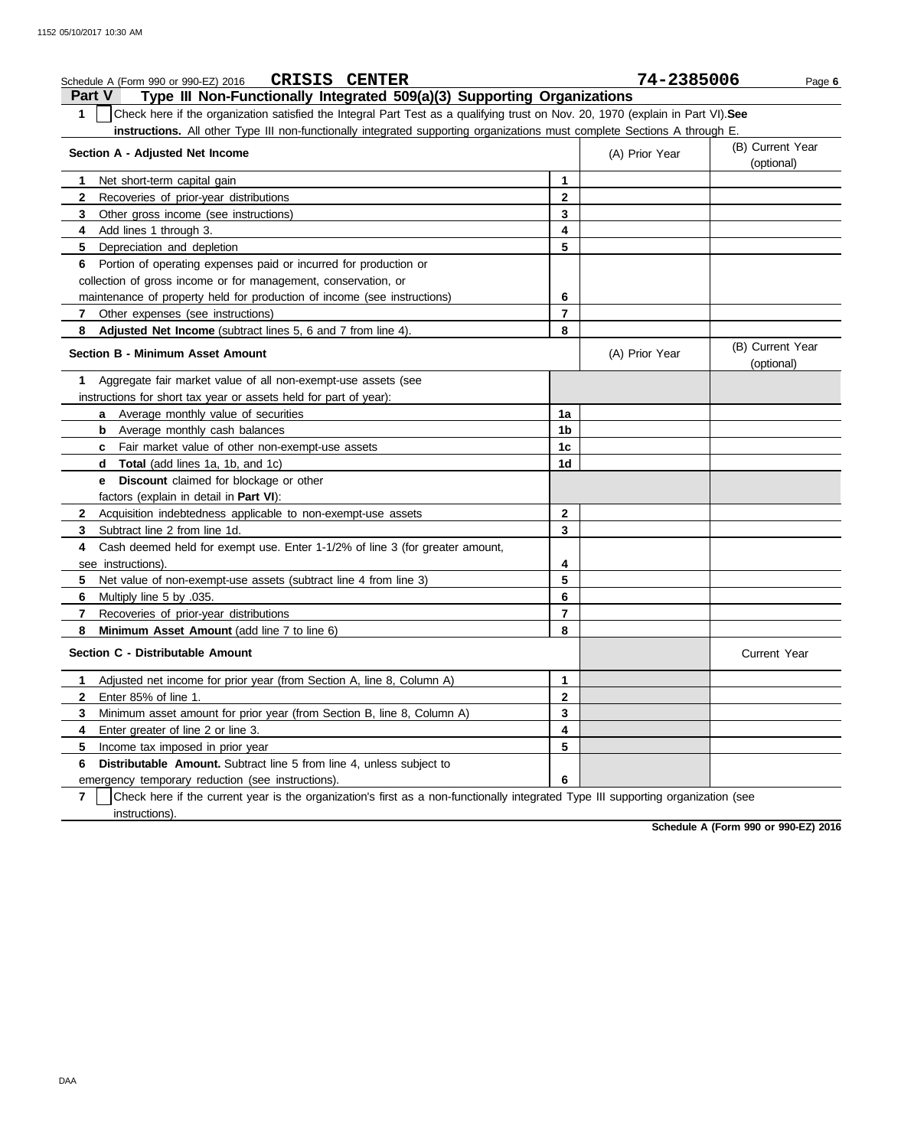| <b>CRISIS CENTER</b><br>Schedule A (Form 990 or 990-EZ) 2016                                                                                    |                | 74-2385006     | Page 6                         |
|-------------------------------------------------------------------------------------------------------------------------------------------------|----------------|----------------|--------------------------------|
| Type III Non-Functionally Integrated 509(a)(3) Supporting Organizations<br><b>Part V</b>                                                        |                |                |                                |
| $\mathbf 1$<br>Check here if the organization satisfied the Integral Part Test as a qualifying trust on Nov. 20, 1970 (explain in Part VI). See |                |                |                                |
| instructions. All other Type III non-functionally integrated supporting organizations must complete Sections A through E.                       |                |                |                                |
| Section A - Adjusted Net Income                                                                                                                 |                | (A) Prior Year | (B) Current Year<br>(optional) |
| Net short-term capital gain<br>1                                                                                                                | 1              |                |                                |
| Recoveries of prior-year distributions<br>2                                                                                                     | $\mathbf{2}$   |                |                                |
| 3<br>Other gross income (see instructions)                                                                                                      | 3              |                |                                |
| Add lines 1 through 3.<br>4                                                                                                                     | 4              |                |                                |
| 5<br>Depreciation and depletion                                                                                                                 | 5              |                |                                |
| Portion of operating expenses paid or incurred for production or<br>6                                                                           |                |                |                                |
| collection of gross income or for management, conservation, or                                                                                  |                |                |                                |
| maintenance of property held for production of income (see instructions)                                                                        | 6              |                |                                |
| 7<br>Other expenses (see instructions)                                                                                                          | $\overline{7}$ |                |                                |
| Adjusted Net Income (subtract lines 5, 6 and 7 from line 4).<br>8                                                                               | 8              |                |                                |
| Section B - Minimum Asset Amount                                                                                                                |                | (A) Prior Year | (B) Current Year<br>(optional) |
| Aggregate fair market value of all non-exempt-use assets (see<br>1                                                                              |                |                |                                |
| instructions for short tax year or assets held for part of year):                                                                               |                |                |                                |
| a Average monthly value of securities                                                                                                           | 1a             |                |                                |
| <b>b</b> Average monthly cash balances                                                                                                          | 1b             |                |                                |
| c Fair market value of other non-exempt-use assets                                                                                              | 1c             |                |                                |
| Total (add lines 1a, 1b, and 1c)<br>d                                                                                                           | 1d             |                |                                |
| <b>Discount</b> claimed for blockage or other<br>е                                                                                              |                |                |                                |
| factors (explain in detail in Part VI):                                                                                                         |                |                |                                |
| Acquisition indebtedness applicable to non-exempt-use assets<br>$\mathbf{2}$                                                                    | $\mathbf{2}$   |                |                                |
| 3<br>Subtract line 2 from line 1d.                                                                                                              | 3              |                |                                |
| Cash deemed held for exempt use. Enter 1-1/2% of line 3 (for greater amount,<br>4                                                               |                |                |                                |
| see instructions).                                                                                                                              | 4              |                |                                |
| Net value of non-exempt-use assets (subtract line 4 from line 3)<br>5                                                                           | 5              |                |                                |
| Multiply line 5 by .035.<br>6                                                                                                                   | 6              |                |                                |
| 7<br>Recoveries of prior-year distributions                                                                                                     | $\overline{7}$ |                |                                |
| 8<br>Minimum Asset Amount (add line 7 to line 6)                                                                                                | 8              |                |                                |
| Section C - Distributable Amount                                                                                                                |                |                | <b>Current Year</b>            |
| Adjusted net income for prior year (from Section A, line 8, Column A)<br>1                                                                      | 1              |                |                                |
| 2<br>Enter 85% of line 1.                                                                                                                       | 2              |                |                                |
| Minimum asset amount for prior year (from Section B, line 8, Column A)<br>3                                                                     | 3              |                |                                |
| Enter greater of line 2 or line 3.<br>4                                                                                                         | 4              |                |                                |
| 5<br>Income tax imposed in prior year                                                                                                           | 5              |                |                                |
| Distributable Amount. Subtract line 5 from line 4, unless subject to<br>6                                                                       |                |                |                                |
| emergency temporary reduction (see instructions).                                                                                               | 6              |                |                                |
| Check here if the current year is the organization's first as a non-functionally integrated Type III supporting organization (see<br>7          |                |                |                                |
| instructions).                                                                                                                                  |                |                |                                |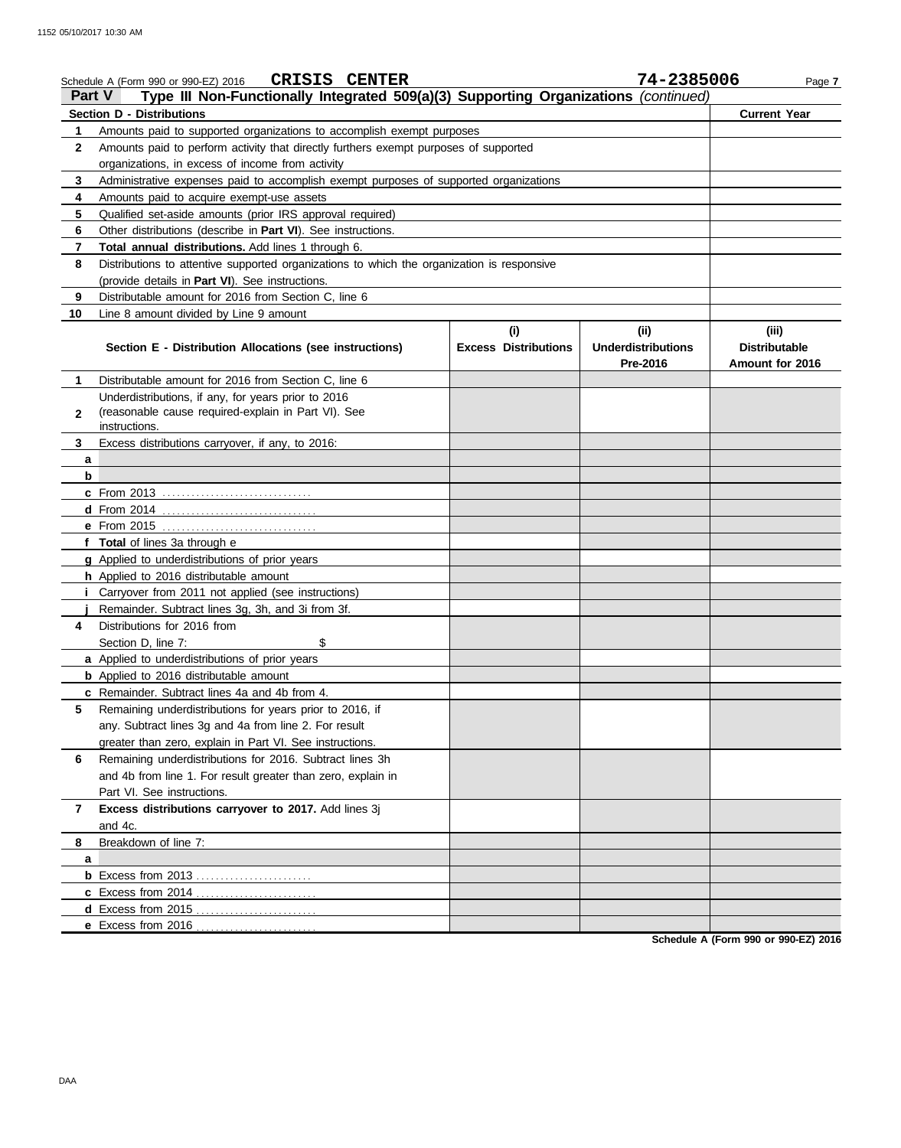|               | <b>CRISIS CENTER</b><br>Schedule A (Form 990 or 990-EZ) 2016                               |                             | 74-2385006                | Page 7               |
|---------------|--------------------------------------------------------------------------------------------|-----------------------------|---------------------------|----------------------|
| <b>Part V</b> | Type III Non-Functionally Integrated 509(a)(3) Supporting Organizations (continued)        |                             |                           |                      |
|               | <b>Section D - Distributions</b>                                                           |                             |                           | <b>Current Year</b>  |
| 1             | Amounts paid to supported organizations to accomplish exempt purposes                      |                             |                           |                      |
| 2             | Amounts paid to perform activity that directly furthers exempt purposes of supported       |                             |                           |                      |
|               | organizations, in excess of income from activity                                           |                             |                           |                      |
| 3             | Administrative expenses paid to accomplish exempt purposes of supported organizations      |                             |                           |                      |
| 4             | Amounts paid to acquire exempt-use assets                                                  |                             |                           |                      |
| 5             | Qualified set-aside amounts (prior IRS approval required)                                  |                             |                           |                      |
| 6             | Other distributions (describe in <b>Part VI</b> ). See instructions.                       |                             |                           |                      |
| 7             | Total annual distributions. Add lines 1 through 6.                                         |                             |                           |                      |
| 8             | Distributions to attentive supported organizations to which the organization is responsive |                             |                           |                      |
|               | (provide details in Part VI). See instructions.                                            |                             |                           |                      |
| 9             | Distributable amount for 2016 from Section C, line 6                                       |                             |                           |                      |
| 10            | Line 8 amount divided by Line 9 amount                                                     |                             |                           |                      |
|               |                                                                                            | (i)                         | (ii)                      | (iii)                |
|               | Section E - Distribution Allocations (see instructions)                                    | <b>Excess Distributions</b> | <b>Underdistributions</b> | <b>Distributable</b> |
|               |                                                                                            |                             | Pre-2016                  | Amount for 2016      |
| 1.            | Distributable amount for 2016 from Section C, line 6                                       |                             |                           |                      |
|               | Underdistributions, if any, for years prior to 2016                                        |                             |                           |                      |
| $\mathbf{2}$  | (reasonable cause required-explain in Part VI). See<br>instructions.                       |                             |                           |                      |
| 3             | Excess distributions carryover, if any, to 2016:                                           |                             |                           |                      |
| a             |                                                                                            |                             |                           |                      |
| b             |                                                                                            |                             |                           |                      |
|               | c From 2013                                                                                |                             |                           |                      |
|               |                                                                                            |                             |                           |                      |
|               |                                                                                            |                             |                           |                      |
|               | f Total of lines 3a through e                                                              |                             |                           |                      |
|               | g Applied to underdistributions of prior years                                             |                             |                           |                      |
|               | h Applied to 2016 distributable amount                                                     |                             |                           |                      |
|               | Carryover from 2011 not applied (see instructions)                                         |                             |                           |                      |
|               | Remainder. Subtract lines 3g, 3h, and 3i from 3f.                                          |                             |                           |                      |
| 4             | Distributions for 2016 from                                                                |                             |                           |                      |
|               | Section D. line 7:<br>\$                                                                   |                             |                           |                      |
|               | a Applied to underdistributions of prior years                                             |                             |                           |                      |
|               | <b>b</b> Applied to 2016 distributable amount                                              |                             |                           |                      |
|               | c Remainder. Subtract lines 4a and 4b from 4.                                              |                             |                           |                      |
| 5             | Remaining underdistributions for years prior to 2016, if                                   |                             |                           |                      |
|               | any. Subtract lines 3g and 4a from line 2. For result                                      |                             |                           |                      |
|               | greater than zero, explain in Part VI. See instructions.                                   |                             |                           |                      |
| 6             | Remaining underdistributions for 2016. Subtract lines 3h                                   |                             |                           |                      |
|               | and 4b from line 1. For result greater than zero, explain in                               |                             |                           |                      |
|               | Part VI. See instructions.                                                                 |                             |                           |                      |
| 7             | Excess distributions carryover to 2017. Add lines 3j                                       |                             |                           |                      |
|               | and 4c.                                                                                    |                             |                           |                      |
| 8             | Breakdown of line 7:                                                                       |                             |                           |                      |
| a             |                                                                                            |                             |                           |                      |
|               |                                                                                            |                             |                           |                      |
|               |                                                                                            |                             |                           |                      |
|               |                                                                                            |                             |                           |                      |
|               | e Excess from 2016                                                                         |                             |                           |                      |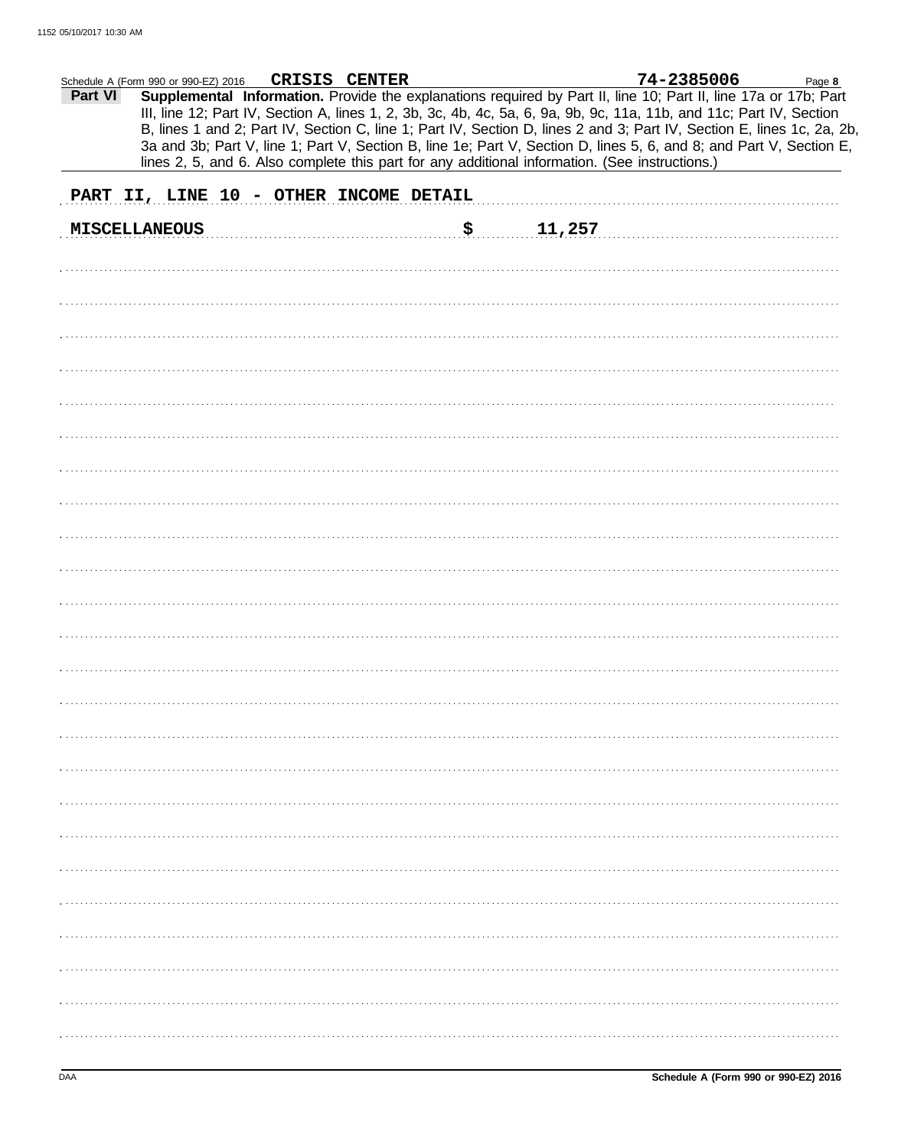|         | Schedule A (Form 990 or 990-EZ) 2016                                                           | CRISIS CENTER |              | 74-2385006                                                                                                                                                                                                                                                                                                                                                                                                                                                                               | Page 8 |
|---------|------------------------------------------------------------------------------------------------|---------------|--------------|------------------------------------------------------------------------------------------------------------------------------------------------------------------------------------------------------------------------------------------------------------------------------------------------------------------------------------------------------------------------------------------------------------------------------------------------------------------------------------------|--------|
| Part VI | lines 2, 5, and 6. Also complete this part for any additional information. (See instructions.) |               |              | Supplemental Information. Provide the explanations required by Part II, line 10; Part II, line 17a or 17b; Part<br>III, line 12; Part IV, Section A, lines 1, 2, 3b, 3c, 4b, 4c, 5a, 6, 9a, 9b, 9c, 11a, 11b, and 11c; Part IV, Section<br>B, lines 1 and 2; Part IV, Section C, line 1; Part IV, Section D, lines 2 and 3; Part IV, Section E, lines 1c, 2a, 2b,<br>3a and 3b; Part V, line 1; Part V, Section B, line 1e; Part V, Section D, lines 5, 6, and 8; and Part V, Section E, |        |
|         | PART II, LINE 10 - OTHER INCOME DETAIL                                                         |               |              |                                                                                                                                                                                                                                                                                                                                                                                                                                                                                          |        |
|         | <b>MISCELLANEOUS</b>                                                                           |               | \$<br>11,257 |                                                                                                                                                                                                                                                                                                                                                                                                                                                                                          |        |
|         |                                                                                                |               |              |                                                                                                                                                                                                                                                                                                                                                                                                                                                                                          |        |
|         |                                                                                                |               |              |                                                                                                                                                                                                                                                                                                                                                                                                                                                                                          |        |
|         |                                                                                                |               |              |                                                                                                                                                                                                                                                                                                                                                                                                                                                                                          |        |
|         |                                                                                                |               |              |                                                                                                                                                                                                                                                                                                                                                                                                                                                                                          |        |
|         |                                                                                                |               |              |                                                                                                                                                                                                                                                                                                                                                                                                                                                                                          |        |
|         |                                                                                                |               |              |                                                                                                                                                                                                                                                                                                                                                                                                                                                                                          |        |
|         |                                                                                                |               |              |                                                                                                                                                                                                                                                                                                                                                                                                                                                                                          |        |
|         |                                                                                                |               |              |                                                                                                                                                                                                                                                                                                                                                                                                                                                                                          |        |
|         |                                                                                                |               |              |                                                                                                                                                                                                                                                                                                                                                                                                                                                                                          |        |
|         |                                                                                                |               |              |                                                                                                                                                                                                                                                                                                                                                                                                                                                                                          |        |
|         |                                                                                                |               |              |                                                                                                                                                                                                                                                                                                                                                                                                                                                                                          |        |
|         |                                                                                                |               |              |                                                                                                                                                                                                                                                                                                                                                                                                                                                                                          |        |
|         |                                                                                                |               |              |                                                                                                                                                                                                                                                                                                                                                                                                                                                                                          |        |
|         |                                                                                                |               |              |                                                                                                                                                                                                                                                                                                                                                                                                                                                                                          |        |
|         |                                                                                                |               |              |                                                                                                                                                                                                                                                                                                                                                                                                                                                                                          |        |
|         |                                                                                                |               |              |                                                                                                                                                                                                                                                                                                                                                                                                                                                                                          |        |
|         |                                                                                                |               |              |                                                                                                                                                                                                                                                                                                                                                                                                                                                                                          |        |
|         |                                                                                                |               |              |                                                                                                                                                                                                                                                                                                                                                                                                                                                                                          |        |
|         |                                                                                                |               |              |                                                                                                                                                                                                                                                                                                                                                                                                                                                                                          |        |
|         |                                                                                                |               |              |                                                                                                                                                                                                                                                                                                                                                                                                                                                                                          |        |
|         |                                                                                                |               |              |                                                                                                                                                                                                                                                                                                                                                                                                                                                                                          |        |
|         |                                                                                                |               |              |                                                                                                                                                                                                                                                                                                                                                                                                                                                                                          |        |
|         |                                                                                                |               |              |                                                                                                                                                                                                                                                                                                                                                                                                                                                                                          |        |
|         |                                                                                                |               |              |                                                                                                                                                                                                                                                                                                                                                                                                                                                                                          |        |
|         |                                                                                                |               |              |                                                                                                                                                                                                                                                                                                                                                                                                                                                                                          |        |
|         |                                                                                                |               |              |                                                                                                                                                                                                                                                                                                                                                                                                                                                                                          |        |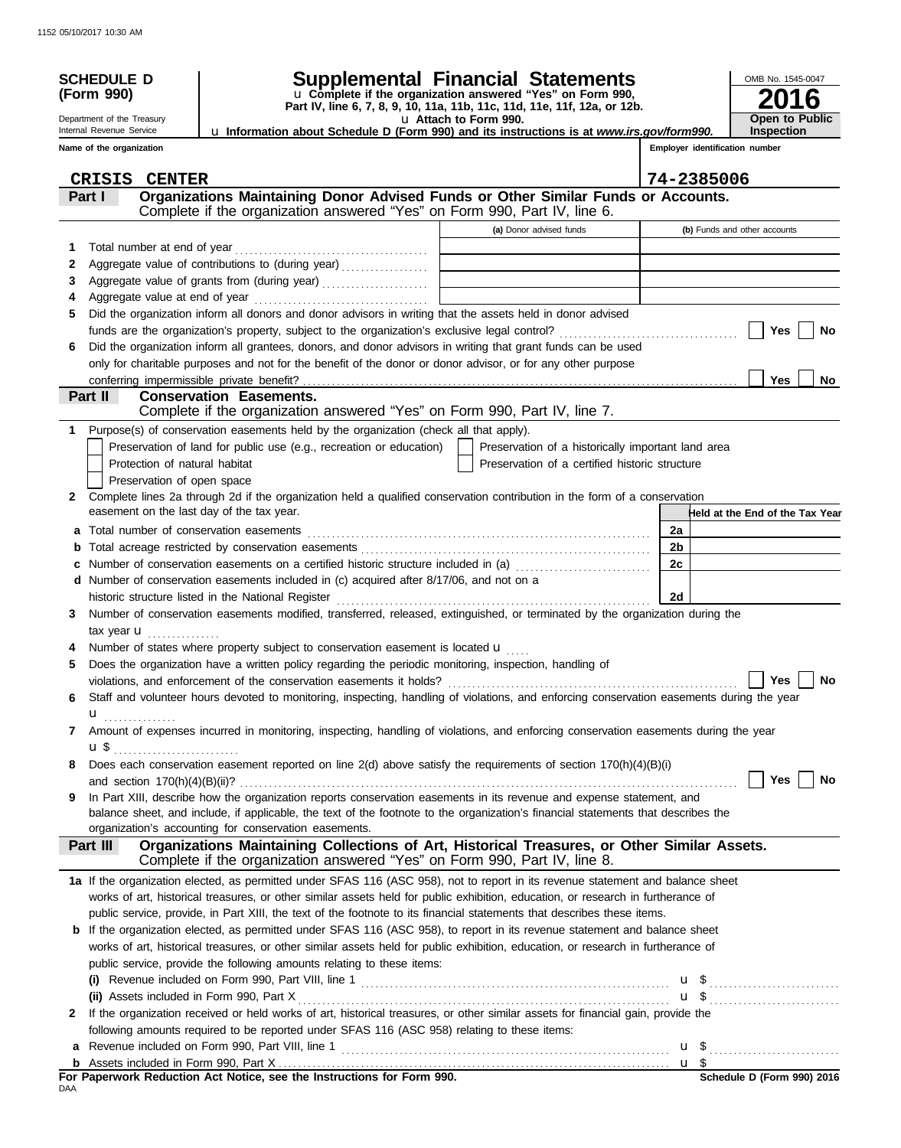|              | <b>SCHEDULE D</b><br>(Form 990)           |                                                                                                                                                                           | Supplemental Financial Statements<br>u Complete if the organization answered "Yes" on Form 990,<br>Part IV, line 6, 7, 8, 9, 10, 11a, 11b, 11c, 11d, 11e, 11f, 12a, or 12b. | OMB No. 1545-0047                     |
|--------------|-------------------------------------------|---------------------------------------------------------------------------------------------------------------------------------------------------------------------------|-----------------------------------------------------------------------------------------------------------------------------------------------------------------------------|---------------------------------------|
|              | Department of the Treasury                |                                                                                                                                                                           | u Attach to Form 990.                                                                                                                                                       | Open to Public                        |
|              | Internal Revenue Service                  | <b>u Information about Schedule D (Form 990) and its instructions is at www.irs.gov/form990.</b>                                                                          |                                                                                                                                                                             | <b>Inspection</b>                     |
|              | Name of the organization                  |                                                                                                                                                                           |                                                                                                                                                                             | Employer identification number        |
|              | <b>CRISIS CENTER</b>                      |                                                                                                                                                                           |                                                                                                                                                                             | 74-2385006                            |
|              | Part I                                    | Organizations Maintaining Donor Advised Funds or Other Similar Funds or Accounts.                                                                                         |                                                                                                                                                                             |                                       |
|              |                                           | Complete if the organization answered "Yes" on Form 990, Part IV, line 6.                                                                                                 |                                                                                                                                                                             |                                       |
|              |                                           |                                                                                                                                                                           | (a) Donor advised funds                                                                                                                                                     | (b) Funds and other accounts          |
| 1            |                                           |                                                                                                                                                                           |                                                                                                                                                                             |                                       |
| 2            |                                           | Aggregate value of contributions to (during year)                                                                                                                         | the control of the control of the control of the control of the control of                                                                                                  |                                       |
| 3            |                                           |                                                                                                                                                                           | <u> 1989 - Johann Stoff, fransk politik (d. 1989)</u>                                                                                                                       |                                       |
| 4            |                                           | Did the organization inform all donors and donor advisors in writing that the assets held in donor advised                                                                |                                                                                                                                                                             |                                       |
| 5            |                                           |                                                                                                                                                                           |                                                                                                                                                                             | Yes<br>No                             |
| 6            |                                           | Did the organization inform all grantees, donors, and donor advisors in writing that grant funds can be used                                                              |                                                                                                                                                                             |                                       |
|              |                                           | only for charitable purposes and not for the benefit of the donor or donor advisor, or for any other purpose                                                              |                                                                                                                                                                             |                                       |
|              |                                           | conferring impermissible private benefit?                                                                                                                                 |                                                                                                                                                                             | <b>Yes</b><br>No.                     |
|              | Part II                                   | <b>Conservation Easements.</b>                                                                                                                                            |                                                                                                                                                                             |                                       |
|              |                                           | Complete if the organization answered "Yes" on Form 990, Part IV, line 7.                                                                                                 |                                                                                                                                                                             |                                       |
|              |                                           | Purpose(s) of conservation easements held by the organization (check all that apply).                                                                                     |                                                                                                                                                                             |                                       |
|              |                                           | Preservation of land for public use (e.g., recreation or education)                                                                                                       | Preservation of a historically important land area                                                                                                                          |                                       |
|              | Protection of natural habitat             |                                                                                                                                                                           | Preservation of a certified historic structure                                                                                                                              |                                       |
|              | Preservation of open space                |                                                                                                                                                                           |                                                                                                                                                                             |                                       |
| $\mathbf{2}$ | easement on the last day of the tax year. | Complete lines 2a through 2d if the organization held a qualified conservation contribution in the form of a conservation                                                 |                                                                                                                                                                             |                                       |
|              |                                           |                                                                                                                                                                           |                                                                                                                                                                             | Held at the End of the Tax Year<br>2a |
| a            |                                           |                                                                                                                                                                           |                                                                                                                                                                             | 2 <sub>b</sub>                        |
|              |                                           | Number of conservation easements on a certified historic structure included in (a)                                                                                        |                                                                                                                                                                             | 2c                                    |
|              |                                           | d Number of conservation easements included in (c) acquired after 8/17/06, and not on a                                                                                   |                                                                                                                                                                             |                                       |
|              |                                           | historic structure listed in the National Register                                                                                                                        |                                                                                                                                                                             | 2d                                    |
| 3            |                                           | Number of conservation easements modified, transferred, released, extinguished, or terminated by the organization during the                                              |                                                                                                                                                                             |                                       |
|              | tax year $\mathbf{u}$ ,                   |                                                                                                                                                                           |                                                                                                                                                                             |                                       |
|              |                                           | Number of states where property subject to conservation easement is located u                                                                                             |                                                                                                                                                                             |                                       |
| 5            |                                           | Does the organization have a written policy regarding the periodic monitoring, inspection, handling of                                                                    |                                                                                                                                                                             |                                       |
|              |                                           |                                                                                                                                                                           |                                                                                                                                                                             | $\Box$ Yes $\Box$ No                  |
| 6            |                                           | Staff and volunteer hours devoted to monitoring, inspecting, handling of violations, and enforcing conservation easements during the year                                 |                                                                                                                                                                             |                                       |
| 7            | $\mathbf{u}$                              | Amount of expenses incurred in monitoring, inspecting, handling of violations, and enforcing conservation easements during the year                                       |                                                                                                                                                                             |                                       |
|              | $\mathbf{u} \, \mathbf{\$}$               |                                                                                                                                                                           |                                                                                                                                                                             |                                       |
| 8            |                                           | Does each conservation easement reported on line 2(d) above satisfy the requirements of section 170(h)(4)(B)(i)                                                           |                                                                                                                                                                             |                                       |
|              |                                           |                                                                                                                                                                           |                                                                                                                                                                             | Yes<br>No                             |
| 9            |                                           | In Part XIII, describe how the organization reports conservation easements in its revenue and expense statement, and                                                      |                                                                                                                                                                             |                                       |
|              |                                           | balance sheet, and include, if applicable, the text of the footnote to the organization's financial statements that describes the                                         |                                                                                                                                                                             |                                       |
|              |                                           | organization's accounting for conservation easements.                                                                                                                     |                                                                                                                                                                             |                                       |
|              | Part III                                  | Organizations Maintaining Collections of Art, Historical Treasures, or Other Similar Assets.<br>Complete if the organization answered "Yes" on Form 990, Part IV, line 8. |                                                                                                                                                                             |                                       |
|              |                                           | 1a If the organization elected, as permitted under SFAS 116 (ASC 958), not to report in its revenue statement and balance sheet                                           |                                                                                                                                                                             |                                       |
|              |                                           | works of art, historical treasures, or other similar assets held for public exhibition, education, or research in furtherance of                                          |                                                                                                                                                                             |                                       |
|              |                                           | public service, provide, in Part XIII, the text of the footnote to its financial statements that describes these items.                                                   |                                                                                                                                                                             |                                       |
|              |                                           | <b>b</b> If the organization elected, as permitted under SFAS 116 (ASC 958), to report in its revenue statement and balance sheet                                         |                                                                                                                                                                             |                                       |
|              |                                           | works of art, historical treasures, or other similar assets held for public exhibition, education, or research in furtherance of                                          |                                                                                                                                                                             |                                       |
|              |                                           | public service, provide the following amounts relating to these items:                                                                                                    |                                                                                                                                                                             |                                       |
|              |                                           |                                                                                                                                                                           |                                                                                                                                                                             |                                       |
|              | (ii) Assets included in Form 990, Part X  | If the organization received or held works of art, historical treasures, or other similar assets for financial gain, provide the                                          |                                                                                                                                                                             |                                       |
| 2            |                                           | following amounts required to be reported under SFAS 116 (ASC 958) relating to these items:                                                                               |                                                                                                                                                                             |                                       |
| a            |                                           | Revenue included on Form 990, Part VIII, line 1 <b>Marting 1 and Construct Construct</b> 2 <b>u</b> \$ <b>u</b> \$ <b>u</b>                                               |                                                                                                                                                                             |                                       |
|              |                                           |                                                                                                                                                                           |                                                                                                                                                                             |                                       |
|              |                                           |                                                                                                                                                                           |                                                                                                                                                                             |                                       |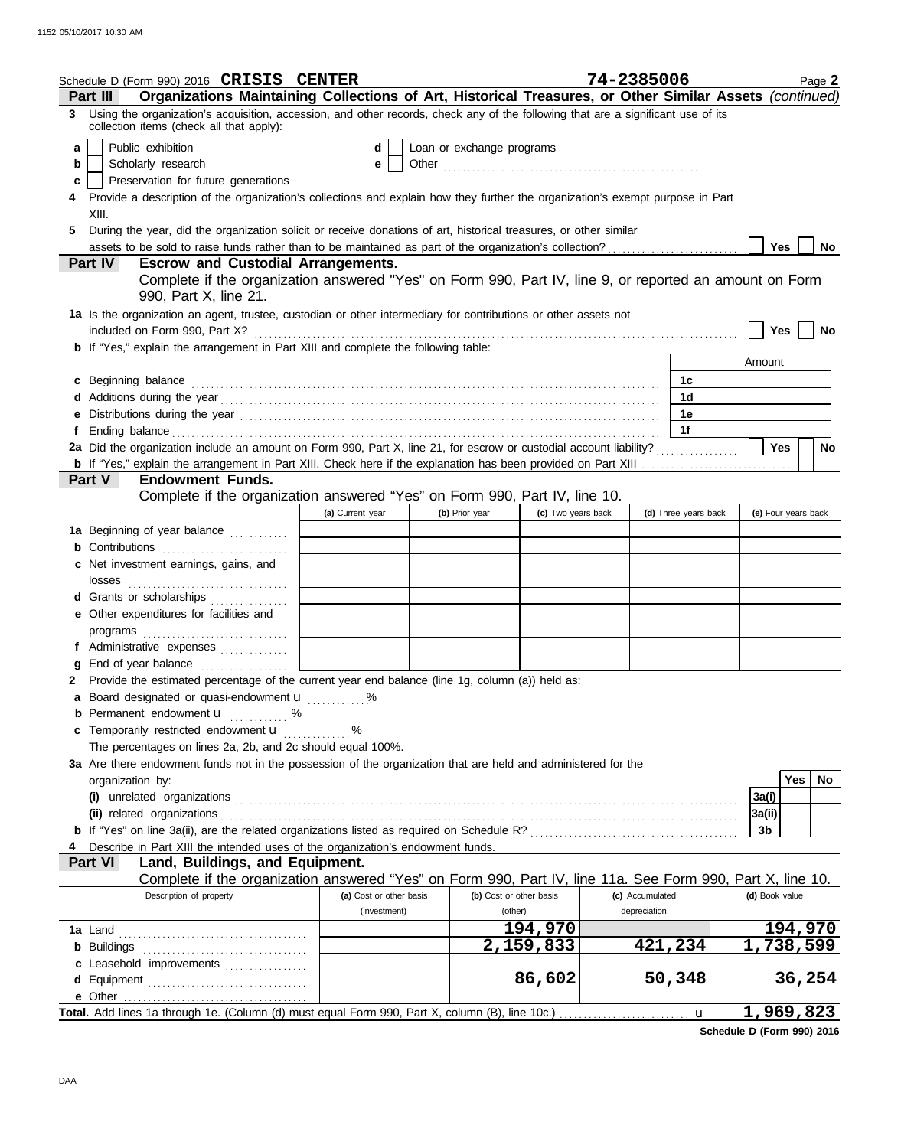| Schedule D (Form 990) 2016 CRISIS CENTER                                                                                                                                       |                         |                           |                         | 74-2385006      |                      |                     | Page 2           |
|--------------------------------------------------------------------------------------------------------------------------------------------------------------------------------|-------------------------|---------------------------|-------------------------|-----------------|----------------------|---------------------|------------------|
| Organizations Maintaining Collections of Art, Historical Treasures, or Other Similar Assets (continued)<br>Part III                                                            |                         |                           |                         |                 |                      |                     |                  |
| 3 Using the organization's acquisition, accession, and other records, check any of the following that are a significant use of its<br>collection items (check all that apply): |                         |                           |                         |                 |                      |                     |                  |
| Public exhibition<br>a                                                                                                                                                         | d                       | Loan or exchange programs |                         |                 |                      |                     |                  |
| Scholarly research<br>b                                                                                                                                                        | е                       |                           |                         |                 |                      |                     |                  |
| Preservation for future generations<br>c                                                                                                                                       |                         |                           |                         |                 |                      |                     |                  |
| Provide a description of the organization's collections and explain how they further the organization's exempt purpose in Part                                                 |                         |                           |                         |                 |                      |                     |                  |
| XIII.                                                                                                                                                                          |                         |                           |                         |                 |                      |                     |                  |
| During the year, did the organization solicit or receive donations of art, historical treasures, or other similar<br>5.                                                        |                         |                           |                         |                 |                      |                     |                  |
|                                                                                                                                                                                |                         |                           |                         |                 |                      | Yes                 | No               |
| Part IV<br><b>Escrow and Custodial Arrangements.</b>                                                                                                                           |                         |                           |                         |                 |                      |                     |                  |
| Complete if the organization answered "Yes" on Form 990, Part IV, line 9, or reported an amount on Form<br>990, Part X, line 21.                                               |                         |                           |                         |                 |                      |                     |                  |
| 1a Is the organization an agent, trustee, custodian or other intermediary for contributions or other assets not                                                                |                         |                           |                         |                 |                      |                     |                  |
| included on Form 990, Part X?                                                                                                                                                  |                         |                           |                         |                 |                      | <b>Yes</b>          | No               |
| <b>b</b> If "Yes," explain the arrangement in Part XIII and complete the following table:                                                                                      |                         |                           |                         |                 |                      |                     |                  |
|                                                                                                                                                                                |                         |                           |                         |                 |                      | Amount              |                  |
| c Beginning balance                                                                                                                                                            |                         |                           |                         |                 | 1c                   |                     |                  |
|                                                                                                                                                                                |                         |                           |                         |                 | 1d<br>1e             |                     |                  |
|                                                                                                                                                                                |                         |                           |                         |                 | 1f                   |                     |                  |
| 2a Did the organization include an amount on Form 990, Part X, line 21, for escrow or custodial account liability?                                                             |                         |                           |                         |                 |                      | Yes                 | <b>No</b>        |
|                                                                                                                                                                                |                         |                           |                         |                 |                      |                     |                  |
| Part V<br><b>Endowment Funds.</b>                                                                                                                                              |                         |                           |                         |                 |                      |                     |                  |
| Complete if the organization answered "Yes" on Form 990, Part IV, line 10.                                                                                                     |                         |                           |                         |                 |                      |                     |                  |
|                                                                                                                                                                                | (a) Current year        | (b) Prior year            | (c) Two years back      |                 | (d) Three years back | (e) Four years back |                  |
| 1a Beginning of year balance                                                                                                                                                   |                         |                           |                         |                 |                      |                     |                  |
| <b>b</b> Contributions                                                                                                                                                         |                         |                           |                         |                 |                      |                     |                  |
| c Net investment earnings, gains, and                                                                                                                                          |                         |                           |                         |                 |                      |                     |                  |
| losses                                                                                                                                                                         |                         |                           |                         |                 |                      |                     |                  |
| d Grants or scholarships                                                                                                                                                       |                         |                           |                         |                 |                      |                     |                  |
| e Other expenditures for facilities and                                                                                                                                        |                         |                           |                         |                 |                      |                     |                  |
|                                                                                                                                                                                |                         |                           |                         |                 |                      |                     |                  |
| f Administrative expenses                                                                                                                                                      |                         |                           |                         |                 |                      |                     |                  |
|                                                                                                                                                                                |                         |                           |                         |                 |                      |                     |                  |
| 2 Provide the estimated percentage of the current year end balance (line 1g, column (a)) held as:                                                                              |                         |                           |                         |                 |                      |                     |                  |
| a Board designated or quasi-endowment u                                                                                                                                        | %                       |                           |                         |                 |                      |                     |                  |
| Permanent endowment <b>u</b> %<br>c Temporarily restricted endowment u                                                                                                         |                         |                           |                         |                 |                      |                     |                  |
| The percentages on lines 2a, 2b, and 2c should equal 100%.                                                                                                                     | $\frac{9}{100}$         |                           |                         |                 |                      |                     |                  |
| 3a Are there endowment funds not in the possession of the organization that are held and administered for the                                                                  |                         |                           |                         |                 |                      |                     |                  |
| organization by:                                                                                                                                                               |                         |                           |                         |                 |                      |                     | <b>Yes</b><br>No |
|                                                                                                                                                                                |                         |                           |                         |                 |                      | 3a(i)               |                  |
|                                                                                                                                                                                |                         |                           |                         |                 |                      | 3a(ii)              |                  |
|                                                                                                                                                                                |                         |                           |                         |                 |                      | 3b                  |                  |
| Describe in Part XIII the intended uses of the organization's endowment funds.                                                                                                 |                         |                           |                         |                 |                      |                     |                  |
| Part VI<br>Land, Buildings, and Equipment.                                                                                                                                     |                         |                           |                         |                 |                      |                     |                  |
| Complete if the organization answered "Yes" on Form 990, Part IV, line 11a. See Form 990, Part X, line 10.                                                                     |                         |                           |                         |                 |                      |                     |                  |
| Description of property                                                                                                                                                        | (a) Cost or other basis |                           | (b) Cost or other basis | (c) Accumulated |                      | (d) Book value      |                  |
|                                                                                                                                                                                | (investment)            |                           | (other)                 | depreciation    |                      |                     |                  |
|                                                                                                                                                                                |                         |                           | 194,970                 |                 |                      |                     | 194,970          |
|                                                                                                                                                                                |                         |                           | $\overline{2,}$ 159,833 | 421,234         |                      | 1,738,599           |                  |
| c Leasehold improvements                                                                                                                                                       |                         |                           |                         |                 |                      |                     |                  |
|                                                                                                                                                                                |                         |                           | 86,602                  | 50,348          |                      |                     | 36,254           |
|                                                                                                                                                                                |                         |                           |                         |                 |                      |                     |                  |
|                                                                                                                                                                                |                         |                           |                         |                 | u                    | 1,969,823           |                  |

**Schedule D (Form 990) 2016**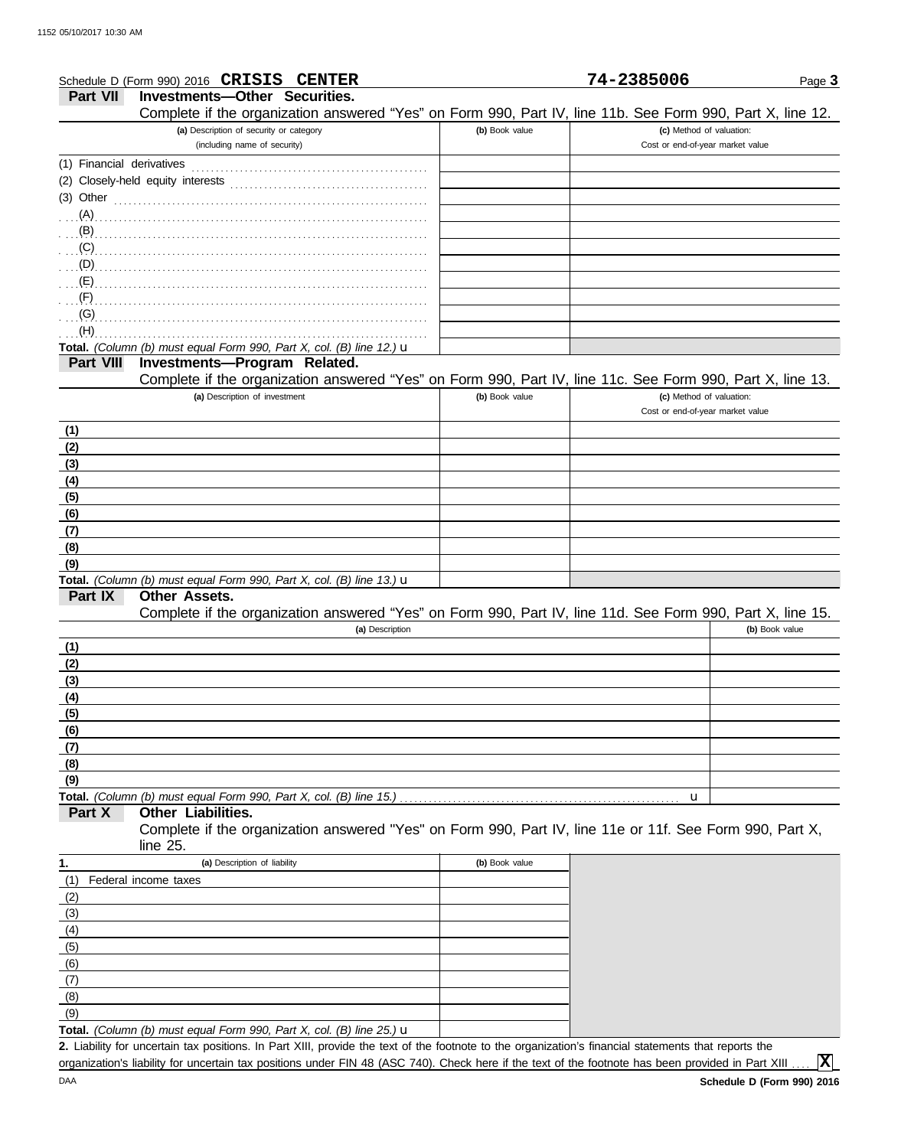|                           | Schedule D (Form 990) 2016 CRISIS CENTER                                                                                                            |                | 74-2385006                       | Page 3         |
|---------------------------|-----------------------------------------------------------------------------------------------------------------------------------------------------|----------------|----------------------------------|----------------|
| <b>Part VII</b>           | <b>Investments-Other Securities.</b>                                                                                                                |                |                                  |                |
|                           | Complete if the organization answered "Yes" on Form 990, Part IV, line 11b. See Form 990, Part X, line 12.                                          |                |                                  |                |
|                           | (a) Description of security or category                                                                                                             | (b) Book value | (c) Method of valuation:         |                |
|                           | (including name of security)                                                                                                                        |                | Cost or end-of-year market value |                |
| (1) Financial derivatives |                                                                                                                                                     |                |                                  |                |
|                           |                                                                                                                                                     |                |                                  |                |
|                           | (3) Other $\ldots$ and $\ldots$ and $\ldots$ and $\ldots$                                                                                           |                |                                  |                |
|                           | (A)                                                                                                                                                 |                |                                  |                |
| $(B)$<br>(C)              |                                                                                                                                                     |                |                                  |                |
| (D)                       |                                                                                                                                                     |                |                                  |                |
| (E)                       |                                                                                                                                                     |                |                                  |                |
| (F)                       |                                                                                                                                                     |                |                                  |                |
| (G)                       |                                                                                                                                                     |                |                                  |                |
| (H)                       |                                                                                                                                                     |                |                                  |                |
|                           | Total. (Column (b) must equal Form 990, Part X, col. (B) line 12.) $\mathbf u$                                                                      |                |                                  |                |
| <b>Part VIII</b>          | Investments-Program Related.                                                                                                                        |                |                                  |                |
|                           | Complete if the organization answered "Yes" on Form 990, Part IV, line 11c. See Form 990, Part X, line 13.                                          |                |                                  |                |
|                           | (a) Description of investment                                                                                                                       | (b) Book value | (c) Method of valuation:         |                |
|                           |                                                                                                                                                     |                | Cost or end-of-year market value |                |
| (1)                       |                                                                                                                                                     |                |                                  |                |
| (2)                       |                                                                                                                                                     |                |                                  |                |
| (3)                       |                                                                                                                                                     |                |                                  |                |
| (4)                       |                                                                                                                                                     |                |                                  |                |
| (5)                       |                                                                                                                                                     |                |                                  |                |
| (6)                       |                                                                                                                                                     |                |                                  |                |
| (7)                       |                                                                                                                                                     |                |                                  |                |
| (8)<br>(9)                |                                                                                                                                                     |                |                                  |                |
|                           | Total. (Column (b) must equal Form 990, Part X, col. (B) line 13.) $\mathbf u$                                                                      |                |                                  |                |
| Part IX                   | Other Assets.                                                                                                                                       |                |                                  |                |
|                           | Complete if the organization answered "Yes" on Form 990, Part IV, line 11d. See Form 990, Part X, line 15.                                          |                |                                  |                |
|                           | (a) Description                                                                                                                                     |                |                                  | (b) Book value |
| (1)                       |                                                                                                                                                     |                |                                  |                |
| (2)                       |                                                                                                                                                     |                |                                  |                |
| (3)                       |                                                                                                                                                     |                |                                  |                |
| (4)                       |                                                                                                                                                     |                |                                  |                |
| (5)                       |                                                                                                                                                     |                |                                  |                |
| (6)                       |                                                                                                                                                     |                |                                  |                |
| (7)                       |                                                                                                                                                     |                |                                  |                |
| (8)                       |                                                                                                                                                     |                |                                  |                |
| (9)                       |                                                                                                                                                     |                |                                  |                |
|                           | Total. (Column (b) must equal Form 990, Part X, col. (B) line 15.)<br><b>Other Liabilities.</b>                                                     |                | u                                |                |
| Part X                    | Complete if the organization answered "Yes" on Form 990, Part IV, line 11e or 11f. See Form 990, Part X,                                            |                |                                  |                |
|                           | line $25$ .                                                                                                                                         |                |                                  |                |
| 1.                        | (a) Description of liability                                                                                                                        | (b) Book value |                                  |                |
| (1)                       | Federal income taxes                                                                                                                                |                |                                  |                |
| (2)                       |                                                                                                                                                     |                |                                  |                |
| (3)                       |                                                                                                                                                     |                |                                  |                |
| (4)                       |                                                                                                                                                     |                |                                  |                |
| (5)                       |                                                                                                                                                     |                |                                  |                |
| (6)                       |                                                                                                                                                     |                |                                  |                |
| (7)                       |                                                                                                                                                     |                |                                  |                |
| (8)                       |                                                                                                                                                     |                |                                  |                |
| (9)                       |                                                                                                                                                     |                |                                  |                |
|                           | <b>Total.</b> (Column (b) must equal Form 990, Part X, col. (B) line 25.) $\mathbf{u}$                                                              |                |                                  |                |
|                           | 2. Liability for uncertain tax positions. In Part XIII provide the text of the footnote to the organization's financial statements that reports the |                |                                  |                |

Liability for uncertain tax positions. In Part XIII, provide the text of the footnote to the organization's financial statements that reports the **2.** organization's liability for uncertain tax positions under FIN 48 (ASC 740). Check here if the text of the footnote has been provided in Part XIII.

**X**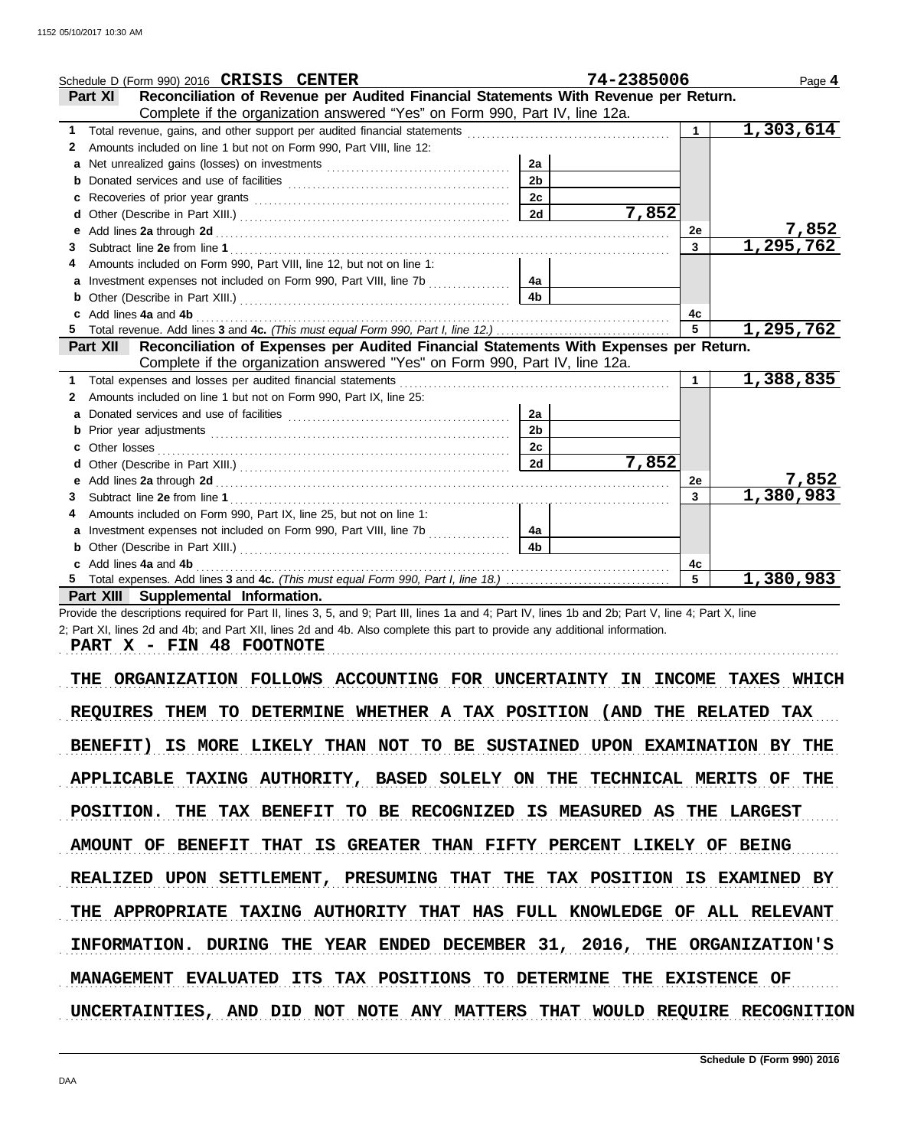|    | Schedule D (Form 990) 2016 CRISIS CENTER                                                          |                | 74-2385006 |                | Page 4                 |
|----|---------------------------------------------------------------------------------------------------|----------------|------------|----------------|------------------------|
|    | Reconciliation of Revenue per Audited Financial Statements With Revenue per Return.<br>Part XI    |                |            |                |                        |
|    | Complete if the organization answered "Yes" on Form 990, Part IV, line 12a.                       |                |            |                |                        |
| 1  |                                                                                                   |                |            | $\mathbf{1}$   | $\overline{1,303,614}$ |
| 2  | Amounts included on line 1 but not on Form 990, Part VIII, line 12:                               |                |            |                |                        |
|    |                                                                                                   | 2a             |            |                |                        |
| b  |                                                                                                   | 2 <sub>b</sub> |            |                |                        |
| c  |                                                                                                   | 2c             |            |                |                        |
| d  |                                                                                                   | 2d             | 7,852      |                |                        |
| e  |                                                                                                   |                |            | 2e             | 7,852                  |
| 3  |                                                                                                   |                |            | $\mathbf{3}$   | 1,295,762              |
|    | Amounts included on Form 990, Part VIII, line 12, but not on line 1:                              |                |            |                |                        |
| a  | Investment expenses not included on Form 990, Part VIII, line 7b                                  | 4a             |            |                |                        |
|    |                                                                                                   | 4 <sub>b</sub> |            |                |                        |
| c  | Add lines 4a and 4b                                                                               |                |            | 4c             |                        |
| 5. |                                                                                                   |                |            | 5              | 1,295,762              |
|    | Reconciliation of Expenses per Audited Financial Statements With Expenses per Return.<br>Part XII |                |            |                |                        |
|    | Complete if the organization answered "Yes" on Form 990, Part IV, line 12a.                       |                |            |                |                        |
| 1. | Total expenses and losses per audited financial statements                                        |                |            | $\mathbf 1$    | 1,388,835              |
| 2  | Amounts included on line 1 but not on Form 990, Part IX, line 25:                                 |                |            |                |                        |
| a  |                                                                                                   | 2a             |            |                |                        |
| b  |                                                                                                   | 2 <sub>b</sub> |            |                |                        |
| c  | Other losses                                                                                      | 2c             |            |                |                        |
|    |                                                                                                   | 2d             | 7,852      |                |                        |
| е  |                                                                                                   |                |            | <b>2e</b>      | 7,852                  |
| 3  |                                                                                                   |                |            | $\overline{3}$ | 1,380,983              |
| 4  | Amounts included on Form 990, Part IX, line 25, but not on line 1:                                |                |            |                |                        |
| a  | Investment expenses not included on Form 990, Part VIII, line 7b                                  | 4a             |            |                |                        |
| b  |                                                                                                   | 4 <b>b</b>     |            |                |                        |
|    | Add lines 4a and 4b                                                                               |                |            | 4c             |                        |
|    |                                                                                                   |                |            | 5              | 1,380,983              |
|    | Part XIII Supplemental Information.                                                               |                |            |                |                        |

Provide the descriptions required for Part II, lines 3, 5, and 9; Part III, lines 1a and 4; Part IV, lines 1b and 2b; Part V, line 4; Part X, line 2; Part XI, lines 2d and 4b; and Part XII, lines 2d and 4b. Also complete this part to provide any additional information.

**PART X - FIN 48 FOOTNOTE**

THE ORGANIZATION FOLLOWS ACCOUNTING FOR UNCERTAINTY IN INCOME TAXES WHICH REQUIRES THEM TO DETERMINE WHETHER A TAX POSITION (AND THE RELATED TAX BENEFIT) IS MORE LIKELY THAN NOT TO BE SUSTAINED UPON EXAMINATION BY THE APPLICABLE TAXING AUTHORITY, BASED SOLELY ON THE TECHNICAL MERITS OF THE POSITION. THE TAX BENEFIT TO BE RECOGNIZED IS MEASURED AS THE LARGEST AMOUNT OF BENEFIT THAT IS GREATER THAN FIFTY PERCENT LIKELY OF BEING INFORMATION. DURING THE YEAR ENDED DECEMBER 31, 2016, THE ORGANIZATION'S REALIZED UPON SETTLEMENT, PRESUMING THAT THE TAX POSITION IS EXAMINED BY THE APPROPRIATE TAXING AUTHORITY THAT HAS FULL KNOWLEDGE OF ALL RELEVANT MANAGEMENT EVALUATED ITS TAX POSITIONS TO DETERMINE THE EXISTENCE OF UNCERTAINTIES, AND DID NOT NOTE ANY MATTERS THAT WOULD REQUIRE RECOGNITION

. . . . . . . . . . . . . . . . . . . . . . . . . . . . . . . . . . . . . . . . . . . . . . . . . . . . . . . . . . . . . . . . . . . . . . . . . . . . . . . . . . . . . . . . . . . . . . . . . . . . . . . . . . . . . . . . . . . . . . . . . . . . . . . . . . . . . . . . . . . . . . . . . . . . . . . . . . . . . . . . .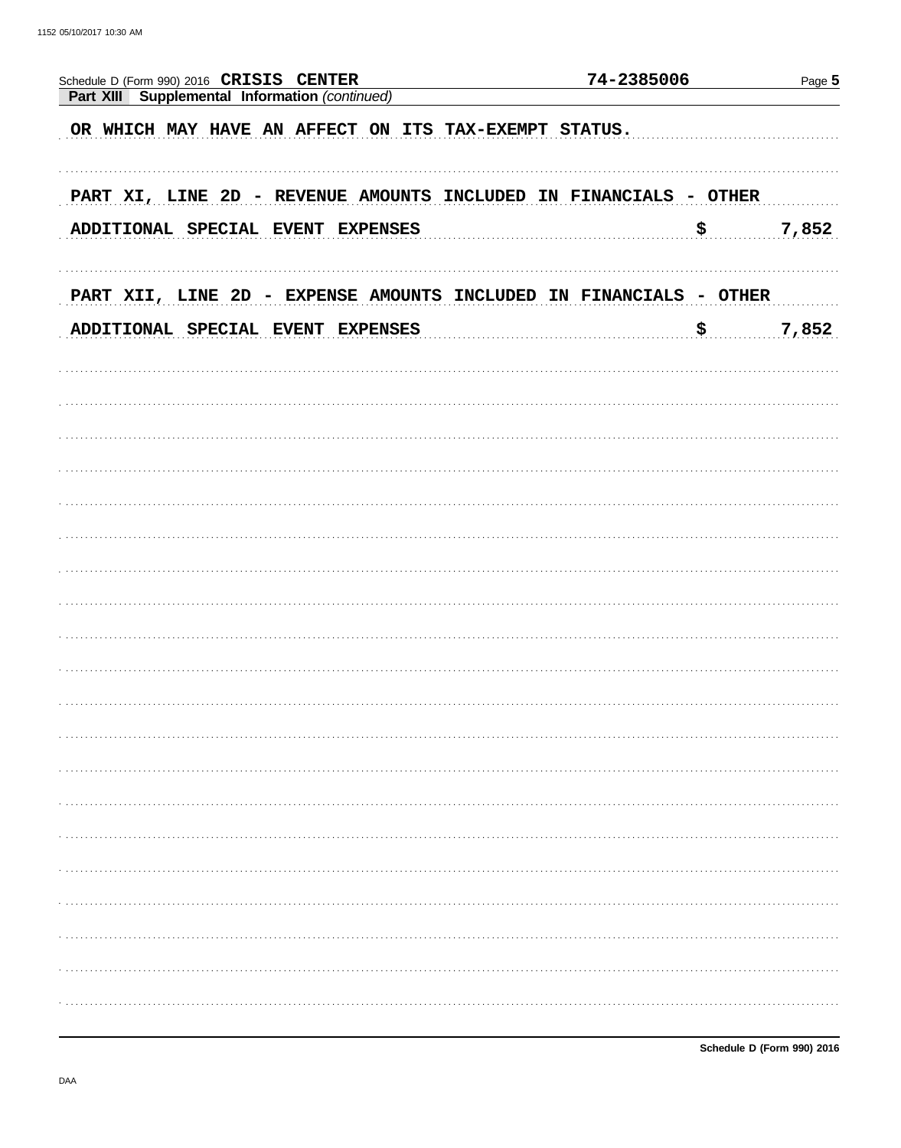| Schedule D (Form 990) 2016 CRISIS CENTER                           | 74-2385006                  | Page 5 |
|--------------------------------------------------------------------|-----------------------------|--------|
| Part XIII Supplemental Information (continued)                     |                             |        |
| OR WHICH MAY HAVE AN AFFECT ON ITS TAX-EXEMPT STATUS.              |                             |        |
|                                                                    |                             |        |
|                                                                    |                             |        |
| PART XI, LINE 2D - REVENUE AMOUNTS INCLUDED IN FINANCIALS - OTHER  |                             |        |
| ADDITIONAL SPECIAL EVENT EXPENSES                                  | $\boldsymbol{\mathsf{S}}$ . | 7,852  |
|                                                                    |                             |        |
|                                                                    |                             |        |
| PART XII, LINE 2D - EXPENSE AMOUNTS INCLUDED IN FINANCIALS - OTHER |                             |        |
| ADDITIONAL SPECIAL EVENT EXPENSES                                  | \$.                         | 7,852  |
|                                                                    |                             |        |
|                                                                    |                             |        |
|                                                                    |                             |        |
|                                                                    |                             |        |
|                                                                    |                             |        |
|                                                                    |                             |        |
|                                                                    |                             |        |
|                                                                    |                             |        |
|                                                                    |                             |        |
|                                                                    |                             |        |
|                                                                    |                             |        |
|                                                                    |                             |        |
|                                                                    |                             |        |
|                                                                    |                             |        |
|                                                                    |                             |        |
|                                                                    |                             |        |
|                                                                    |                             |        |
|                                                                    |                             |        |
|                                                                    |                             |        |
|                                                                    |                             |        |
|                                                                    |                             |        |
|                                                                    |                             |        |
|                                                                    |                             |        |
|                                                                    |                             |        |
|                                                                    |                             |        |
|                                                                    |                             |        |
|                                                                    |                             |        |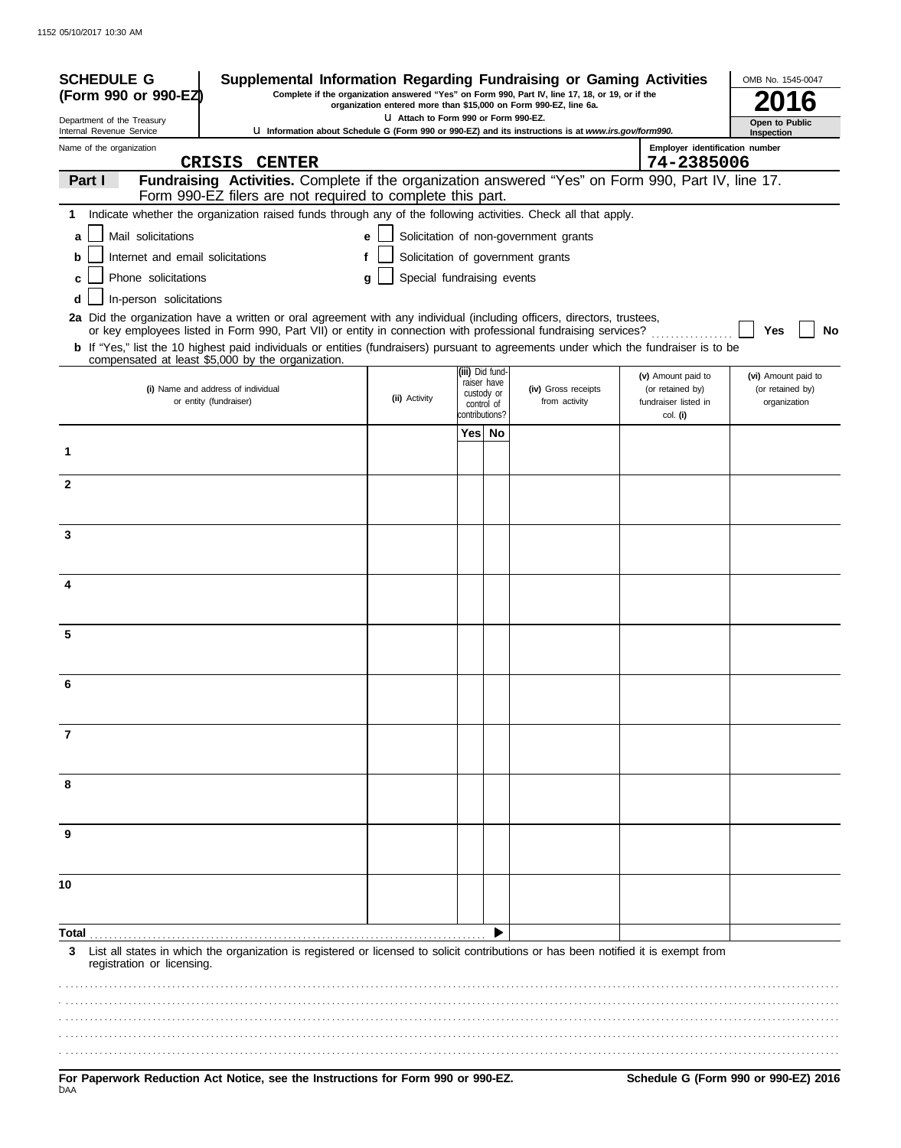| <b>SCHEDULE G</b>                                                                                                                                                                                                                                              | Supplemental Information Regarding Fundraising or Gaming Activities                                                                                              |                                      |  |                                |                                       |                                          | OMB No. 1545-0047                |  |
|----------------------------------------------------------------------------------------------------------------------------------------------------------------------------------------------------------------------------------------------------------------|------------------------------------------------------------------------------------------------------------------------------------------------------------------|--------------------------------------|--|--------------------------------|---------------------------------------|------------------------------------------|----------------------------------|--|
| Complete if the organization answered "Yes" on Form 990, Part IV, line 17, 18, or 19, or if the<br>(Form 990 or 990-EZ)<br>organization entered more than \$15,000 on Form 990-EZ, line 6a.                                                                    |                                                                                                                                                                  |                                      |  |                                |                                       |                                          |                                  |  |
| Department of the Treasury<br>Internal Revenue Service                                                                                                                                                                                                         | <b>U Information about Schedule G (Form 990 or 990-EZ) and its instructions is at www.irs.gov/form990.</b>                                                       | U Attach to Form 990 or Form 990-EZ. |  |                                |                                       |                                          | Open to Public<br>Inspection     |  |
| Name of the organization                                                                                                                                                                                                                                       |                                                                                                                                                                  |                                      |  |                                |                                       | Employer identification number           |                                  |  |
| CRISIS                                                                                                                                                                                                                                                         | <b>CENTER</b>                                                                                                                                                    |                                      |  |                                |                                       | 74-2385006                               |                                  |  |
| Part I                                                                                                                                                                                                                                                         | Fundraising Activities. Complete if the organization answered "Yes" on Form 990, Part IV, line 17.<br>Form 990-EZ filers are not required to complete this part. |                                      |  |                                |                                       |                                          |                                  |  |
| 1 Indicate whether the organization raised funds through any of the following activities. Check all that apply.                                                                                                                                                |                                                                                                                                                                  |                                      |  |                                |                                       |                                          |                                  |  |
| Mail solicitations<br>a                                                                                                                                                                                                                                        |                                                                                                                                                                  | е                                    |  |                                | Solicitation of non-government grants |                                          |                                  |  |
| Internet and email solicitations<br>b                                                                                                                                                                                                                          |                                                                                                                                                                  |                                      |  |                                | Solicitation of government grants     |                                          |                                  |  |
| Phone solicitations<br>c                                                                                                                                                                                                                                       | Special fundraising events<br>g                                                                                                                                  |                                      |  |                                |                                       |                                          |                                  |  |
| In-person solicitations<br>d                                                                                                                                                                                                                                   |                                                                                                                                                                  |                                      |  |                                |                                       |                                          |                                  |  |
| 2a Did the organization have a written or oral agreement with any individual (including officers, directors, trustees,                                                                                                                                         |                                                                                                                                                                  |                                      |  |                                |                                       |                                          |                                  |  |
| or key employees listed in Form 990, Part VII) or entity in connection with professional fundraising services?<br><b>b</b> If "Yes," list the 10 highest paid individuals or entities (fundraisers) pursuant to agreements under which the fundraiser is to be |                                                                                                                                                                  |                                      |  |                                |                                       |                                          | Yes<br>No                        |  |
| compensated at least \$5,000 by the organization.                                                                                                                                                                                                              |                                                                                                                                                                  |                                      |  |                                |                                       |                                          |                                  |  |
|                                                                                                                                                                                                                                                                |                                                                                                                                                                  |                                      |  | (iii) Did fund-<br>raiser have |                                       | (v) Amount paid to                       | (vi) Amount paid to              |  |
| (i) Name and address of individual<br>or entity (fundraiser)                                                                                                                                                                                                   |                                                                                                                                                                  | (ii) Activity                        |  | custody or<br>control of       | (iv) Gross receipts<br>from activity  | (or retained by)<br>fundraiser listed in | (or retained by)<br>organization |  |
|                                                                                                                                                                                                                                                                |                                                                                                                                                                  |                                      |  | contributions?                 |                                       | col. (i)                                 |                                  |  |
|                                                                                                                                                                                                                                                                |                                                                                                                                                                  |                                      |  | Yes  No                        |                                       |                                          |                                  |  |
| 1                                                                                                                                                                                                                                                              |                                                                                                                                                                  |                                      |  |                                |                                       |                                          |                                  |  |
| $\overline{2}$                                                                                                                                                                                                                                                 |                                                                                                                                                                  |                                      |  |                                |                                       |                                          |                                  |  |
|                                                                                                                                                                                                                                                                |                                                                                                                                                                  |                                      |  |                                |                                       |                                          |                                  |  |
|                                                                                                                                                                                                                                                                |                                                                                                                                                                  |                                      |  |                                |                                       |                                          |                                  |  |
| 3                                                                                                                                                                                                                                                              |                                                                                                                                                                  |                                      |  |                                |                                       |                                          |                                  |  |
|                                                                                                                                                                                                                                                                |                                                                                                                                                                  |                                      |  |                                |                                       |                                          |                                  |  |
| 4                                                                                                                                                                                                                                                              |                                                                                                                                                                  |                                      |  |                                |                                       |                                          |                                  |  |
|                                                                                                                                                                                                                                                                |                                                                                                                                                                  |                                      |  |                                |                                       |                                          |                                  |  |
|                                                                                                                                                                                                                                                                |                                                                                                                                                                  |                                      |  |                                |                                       |                                          |                                  |  |
| 5                                                                                                                                                                                                                                                              |                                                                                                                                                                  |                                      |  |                                |                                       |                                          |                                  |  |
|                                                                                                                                                                                                                                                                |                                                                                                                                                                  |                                      |  |                                |                                       |                                          |                                  |  |
| 6                                                                                                                                                                                                                                                              |                                                                                                                                                                  |                                      |  |                                |                                       |                                          |                                  |  |
|                                                                                                                                                                                                                                                                |                                                                                                                                                                  |                                      |  |                                |                                       |                                          |                                  |  |
| 7                                                                                                                                                                                                                                                              |                                                                                                                                                                  |                                      |  |                                |                                       |                                          |                                  |  |
|                                                                                                                                                                                                                                                                |                                                                                                                                                                  |                                      |  |                                |                                       |                                          |                                  |  |
|                                                                                                                                                                                                                                                                |                                                                                                                                                                  |                                      |  |                                |                                       |                                          |                                  |  |
| 8                                                                                                                                                                                                                                                              |                                                                                                                                                                  |                                      |  |                                |                                       |                                          |                                  |  |
|                                                                                                                                                                                                                                                                |                                                                                                                                                                  |                                      |  |                                |                                       |                                          |                                  |  |
| 9                                                                                                                                                                                                                                                              |                                                                                                                                                                  |                                      |  |                                |                                       |                                          |                                  |  |
|                                                                                                                                                                                                                                                                |                                                                                                                                                                  |                                      |  |                                |                                       |                                          |                                  |  |
|                                                                                                                                                                                                                                                                |                                                                                                                                                                  |                                      |  |                                |                                       |                                          |                                  |  |
| 10                                                                                                                                                                                                                                                             |                                                                                                                                                                  |                                      |  |                                |                                       |                                          |                                  |  |
|                                                                                                                                                                                                                                                                |                                                                                                                                                                  |                                      |  |                                |                                       |                                          |                                  |  |
| Total                                                                                                                                                                                                                                                          |                                                                                                                                                                  |                                      |  |                                |                                       |                                          |                                  |  |
| List all states in which the organization is registered or licensed to solicit contributions or has been notified it is exempt from<br>3<br>registration or licensing.                                                                                         |                                                                                                                                                                  |                                      |  |                                |                                       |                                          |                                  |  |
|                                                                                                                                                                                                                                                                |                                                                                                                                                                  |                                      |  |                                |                                       |                                          |                                  |  |
|                                                                                                                                                                                                                                                                |                                                                                                                                                                  |                                      |  |                                |                                       |                                          |                                  |  |
|                                                                                                                                                                                                                                                                |                                                                                                                                                                  |                                      |  |                                |                                       |                                          |                                  |  |
|                                                                                                                                                                                                                                                                |                                                                                                                                                                  |                                      |  |                                |                                       |                                          |                                  |  |
|                                                                                                                                                                                                                                                                |                                                                                                                                                                  |                                      |  |                                |                                       |                                          |                                  |  |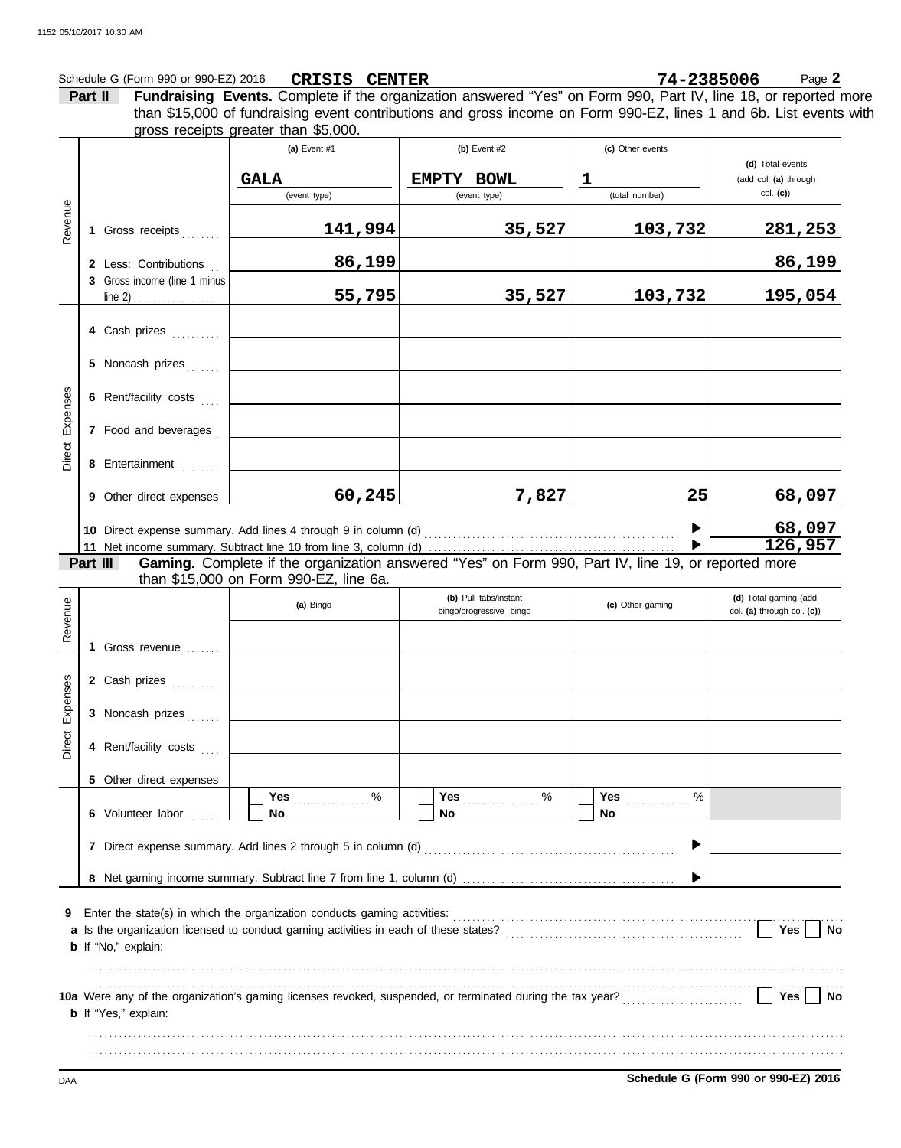## Schedule G (Form 990 or 990-EZ) 2016 **CRISIS CENTER** 74-2385006 Page 2 **CRISIS CENTER 74-2385006**

**Part II Fundraising Events.** Complete if the organization answered "Yes" on Form 990, Part IV, line 18, or reported more gross receipts greater than \$5,000. than \$15,000 of fundraising event contributions and gross income on Form 990-EZ, lines 1 and 6b. List events with

| Revenue            |                                                                                                                                                                                                                                                                                                                                                                     | 1 Gross receipts<br>2 Less: Contributions<br>3 Gross income (line 1 minus             | (a) Event $#1$<br><b>GALA</b><br>(event type)<br><u>141,994</u><br>86,199<br>55,795 | (b) Event $#2$<br>EMPTY BOWL<br>(event type)<br>35,527<br>35,527                                             | (c) Other events<br>ı<br>(total number)<br>103,732<br>103,732 | (d) Total events<br>(add col. (a) through<br>$col.$ (c))<br><u>281,253</u><br>86,199<br>195,054 |  |  |
|--------------------|---------------------------------------------------------------------------------------------------------------------------------------------------------------------------------------------------------------------------------------------------------------------------------------------------------------------------------------------------------------------|---------------------------------------------------------------------------------------|-------------------------------------------------------------------------------------|--------------------------------------------------------------------------------------------------------------|---------------------------------------------------------------|-------------------------------------------------------------------------------------------------|--|--|
| Expenses<br>Direct |                                                                                                                                                                                                                                                                                                                                                                     | 4 Cash prizes<br>5 Noncash prizes<br>6 Rent/facility costs<br>7 Food and beverages    |                                                                                     |                                                                                                              |                                                               |                                                                                                 |  |  |
|                    | Part III                                                                                                                                                                                                                                                                                                                                                            | 8 Entertainment<br>9 Other direct expenses                                            | 60, 245                                                                             | 7,827<br>Gaming. Complete if the organization answered "Yes" on Form 990, Part IV, line 19, or reported more | 25                                                            | 68,097<br>68,097<br>126,957                                                                     |  |  |
| Revenue            |                                                                                                                                                                                                                                                                                                                                                                     | 1 Gross revenue                                                                       | than \$15,000 on Form 990-EZ, line 6a.<br>(a) Bingo                                 | (b) Pull tabs/instant<br>bingo/progressive bingo                                                             | (c) Other gaming                                              | (d) Total gaming (add<br>col. (a) through col. (c))                                             |  |  |
| Direct Expenses    |                                                                                                                                                                                                                                                                                                                                                                     | 2 Cash prizes<br>3 Noncash prizes<br>4 Rent/facility costs<br>5 Other direct expenses |                                                                                     |                                                                                                              |                                                               |                                                                                                 |  |  |
|                    | Yes $\ldots \ldots \ldots$ %<br>%<br>Yes $\ldots \ldots \ldots \ldots$<br>Yes<br>6 Volunteer labor<br><b>No</b><br>No<br>No.<br>▶<br>7 Direct expense summary. Add lines 2 through 5 in column (d) [11] content content content content content and many content and many content and many content and many content and many content and many content and many cont |                                                                                       |                                                                                     |                                                                                                              |                                                               |                                                                                                 |  |  |
| 9                  | Yes $ $<br>No<br><b>b</b> If "No," explain:                                                                                                                                                                                                                                                                                                                         |                                                                                       |                                                                                     |                                                                                                              |                                                               |                                                                                                 |  |  |
|                    |                                                                                                                                                                                                                                                                                                                                                                     | <b>b</b> If "Yes," explain:                                                           |                                                                                     |                                                                                                              |                                                               | Yes  <br>No                                                                                     |  |  |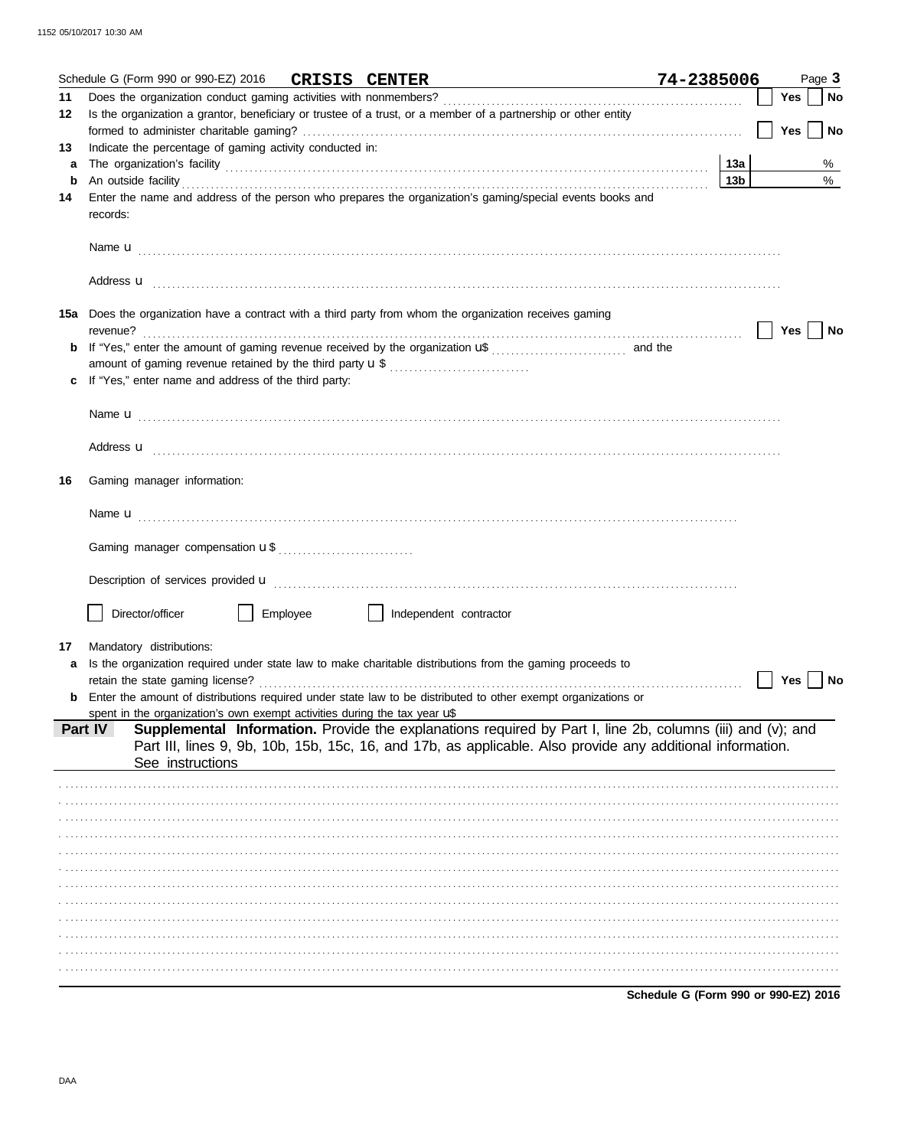|    | Schedule G (Form 990 or 990-EZ) 2016 CRISIS CENTER<br><u> 1989 - Johann Harry Barn, mars ar breist fan de Fryske k</u>                                                                                                                    | 74-2385006                           |                 |     | Page 3    |
|----|-------------------------------------------------------------------------------------------------------------------------------------------------------------------------------------------------------------------------------------------|--------------------------------------|-----------------|-----|-----------|
| 11 |                                                                                                                                                                                                                                           |                                      |                 | Yes | <b>No</b> |
| 12 | Is the organization a grantor, beneficiary or trustee of a trust, or a member of a partnership or other entity                                                                                                                            |                                      |                 |     |           |
|    |                                                                                                                                                                                                                                           |                                      |                 | Yes | No        |
| 13 | Indicate the percentage of gaming activity conducted in:                                                                                                                                                                                  |                                      |                 |     |           |
| a  |                                                                                                                                                                                                                                           |                                      |                 |     | %         |
| b  |                                                                                                                                                                                                                                           |                                      | 13 <sub>b</sub> |     | $\%$      |
| 14 | Enter the name and address of the person who prepares the organization's gaming/special events books and<br>records:                                                                                                                      |                                      |                 |     |           |
|    |                                                                                                                                                                                                                                           |                                      |                 |     |           |
|    |                                                                                                                                                                                                                                           |                                      |                 |     |           |
|    | 15a Does the organization have a contract with a third party from whom the organization receives gaming<br>revenue?                                                                                                                       |                                      |                 | Yes | No        |
|    | amount of gaming revenue retained by the third party <b>u</b> \$                                                                                                                                                                          |                                      |                 |     |           |
|    | If "Yes," enter name and address of the third party:                                                                                                                                                                                      |                                      |                 |     |           |
|    |                                                                                                                                                                                                                                           |                                      |                 |     |           |
|    | Address <b>u</b> <u>decree and the contract of the contract of the contract of the contract of the contract of the contract of the contract of the contract of the contract of the contract of the contract of the contract of the co</u> |                                      |                 |     |           |
| 16 | Gaming manager information:                                                                                                                                                                                                               |                                      |                 |     |           |
|    |                                                                                                                                                                                                                                           |                                      |                 |     |           |
|    |                                                                                                                                                                                                                                           |                                      |                 |     |           |
|    |                                                                                                                                                                                                                                           |                                      |                 |     |           |
|    | Director/officer<br>Employee<br>  Independent contractor                                                                                                                                                                                  |                                      |                 |     |           |
|    |                                                                                                                                                                                                                                           |                                      |                 |     |           |
| 17 | Mandatory distributions:                                                                                                                                                                                                                  |                                      |                 |     |           |
| a  | Is the organization required under state law to make charitable distributions from the gaming proceeds to<br>retain the state gaming license?                                                                                             |                                      |                 | Yes | No        |
|    | <b>b</b> Enter the amount of distributions required under state law to be distributed to other exempt organizations or                                                                                                                    |                                      |                 |     |           |
|    | spent in the organization's own exempt activities during the tax year uß                                                                                                                                                                  |                                      |                 |     |           |
|    | Supplemental Information. Provide the explanations required by Part I, line 2b, columns (iii) and (v); and<br>Part IV                                                                                                                     |                                      |                 |     |           |
|    | Part III, lines 9, 9b, 10b, 15b, 15c, 16, and 17b, as applicable. Also provide any additional information.<br>See instructions                                                                                                            |                                      |                 |     |           |
|    |                                                                                                                                                                                                                                           |                                      |                 |     |           |
|    |                                                                                                                                                                                                                                           |                                      |                 |     |           |
|    |                                                                                                                                                                                                                                           |                                      |                 |     |           |
|    |                                                                                                                                                                                                                                           |                                      |                 |     |           |
|    |                                                                                                                                                                                                                                           |                                      |                 |     |           |
|    |                                                                                                                                                                                                                                           |                                      |                 |     |           |
|    |                                                                                                                                                                                                                                           |                                      |                 |     |           |
|    |                                                                                                                                                                                                                                           |                                      |                 |     |           |
|    |                                                                                                                                                                                                                                           |                                      |                 |     |           |
|    |                                                                                                                                                                                                                                           |                                      |                 |     |           |
|    |                                                                                                                                                                                                                                           |                                      |                 |     |           |
|    |                                                                                                                                                                                                                                           | Schedule G (Form 990 or 990-EZ) 2016 |                 |     |           |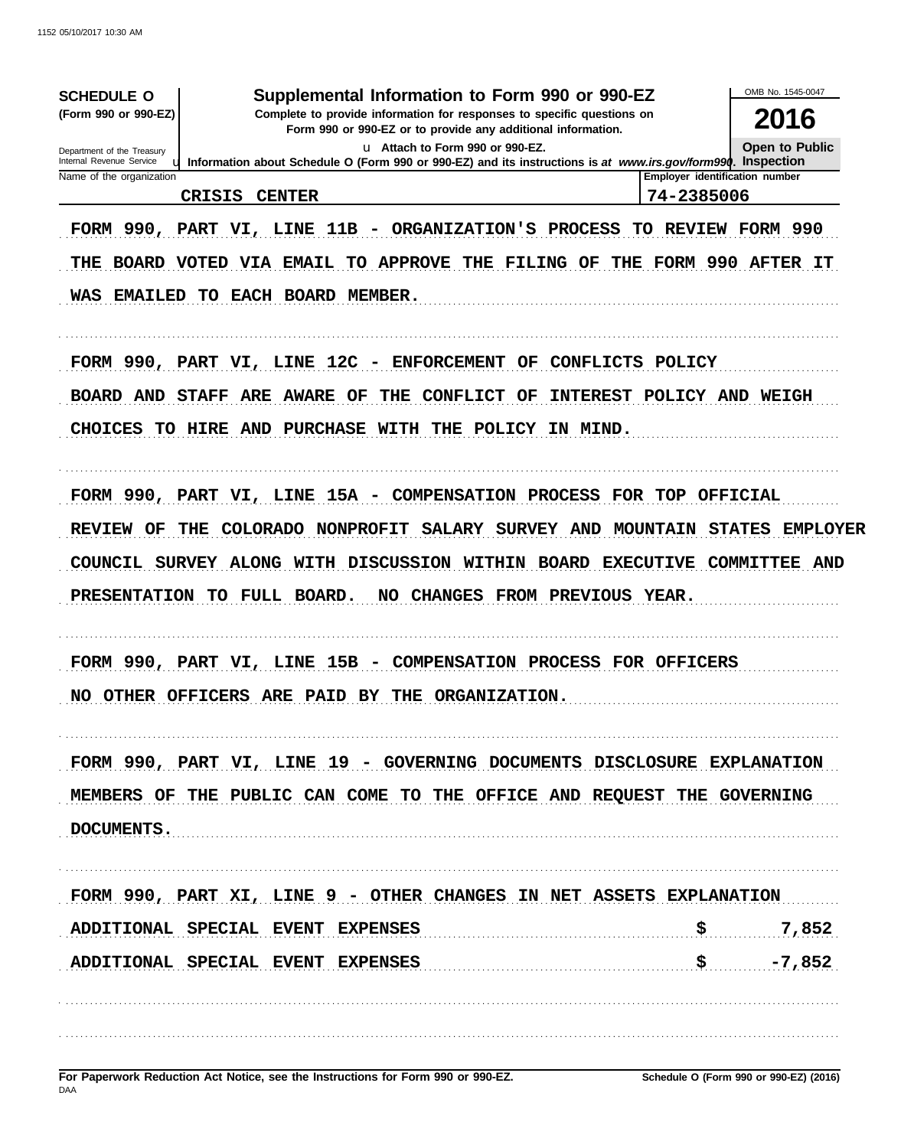| <b>SCHEDULE O</b><br>(Form 990 or 990-EZ)              | Supplemental Information to Form 990 or 990-EZ                                                                                                                                                                                                 |                                                                                  | OMB No. 1545-0047                |
|--------------------------------------------------------|------------------------------------------------------------------------------------------------------------------------------------------------------------------------------------------------------------------------------------------------|----------------------------------------------------------------------------------|----------------------------------|
|                                                        | 2016                                                                                                                                                                                                                                           |                                                                                  |                                  |
| Department of the Treasury                             | Form 990 or 990-EZ or to provide any additional information.<br>u Attach to Form 990 or 990-EZ.                                                                                                                                                |                                                                                  | <b>Open to Public</b>            |
| Internal Revenue Service<br>Name of the organization   | <b>u.</b> Information about Schedule O (Form 990 or 990-EZ) and its instructions is at www.irs.gov/form990. Inspection                                                                                                                         |                                                                                  | Employer identification number   |
| <b>CRISIS</b>                                          | <b>CENTER</b>                                                                                                                                                                                                                                  | 74-2385006                                                                       |                                  |
|                                                        | FORM 990, PART VI, LINE 11B - ORGANIZATION'S PROCESS<br>THE BOARD VOTED VIA EMAIL TO APPROVE THE FILING OF THE FORM 990 AFTER IT<br>WAS EMAILED TO EACH BOARD MEMBER.                                                                          |                                                                                  | TO REVIEW FORM 990               |
|                                                        | FORM 990, PART VI, LINE 12C - ENFORCEMENT OF CONFLICTS POLICY                                                                                                                                                                                  |                                                                                  |                                  |
| <b>BOARD AND</b>                                       | <b>STAFF ARE AWARE</b><br>THE<br><b>CONFLICT</b><br>OF<br>OF                                                                                                                                                                                   | INTEREST POLICY AND WEIGH                                                        |                                  |
| <b>CHOICES</b>                                         | TO HIRE AND PURCHASE WITH THE POLICY                                                                                                                                                                                                           | IN MIND.                                                                         |                                  |
| <b>REVIEW OF</b><br>THE<br>PRESENTATION TO FULL BOARD. | FORM 990, PART VI, LINE 15A - COMPENSATION PROCESS FOR TOP OFFICIAL<br>COLORADO NONPROFIT<br>SALARY SURVEY AND<br>COUNCIL SURVEY ALONG WITH DISCUSSION WITHIN BOARD<br>NO .<br>FORM 990, PART VI, LINE 15B - COMPENSATION PROCESS FOR OFFICERS | <b>MOUNTAIN</b><br><b>EXECUTIVE COMMITTEE AND</b><br>CHANGES FROM PREVIOUS YEAR. | <b>EMPLOYER</b><br><b>STATES</b> |
|                                                        | NO OTHER OFFICERS ARE PAID BY THE ORGANIZATION.                                                                                                                                                                                                |                                                                                  |                                  |
|                                                        |                                                                                                                                                                                                                                                |                                                                                  |                                  |
| DOCUMENTS.                                             | FORM 990, PART VI, LINE 19 - GOVERNING DOCUMENTS DISCLOSURE EXPLANATION<br>MEMBERS OF THE PUBLIC CAN COME TO THE OFFICE AND REQUEST THE GOVERNING                                                                                              |                                                                                  |                                  |
|                                                        | FORM 990, PART XI, LINE 9 - OTHER CHANGES IN NET ASSETS EXPLANATION                                                                                                                                                                            |                                                                                  |                                  |
|                                                        | ADDITIONAL SPECIAL EVENT EXPENSES                                                                                                                                                                                                              | \$                                                                               | 7,852                            |
|                                                        | ADDITIONAL SPECIAL EVENT EXPENSES                                                                                                                                                                                                              |                                                                                  | $-7,852$                         |